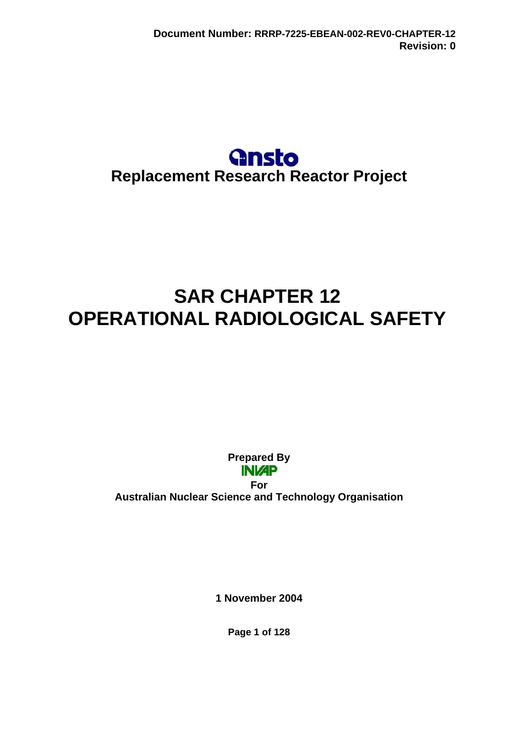# **Gnsto Replacement Research Reactor Project**

# **SAR CHAPTER 12 OPERATIONAL RADIOLOGICAL SAFETY**

**Prepared By INIZP** 

**For Australian Nuclear Science and Technology Organisation** 

**1 November 2004** 

**Page 1 of 128**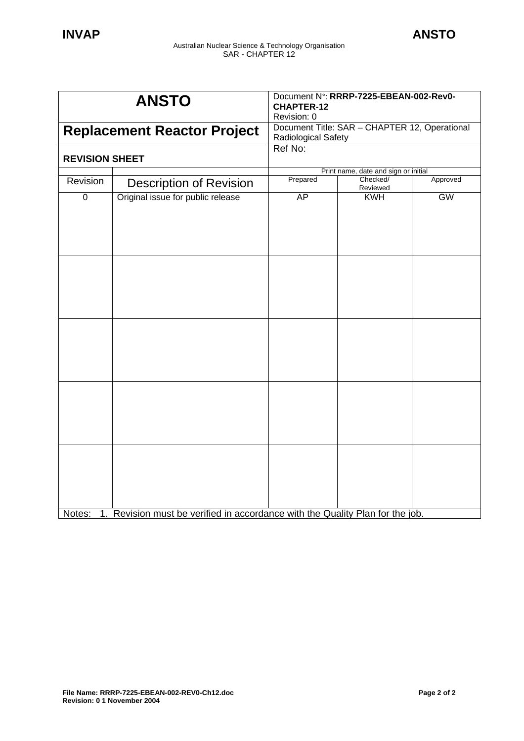| <b>ANSTO</b>                       |                                                                               | Document N°: RRRP-7225-EBEAN-002-Rev0-<br><b>CHAPTER-12</b><br>Revision: 0 |                      |           |
|------------------------------------|-------------------------------------------------------------------------------|----------------------------------------------------------------------------|----------------------|-----------|
| <b>Replacement Reactor Project</b> |                                                                               | Document Title: SAR - CHAPTER 12, Operational<br>Radiological Safety       |                      |           |
| <b>REVISION SHEET</b>              |                                                                               | Ref No:                                                                    |                      |           |
|                                    |                                                                               | Print name, date and sign or initial                                       |                      |           |
| Revision                           | <b>Description of Revision</b>                                                | Prepared                                                                   | Checked/<br>Reviewed | Approved  |
| $\overline{0}$                     | Original issue for public release                                             | AP                                                                         | <b>KWH</b>           | <b>GW</b> |
|                                    |                                                                               |                                                                            |                      |           |
|                                    |                                                                               |                                                                            |                      |           |
|                                    |                                                                               |                                                                            |                      |           |
| Notes:                             | 1. Revision must be verified in accordance with the Quality Plan for the job. |                                                                            |                      |           |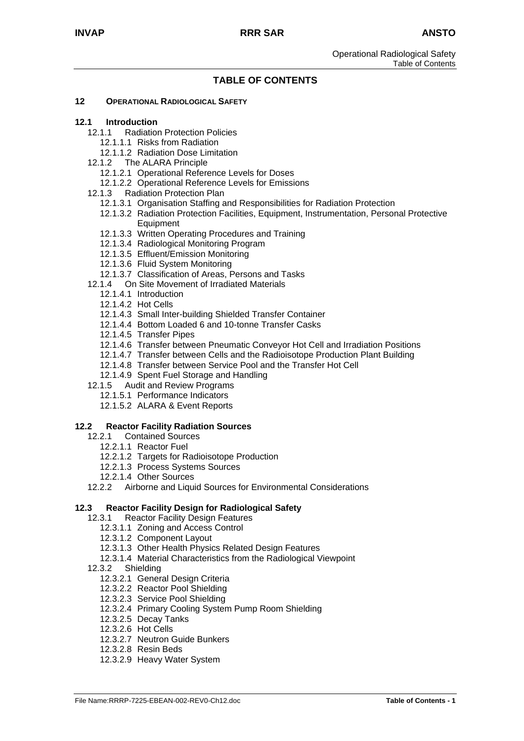Operational Radiological Safety Table of Contents

# **TABLE OF CONTENTS**

#### **12 OPERATIONAL RADIOLOGICAL SAFETY**

#### **12.1 Introduction**

- 12.1.1 Radiation Protection Policies
	- 12.1.1.1 Risks from Radiation
	- 12.1.1.2 Radiation Dose Limitation
- 12.1.2 The ALARA Principle
	- 12.1.2.1 Operational Reference Levels for Doses
	- 12.1.2.2 Operational Reference Levels for Emissions
- 12.1.3 Radiation Protection Plan
	- 12.1.3.1 Organisation Staffing and Responsibilities for Radiation Protection
	- 12.1.3.2 Radiation Protection Facilities, Equipment, Instrumentation, Personal Protective **Equipment**
	- 12.1.3.3 Written Operating Procedures and Training
	- 12.1.3.4 Radiological Monitoring Program
	- 12.1.3.5 Effluent/Emission Monitoring
	- 12.1.3.6 Fluid System Monitoring
	- 12.1.3.7 Classification of Areas, Persons and Tasks
- 12.1.4 On Site Movement of Irradiated Materials
	- 12.1.4.1 Introduction
	- 12.1.4.2 Hot Cells
	- 12.1.4.3 Small Inter-building Shielded Transfer Container
	- 12.1.4.4 Bottom Loaded 6 and 10-tonne Transfer Casks
	- 12.1.4.5 Transfer Pipes
	- 12.1.4.6 Transfer between Pneumatic Conveyor Hot Cell and Irradiation Positions
	- 12.1.4.7 Transfer between Cells and the Radioisotope Production Plant Building
	- 12.1.4.8 Transfer between Service Pool and the Transfer Hot Cell
	- 12.1.4.9 Spent Fuel Storage and Handling
- 12.1.5 Audit and Review Programs
	- 12.1.5.1 Performance Indicators
	- 12.1.5.2 ALARA & Event Reports

#### **12.2 Reactor Facility Radiation Sources**

- 12.2.1 Contained Sources
	- 12.2.1.1 Reactor Fuel
	- 12.2.1.2 Targets for Radioisotope Production
	- 12.2.1.3 Process Systems Sources
	- 12.2.1.4 Other Sources
- 12.2.2 Airborne and Liquid Sources for Environmental Considerations

#### **12.3 Reactor Facility Design for Radiological Safety**

- 12.3.1 Reactor Facility Design Features
	- 12.3.1.1 Zoning and Access Control
	- 12.3.1.2 Component Layout
	- 12.3.1.3 Other Health Physics Related Design Features
	- 12.3.1.4 Material Characteristics from the Radiological Viewpoint
- 12.3.2 Shielding
	- 12.3.2.1 General Design Criteria
	- 12.3.2.2 Reactor Pool Shielding
	- 12.3.2.3 Service Pool Shielding
	- 12.3.2.4 Primary Cooling System Pump Room Shielding
	- 12.3.2.5 Decay Tanks
	- 12.3.2.6 Hot Cells
	- 12.3.2.7 Neutron Guide Bunkers
	- 12.3.2.8 Resin Beds
	- 12.3.2.9 Heavy Water System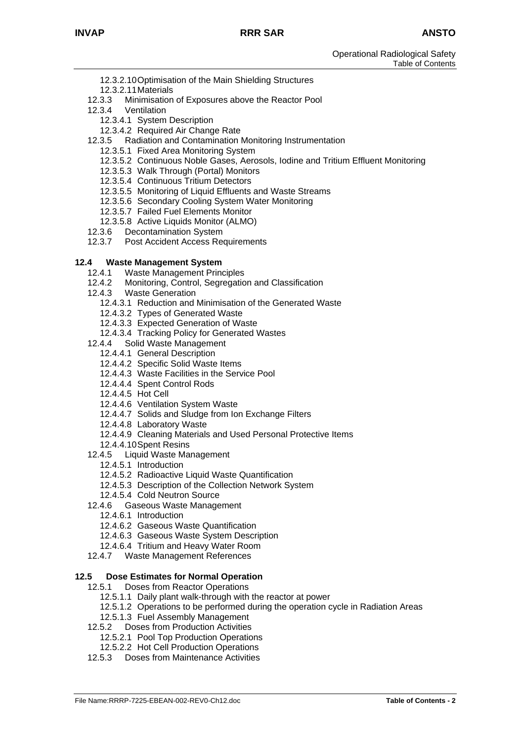- 12.3.2.10Optimisation of the Main Shielding Structures
- 12.3.2.11Materials
- 12.3.3 Minimisation of Exposures above the Reactor Pool
- 12.3.4 Ventilation
	- 12.3.4.1 System Description
	- 12.3.4.2 Required Air Change Rate
- 12.3.5 Radiation and Contamination Monitoring Instrumentation
	- 12.3.5.1 Fixed Area Monitoring System
	- 12.3.5.2 Continuous Noble Gases, Aerosols, Iodine and Tritium Effluent Monitoring
	- 12.3.5.3 Walk Through (Portal) Monitors
	- 12.3.5.4 Continuous Tritium Detectors
	- 12.3.5.5 Monitoring of Liquid Effluents and Waste Streams
	- 12.3.5.6 Secondary Cooling System Water Monitoring
	- 12.3.5.7 Failed Fuel Elements Monitor
	- 12.3.5.8 Active Liquids Monitor (ALMO)
- 12.3.6 Decontamination System
- 12.3.7 Post Accident Access Requirements

#### **12.4 Waste Management System**

- 12.4.1 Waste Management Principles
- 12.4.2 Monitoring, Control, Segregation and Classification
- 12.4.3 Waste Generation
	- 12.4.3.1 Reduction and Minimisation of the Generated Waste
	- 12.4.3.2 Types of Generated Waste
	- 12.4.3.3 Expected Generation of Waste
	- 12.4.3.4 Tracking Policy for Generated Wastes
- 12.4.4 Solid Waste Management
	- 12.4.4.1 General Description
	- 12.4.4.2 Specific Solid Waste Items
	- 12.4.4.3 Waste Facilities in the Service Pool
	- 12.4.4.4 Spent Control Rods
	- 12.4.4.5 Hot Cell
	- 12.4.4.6 Ventilation System Waste
	- 12.4.4.7 Solids and Sludge from Ion Exchange Filters
	- 12.4.4.8 Laboratory Waste
	- 12.4.4.9 Cleaning Materials and Used Personal Protective Items
	- 12.4.4.10Spent Resins
- 12.4.5 Liquid Waste Management
	- 12.4.5.1 Introduction
	- 12.4.5.2 Radioactive Liquid Waste Quantification
	- 12.4.5.3 Description of the Collection Network System
- 12.4.5.4 Cold Neutron Source
- 12.4.6 Gaseous Waste Management
	- 12.4.6.1 Introduction
	- 12.4.6.2 Gaseous Waste Quantification
	- 12.4.6.3 Gaseous Waste System Description
	- 12.4.6.4 Tritium and Heavy Water Room
- 12.4.7 Waste Management References

#### **12.5 Dose Estimates for Normal Operation**

- 12.5.1 Doses from Reactor Operations
	- 12.5.1.1 Daily plant walk-through with the reactor at power
	- 12.5.1.2 Operations to be performed during the operation cycle in Radiation Areas
	- 12.5.1.3 Fuel Assembly Management
- 12.5.2 Doses from Production Activities
	- 12.5.2.1 Pool Top Production Operations
	- 12.5.2.2 Hot Cell Production Operations
- 12.5.3 Doses from Maintenance Activities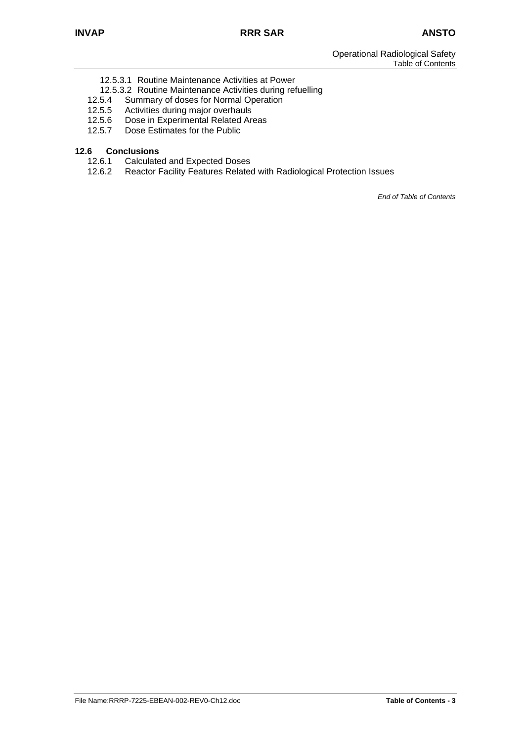- 12.5.3.1 Routine Maintenance Activities at Power
- 12.5.3.2 Routine Maintenance Activities during refuelling
- 12.5.4 Summary of doses for Normal Operation
- 12.5.5 Activities during major overhauls
- 12.5.6 Dose in Experimental Related Areas<br>12.5.7 Dose Estimates for the Public
- Dose Estimates for the Public

# **12.6 Conclusions**

- 12.6.1 Calculated and Expected Doses<br>12.6.2 Reactor Facility Features Relate
- Reactor Facility Features Related with Radiological Protection Issues

*End of Table of Contents*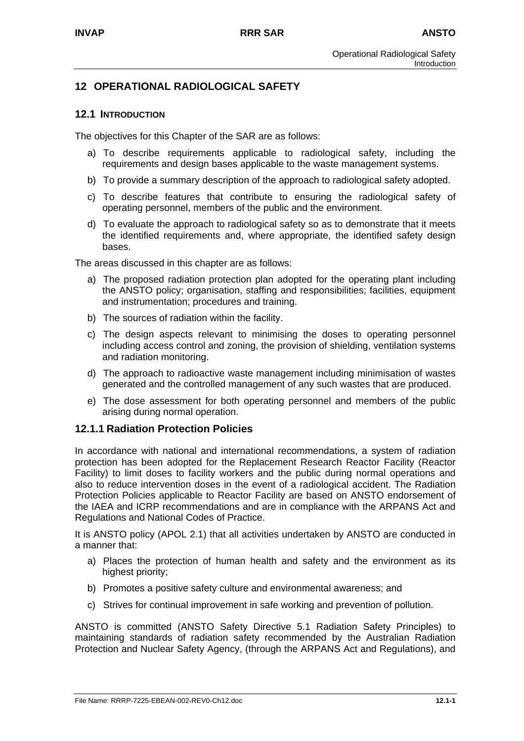# **12 OPERATIONAL RADIOLOGICAL SAFETY**

#### **12.1 INTRODUCTION**

The objectives for this Chapter of the SAR are as follows:

- a) To describe requirements applicable to radiological safety, including the requirements and design bases applicable to the waste management systems.
- b) To provide a summary description of the approach to radiological safety adopted.
- c) To describe features that contribute to ensuring the radiological safety of operating personnel, members of the public and the environment.
- d) To evaluate the approach to radiological safety so as to demonstrate that it meets the identified requirements and, where appropriate, the identified safety design bases.

The areas discussed in this chapter are as follows:

- a) The proposed radiation protection plan adopted for the operating plant including the ANSTO policy; organisation, staffing and responsibilities; facilities, equipment and instrumentation; procedures and training.
- b) The sources of radiation within the facility.
- c) The design aspects relevant to minimising the doses to operating personnel including access control and zoning, the provision of shielding, ventilation systems and radiation monitoring.
- d) The approach to radioactive waste management including minimisation of wastes generated and the controlled management of any such wastes that are produced.
- e) The dose assessment for both operating personnel and members of the public arising during normal operation.

#### **12.1.1 Radiation Protection Policies**

In accordance with national and international recommendations, a system of radiation protection has been adopted for the Replacement Research Reactor Facility (Reactor Facility) to limit doses to facility workers and the public during normal operations and also to reduce intervention doses in the event of a radiological accident. The Radiation Protection Policies applicable to Reactor Facility are based on ANSTO endorsement of the IAEA and ICRP recommendations and are in compliance with the ARPANS Act and Regulations and National Codes of Practice.

It is ANSTO policy (APOL 2.1) that all activities undertaken by ANSTO are conducted in a manner that:

- a) Places the protection of human health and safety and the environment as its highest priority;
- b) Promotes a positive safety culture and environmental awareness; and
- c) Strives for continual improvement in safe working and prevention of pollution.

ANSTO is committed (ANSTO Safety Directive 5.1 Radiation Safety Principles) to maintaining standards of radiation safety recommended by the Australian Radiation Protection and Nuclear Safety Agency, (through the ARPANS Act and Regulations), and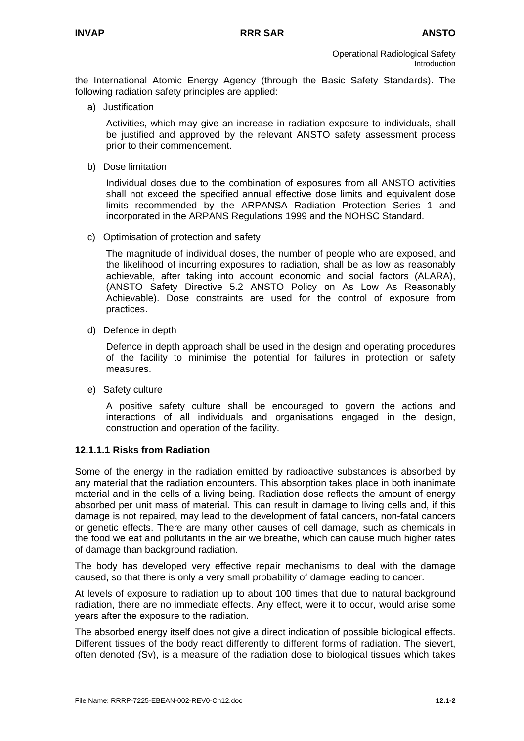the International Atomic Energy Agency (through the Basic Safety Standards). The following radiation safety principles are applied:

a) Justification

Activities, which may give an increase in radiation exposure to individuals, shall be justified and approved by the relevant ANSTO safety assessment process prior to their commencement.

b) Dose limitation

Individual doses due to the combination of exposures from all ANSTO activities shall not exceed the specified annual effective dose limits and equivalent dose limits recommended by the ARPANSA Radiation Protection Series 1 and incorporated in the ARPANS Regulations 1999 and the NOHSC Standard.

c) Optimisation of protection and safety

The magnitude of individual doses, the number of people who are exposed, and the likelihood of incurring exposures to radiation, shall be as low as reasonably achievable, after taking into account economic and social factors (ALARA), (ANSTO Safety Directive 5.2 ANSTO Policy on As Low As Reasonably Achievable). Dose constraints are used for the control of exposure from practices.

d) Defence in depth

Defence in depth approach shall be used in the design and operating procedures of the facility to minimise the potential for failures in protection or safety measures.

e) Safety culture

A positive safety culture shall be encouraged to govern the actions and interactions of all individuals and organisations engaged in the design, construction and operation of the facility.

# **12.1.1.1 Risks from Radiation**

Some of the energy in the radiation emitted by radioactive substances is absorbed by any material that the radiation encounters. This absorption takes place in both inanimate material and in the cells of a living being. Radiation dose reflects the amount of energy absorbed per unit mass of material. This can result in damage to living cells and, if this damage is not repaired, may lead to the development of fatal cancers, non-fatal cancers or genetic effects. There are many other causes of cell damage, such as chemicals in the food we eat and pollutants in the air we breathe, which can cause much higher rates of damage than background radiation.

The body has developed very effective repair mechanisms to deal with the damage caused, so that there is only a very small probability of damage leading to cancer.

At levels of exposure to radiation up to about 100 times that due to natural background radiation, there are no immediate effects. Any effect, were it to occur, would arise some years after the exposure to the radiation.

The absorbed energy itself does not give a direct indication of possible biological effects. Different tissues of the body react differently to different forms of radiation. The sievert, often denoted (Sv), is a measure of the radiation dose to biological tissues which takes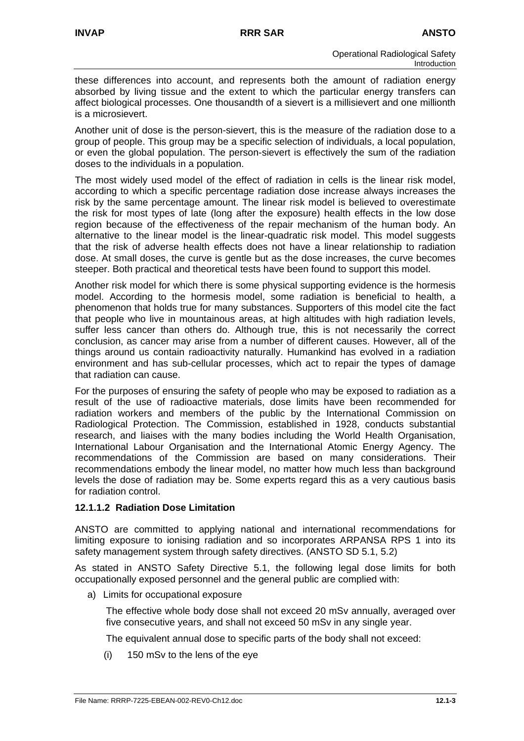these differences into account, and represents both the amount of radiation energy absorbed by living tissue and the extent to which the particular energy transfers can affect biological processes. One thousandth of a sievert is a millisievert and one millionth is a microsievert.

Another unit of dose is the person-sievert, this is the measure of the radiation dose to a group of people. This group may be a specific selection of individuals, a local population, or even the global population. The person-sievert is effectively the sum of the radiation doses to the individuals in a population.

The most widely used model of the effect of radiation in cells is the linear risk model, according to which a specific percentage radiation dose increase always increases the risk by the same percentage amount. The linear risk model is believed to overestimate the risk for most types of late (long after the exposure) health effects in the low dose region because of the effectiveness of the repair mechanism of the human body. An alternative to the linear model is the linear-quadratic risk model. This model suggests that the risk of adverse health effects does not have a linear relationship to radiation dose. At small doses, the curve is gentle but as the dose increases, the curve becomes steeper. Both practical and theoretical tests have been found to support this model.

Another risk model for which there is some physical supporting evidence is the hormesis model. According to the hormesis model, some radiation is beneficial to health, a phenomenon that holds true for many substances. Supporters of this model cite the fact that people who live in mountainous areas, at high altitudes with high radiation levels, suffer less cancer than others do. Although true, this is not necessarily the correct conclusion, as cancer may arise from a number of different causes. However, all of the things around us contain radioactivity naturally. Humankind has evolved in a radiation environment and has sub-cellular processes, which act to repair the types of damage that radiation can cause.

For the purposes of ensuring the safety of people who may be exposed to radiation as a result of the use of radioactive materials, dose limits have been recommended for radiation workers and members of the public by the International Commission on Radiological Protection. The Commission, established in 1928, conducts substantial research, and liaises with the many bodies including the World Health Organisation, International Labour Organisation and the International Atomic Energy Agency. The recommendations of the Commission are based on many considerations. Their recommendations embody the linear model, no matter how much less than background levels the dose of radiation may be. Some experts regard this as a very cautious basis for radiation control.

## **12.1.1.2 Radiation Dose Limitation**

ANSTO are committed to applying national and international recommendations for limiting exposure to ionising radiation and so incorporates ARPANSA RPS 1 into its safety management system through safety directives. (ANSTO SD 5.1, 5.2)

As stated in ANSTO Safety Directive 5.1, the following legal dose limits for both occupationally exposed personnel and the general public are complied with:

a) Limits for occupational exposure

The effective whole body dose shall not exceed 20 mSv annually, averaged over five consecutive years, and shall not exceed 50 mSv in any single year.

The equivalent annual dose to specific parts of the body shall not exceed:

(i) 150 mSv to the lens of the eye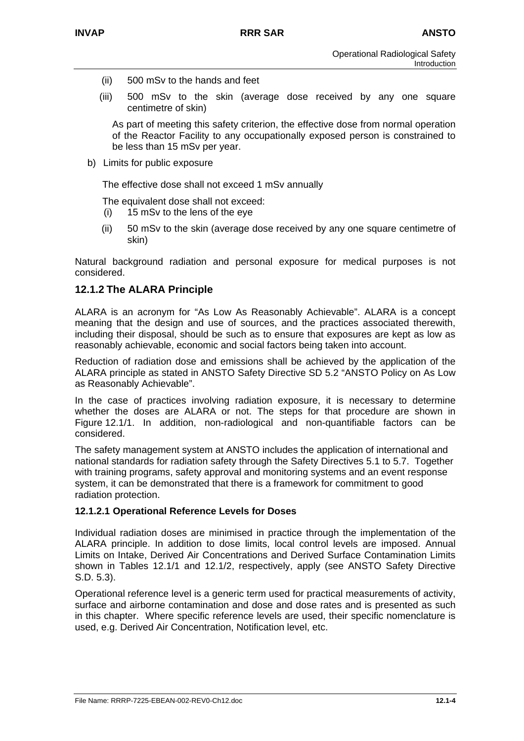- (ii) 500 mSv to the hands and feet
- (iii) 500 mSv to the skin (average dose received by any one square centimetre of skin)

As part of meeting this safety criterion, the effective dose from normal operation of the Reactor Facility to any occupationally exposed person is constrained to be less than 15 mSv per year.

b) Limits for public exposure

The effective dose shall not exceed 1 mSv annually

The equivalent dose shall not exceed:

- (i) 15 mSv to the lens of the eye
- (ii) 50 mSv to the skin (average dose received by any one square centimetre of skin)

Natural background radiation and personal exposure for medical purposes is not considered.

# **12.1.2 The ALARA Principle**

ALARA is an acronym for "As Low As Reasonably Achievable". ALARA is a concept meaning that the design and use of sources, and the practices associated therewith, including their disposal, should be such as to ensure that exposures are kept as low as reasonably achievable, economic and social factors being taken into account.

Reduction of radiation dose and emissions shall be achieved by the application of the ALARA principle as stated in ANSTO Safety Directive SD 5.2 "ANSTO Policy on As Low as Reasonably Achievable".

In the case of practices involving radiation exposure, it is necessary to determine whether the doses are ALARA or not. The steps for that procedure are shown in Figure 12.1/1. In addition, non-radiological and non-quantifiable factors can be considered.

The safety management system at ANSTO includes the application of international and national standards for radiation safety through the Safety Directives 5.1 to 5.7. Together with training programs, safety approval and monitoring systems and an event response system, it can be demonstrated that there is a framework for commitment to good radiation protection.

# **12.1.2.1 Operational Reference Levels for Doses**

Individual radiation doses are minimised in practice through the implementation of the ALARA principle. In addition to dose limits, local control levels are imposed. Annual Limits on Intake, Derived Air Concentrations and Derived Surface Contamination Limits shown in Tables 12.1/1 and 12.1/2, respectively, apply (see ANSTO Safety Directive S.D. 5.3).

Operational reference level is a generic term used for practical measurements of activity, surface and airborne contamination and dose and dose rates and is presented as such in this chapter. Where specific reference levels are used, their specific nomenclature is used, e.g. Derived Air Concentration, Notification level, etc.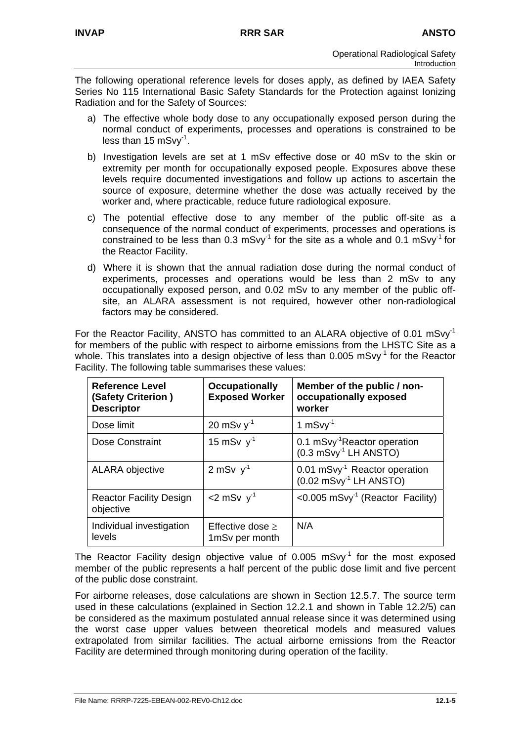The following operational reference levels for doses apply, as defined by IAEA Safety Series No 115 International Basic Safety Standards for the Protection against Ionizing Radiation and for the Safety of Sources:

- a) The effective whole body dose to any occupationally exposed person during the normal conduct of experiments, processes and operations is constrained to be less than 15 mSvy-1.
- b) Investigation levels are set at 1 mSv effective dose or 40 mSv to the skin or extremity per month for occupationally exposed people. Exposures above these levels require documented investigations and follow up actions to ascertain the source of exposure, determine whether the dose was actually received by the worker and, where practicable, reduce future radiological exposure.
- c) The potential effective dose to any member of the public off-site as a consequence of the normal conduct of experiments, processes and operations is constrained to be less than  $0.3 \text{ mS/V}^1$  for the site as a whole and  $0.1 \text{ mS/V}^1$  for the Reactor Facility.
- d) Where it is shown that the annual radiation dose during the normal conduct of experiments, processes and operations would be less than 2 mSv to any occupationally exposed person, and 0.02 mSv to any member of the public offsite, an ALARA assessment is not required, however other non-radiological factors may be considered.

For the Reactor Facility, ANSTO has committed to an ALARA objective of 0.01 mSvy<sup>-1</sup> for members of the public with respect to airborne emissions from the LHSTC Site as a whole. This translates into a design objective of less than  $0.005$  mSvy<sup>-1</sup> for the Reactor Facility. The following table summarises these values:

| <b>Reference Level</b><br>(Safety Criterion)<br><b>Descriptor</b> | <b>Occupationally</b><br><b>Exposed Worker</b> | Member of the public / non-<br>occupationally exposed<br>worker                  |
|-------------------------------------------------------------------|------------------------------------------------|----------------------------------------------------------------------------------|
| Dose limit                                                        | 20 mSv $y-1$                                   | 1 $mSvy^{-1}$                                                                    |
| Dose Constraint                                                   | 15 mSv $v^{-1}$                                | 0.1 mSvy <sup>-1</sup> Reactor operation<br>$(0.3 \text{ mSvy}^{-1}$ LH ANSTO)   |
| <b>ALARA objective</b>                                            | 2 mSv $v^{-1}$                                 | 0.01 mSvy <sup>-1</sup> Reactor operation<br>$(0.02 \text{ mSvy}^{-1}$ LH ANSTO) |
| <b>Reactor Facility Design</b><br>objective                       | $<$ 2 mSv $v-1$                                | < $0.005$ mSvy <sup>-1</sup> (Reactor Facility)                                  |
| Individual investigation<br>levels                                | Effective dose $\geq$<br>1mSv per month        | N/A                                                                              |

The Reactor Facility design objective value of  $0.005$  mSvy<sup>-1</sup> for the most exposed member of the public represents a half percent of the public dose limit and five percent of the public dose constraint.

For airborne releases, dose calculations are shown in Section 12.5.7. The source term used in these calculations (explained in Section 12.2.1 and shown in Table 12.2/5) can be considered as the maximum postulated annual release since it was determined using the worst case upper values between theoretical models and measured values extrapolated from similar facilities. The actual airborne emissions from the Reactor Facility are determined through monitoring during operation of the facility.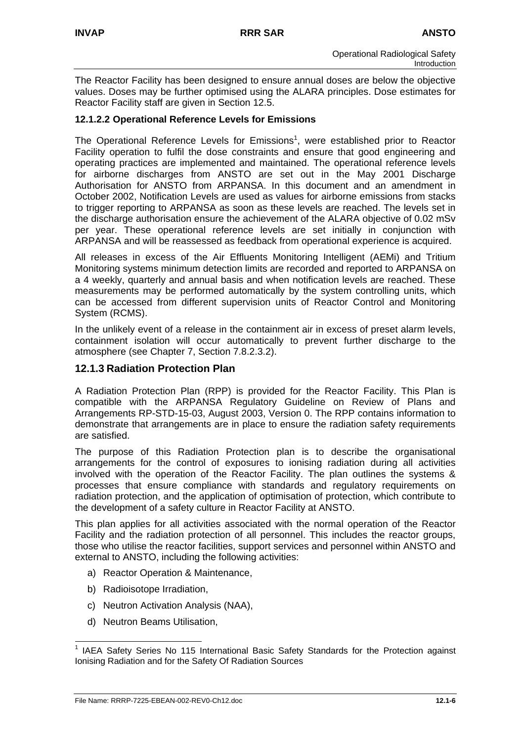The Reactor Facility has been designed to ensure annual doses are below the objective values. Doses may be further optimised using the ALARA principles. Dose estimates for Reactor Facility staff are given in Section 12.5.

# **12.1.2.2 Operational Reference Levels for Emissions**

The Operational Reference Levels for Emissions<sup>[1](#page-10-0)</sup>, were established prior to Reactor Facility operation to fulfil the dose constraints and ensure that good engineering and operating practices are implemented and maintained. The operational reference levels for airborne discharges from ANSTO are set out in the May 2001 Discharge Authorisation for ANSTO from ARPANSA. In this document and an amendment in October 2002, Notification Levels are used as values for airborne emissions from stacks to trigger reporting to ARPANSA as soon as these levels are reached. The levels set in the discharge authorisation ensure the achievement of the ALARA objective of 0.02 mSv per year. These operational reference levels are set initially in conjunction with ARPANSA and will be reassessed as feedback from operational experience is acquired.

All releases in excess of the Air Effluents Monitoring Intelligent (AEMi) and Tritium Monitoring systems minimum detection limits are recorded and reported to ARPANSA on a 4 weekly, quarterly and annual basis and when notification levels are reached. These measurements may be performed automatically by the system controlling units, which can be accessed from different supervision units of Reactor Control and Monitoring System (RCMS).

In the unlikely event of a release in the containment air in excess of preset alarm levels, containment isolation will occur automatically to prevent further discharge to the atmosphere (see Chapter 7, Section 7.8.2.3.2).

# **12.1.3 Radiation Protection Plan**

A Radiation Protection Plan (RPP) is provided for the Reactor Facility. This Plan is compatible with the ARPANSA Regulatory Guideline on Review of Plans and Arrangements RP-STD-15-03, August 2003, Version 0. The RPP contains information to demonstrate that arrangements are in place to ensure the radiation safety requirements are satisfied.

The purpose of this Radiation Protection plan is to describe the organisational arrangements for the control of exposures to ionising radiation during all activities involved with the operation of the Reactor Facility. The plan outlines the systems & processes that ensure compliance with standards and regulatory requirements on radiation protection, and the application of optimisation of protection, which contribute to the development of a safety culture in Reactor Facility at ANSTO.

This plan applies for all activities associated with the normal operation of the Reactor Facility and the radiation protection of all personnel. This includes the reactor groups, those who utilise the reactor facilities, support services and personnel within ANSTO and external to ANSTO, including the following activities:

- a) Reactor Operation & Maintenance,
- b) Radioisotope Irradiation,
- c) Neutron Activation Analysis (NAA),
- d) Neutron Beams Utilisation,

<span id="page-10-0"></span> $\frac{1}{1}$  IAEA Safety Series No 115 International Basic Safety Standards for the Protection against Ionising Radiation and for the Safety Of Radiation Sources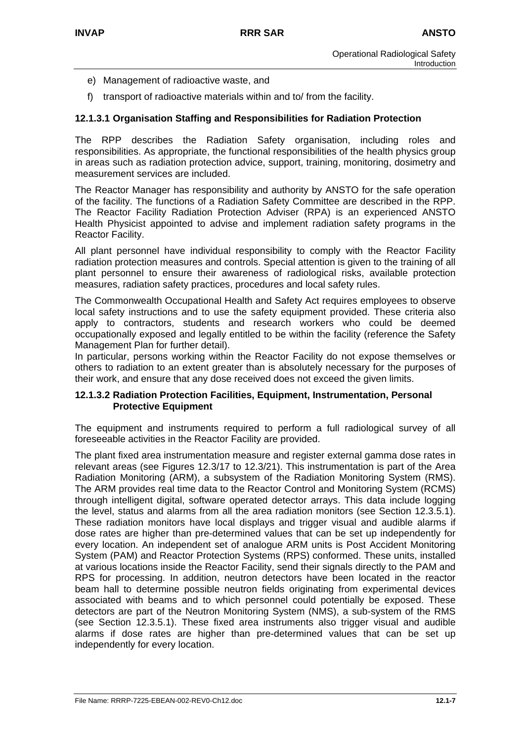- e) Management of radioactive waste, and
- f) transport of radioactive materials within and to/ from the facility.

## **12.1.3.1 Organisation Staffing and Responsibilities for Radiation Protection**

The RPP describes the Radiation Safety organisation, including roles and responsibilities. As appropriate, the functional responsibilities of the health physics group in areas such as radiation protection advice, support, training, monitoring, dosimetry and measurement services are included.

The Reactor Manager has responsibility and authority by ANSTO for the safe operation of the facility. The functions of a Radiation Safety Committee are described in the RPP. The Reactor Facility Radiation Protection Adviser (RPA) is an experienced ANSTO Health Physicist appointed to advise and implement radiation safety programs in the Reactor Facility.

All plant personnel have individual responsibility to comply with the Reactor Facility radiation protection measures and controls. Special attention is given to the training of all plant personnel to ensure their awareness of radiological risks, available protection measures, radiation safety practices, procedures and local safety rules.

The Commonwealth Occupational Health and Safety Act requires employees to observe local safety instructions and to use the safety equipment provided. These criteria also apply to contractors, students and research workers who could be deemed occupationally exposed and legally entitled to be within the facility (reference the Safety Management Plan for further detail).

In particular, persons working within the Reactor Facility do not expose themselves or others to radiation to an extent greater than is absolutely necessary for the purposes of their work, and ensure that any dose received does not exceed the given limits.

#### **12.1.3.2 Radiation Protection Facilities, Equipment, Instrumentation, Personal Protective Equipment**

The equipment and instruments required to perform a full radiological survey of all foreseeable activities in the Reactor Facility are provided.

The plant fixed area instrumentation measure and register external gamma dose rates in relevant areas (see Figures 12.3/17 to 12.3/21). This instrumentation is part of the Area Radiation Monitoring (ARM), a subsystem of the Radiation Monitoring System (RMS). The ARM provides real time data to the Reactor Control and Monitoring System (RCMS) through intelligent digital, software operated detector arrays. This data include logging the level, status and alarms from all the area radiation monitors (see Section 12.3.5.1). These radiation monitors have local displays and trigger visual and audible alarms if dose rates are higher than pre-determined values that can be set up independently for every location. An independent set of analogue ARM units is Post Accident Monitoring System (PAM) and Reactor Protection Systems (RPS) conformed. These units, installed at various locations inside the Reactor Facility, send their signals directly to the PAM and RPS for processing. In addition, neutron detectors have been located in the reactor beam hall to determine possible neutron fields originating from experimental devices associated with beams and to which personnel could potentially be exposed. These detectors are part of the Neutron Monitoring System (NMS), a sub-system of the RMS (see Section 12.3.5.1). These fixed area instruments also trigger visual and audible alarms if dose rates are higher than pre-determined values that can be set up independently for every location.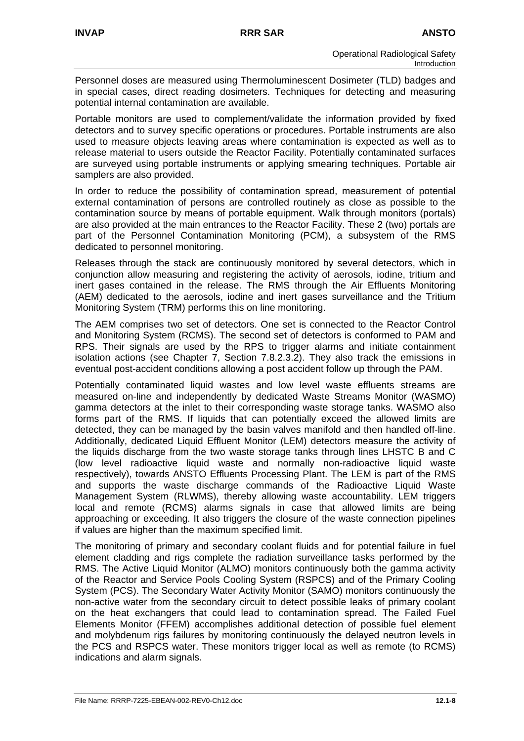Personnel doses are measured using Thermoluminescent Dosimeter (TLD) badges and in special cases, direct reading dosimeters. Techniques for detecting and measuring potential internal contamination are available.

Portable monitors are used to complement/validate the information provided by fixed detectors and to survey specific operations or procedures. Portable instruments are also used to measure objects leaving areas where contamination is expected as well as to release material to users outside the Reactor Facility. Potentially contaminated surfaces are surveyed using portable instruments or applying smearing techniques. Portable air samplers are also provided.

In order to reduce the possibility of contamination spread, measurement of potential external contamination of persons are controlled routinely as close as possible to the contamination source by means of portable equipment. Walk through monitors (portals) are also provided at the main entrances to the Reactor Facility. These 2 (two) portals are part of the Personnel Contamination Monitoring (PCM), a subsystem of the RMS dedicated to personnel monitoring.

Releases through the stack are continuously monitored by several detectors, which in conjunction allow measuring and registering the activity of aerosols, iodine, tritium and inert gases contained in the release. The RMS through the Air Effluents Monitoring (AEM) dedicated to the aerosols, iodine and inert gases surveillance and the Tritium Monitoring System (TRM) performs this on line monitoring.

The AEM comprises two set of detectors. One set is connected to the Reactor Control and Monitoring System (RCMS). The second set of detectors is conformed to PAM and RPS. Their signals are used by the RPS to trigger alarms and initiate containment isolation actions (see Chapter 7, Section 7.8.2.3.2). They also track the emissions in eventual post-accident conditions allowing a post accident follow up through the PAM.

Potentially contaminated liquid wastes and low level waste effluents streams are measured on-line and independently by dedicated Waste Streams Monitor (WASMO) gamma detectors at the inlet to their corresponding waste storage tanks. WASMO also forms part of the RMS. If liquids that can potentially exceed the allowed limits are detected, they can be managed by the basin valves manifold and then handled off-line. Additionally, dedicated Liquid Effluent Monitor (LEM) detectors measure the activity of the liquids discharge from the two waste storage tanks through lines LHSTC B and C (low level radioactive liquid waste and normally non-radioactive liquid waste respectively), towards ANSTO Effluents Processing Plant. The LEM is part of the RMS and supports the waste discharge commands of the Radioactive Liquid Waste Management System (RLWMS), thereby allowing waste accountability. LEM triggers local and remote (RCMS) alarms signals in case that allowed limits are being approaching or exceeding. It also triggers the closure of the waste connection pipelines if values are higher than the maximum specified limit.

The monitoring of primary and secondary coolant fluids and for potential failure in fuel element cladding and rigs complete the radiation surveillance tasks performed by the RMS. The Active Liquid Monitor (ALMO) monitors continuously both the gamma activity of the Reactor and Service Pools Cooling System (RSPCS) and of the Primary Cooling System (PCS). The Secondary Water Activity Monitor (SAMO) monitors continuously the non-active water from the secondary circuit to detect possible leaks of primary coolant on the heat exchangers that could lead to contamination spread. The Failed Fuel Elements Monitor (FFEM) accomplishes additional detection of possible fuel element and molybdenum rigs failures by monitoring continuously the delayed neutron levels in the PCS and RSPCS water. These monitors trigger local as well as remote (to RCMS) indications and alarm signals.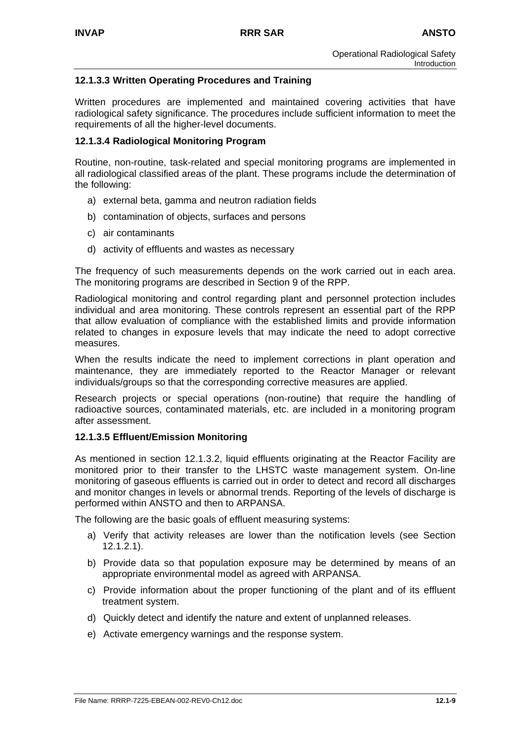# **12.1.3.3 Written Operating Procedures and Training**

Written procedures are implemented and maintained covering activities that have radiological safety significance. The procedures include sufficient information to meet the requirements of all the higher-level documents.

#### **12.1.3.4 Radiological Monitoring Program**

Routine, non-routine, task-related and special monitoring programs are implemented in all radiological classified areas of the plant. These programs include the determination of the following:

- a) external beta, gamma and neutron radiation fields
- b) contamination of objects, surfaces and persons
- c) air contaminants
- d) activity of effluents and wastes as necessary

The frequency of such measurements depends on the work carried out in each area. The monitoring programs are described in Section 9 of the RPP.

Radiological monitoring and control regarding plant and personnel protection includes individual and area monitoring. These controls represent an essential part of the RPP that allow evaluation of compliance with the established limits and provide information related to changes in exposure levels that may indicate the need to adopt corrective measures.

When the results indicate the need to implement corrections in plant operation and maintenance, they are immediately reported to the Reactor Manager or relevant individuals/groups so that the corresponding corrective measures are applied.

Research projects or special operations (non-routine) that require the handling of radioactive sources, contaminated materials, etc. are included in a monitoring program after assessment.

#### **12.1.3.5 Effluent/Emission Monitoring**

As mentioned in section 12.1.3.2, liquid effluents originating at the Reactor Facility are monitored prior to their transfer to the LHSTC waste management system. On-line monitoring of gaseous effluents is carried out in order to detect and record all discharges and monitor changes in levels or abnormal trends. Reporting of the levels of discharge is performed within ANSTO and then to ARPANSA.

The following are the basic goals of effluent measuring systems:

- a) Verify that activity releases are lower than the notification levels (see Section 12.1.2.1).
- b) Provide data so that population exposure may be determined by means of an appropriate environmental model as agreed with ARPANSA.
- c) Provide information about the proper functioning of the plant and of its effluent treatment system.
- d) Quickly detect and identify the nature and extent of unplanned releases.
- e) Activate emergency warnings and the response system.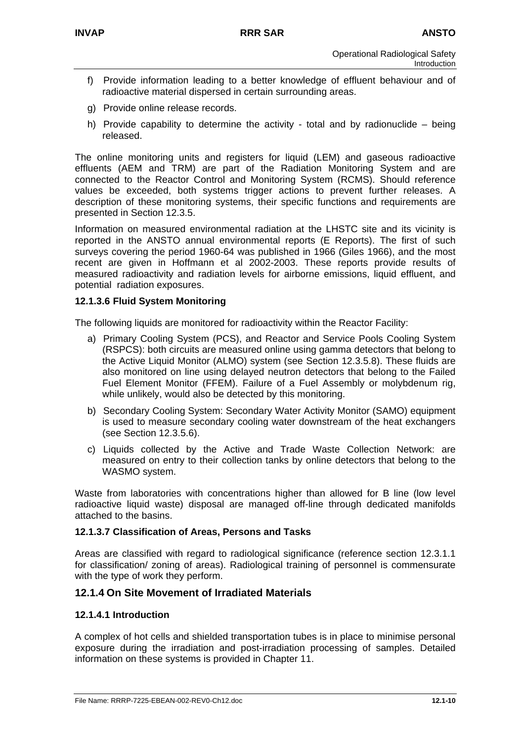- f) Provide information leading to a better knowledge of effluent behaviour and of radioactive material dispersed in certain surrounding areas.
- g) Provide online release records.
- h) Provide capability to determine the activity total and by radionuclide being released.

The online monitoring units and registers for liquid (LEM) and gaseous radioactive effluents (AEM and TRM) are part of the Radiation Monitoring System and are connected to the Reactor Control and Monitoring System (RCMS). Should reference values be exceeded, both systems trigger actions to prevent further releases. A description of these monitoring systems, their specific functions and requirements are presented in Section 12.3.5.

Information on measured environmental radiation at the LHSTC site and its vicinity is reported in the ANSTO annual environmental reports (E Reports). The first of such surveys covering the period 1960-64 was published in 1966 (Giles 1966), and the most recent are given in Hoffmann et al 2002-2003. These reports provide results of measured radioactivity and radiation levels for airborne emissions, liquid effluent, and potential radiation exposures.

## **12.1.3.6 Fluid System Monitoring**

The following liquids are monitored for radioactivity within the Reactor Facility:

- a) Primary Cooling System (PCS), and Reactor and Service Pools Cooling System (RSPCS): both circuits are measured online using gamma detectors that belong to the Active Liquid Monitor (ALMO) system (see Section 12.3.5.8). These fluids are also monitored on line using delayed neutron detectors that belong to the Failed Fuel Element Monitor (FFEM). Failure of a Fuel Assembly or molybdenum rig, while unlikely, would also be detected by this monitoring.
- b) Secondary Cooling System: Secondary Water Activity Monitor (SAMO) equipment is used to measure secondary cooling water downstream of the heat exchangers (see Section 12.3.5.6).
- c) Liquids collected by the Active and Trade Waste Collection Network: are measured on entry to their collection tanks by online detectors that belong to the WASMO system.

Waste from laboratories with concentrations higher than allowed for B line (low level radioactive liquid waste) disposal are managed off-line through dedicated manifolds attached to the basins.

#### **12.1.3.7 Classification of Areas, Persons and Tasks**

Areas are classified with regard to radiological significance (reference section 12.3.1.1 for classification/ zoning of areas). Radiological training of personnel is commensurate with the type of work they perform.

### **12.1.4 On Site Movement of Irradiated Materials**

#### **12.1.4.1 Introduction**

A complex of hot cells and shielded transportation tubes is in place to minimise personal exposure during the irradiation and post-irradiation processing of samples. Detailed information on these systems is provided in Chapter 11.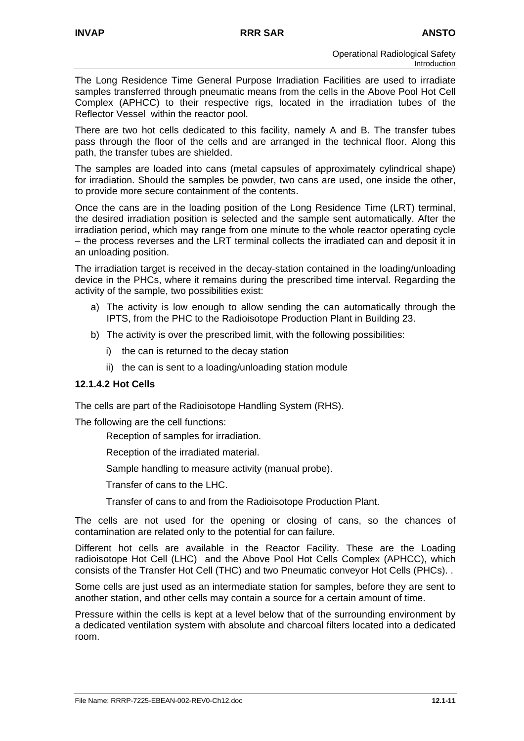The Long Residence Time General Purpose Irradiation Facilities are used to irradiate samples transferred through pneumatic means from the cells in the Above Pool Hot Cell Complex (APHCC) to their respective rigs, located in the irradiation tubes of the Reflector Vessel within the reactor pool.

There are two hot cells dedicated to this facility, namely A and B. The transfer tubes pass through the floor of the cells and are arranged in the technical floor. Along this path, the transfer tubes are shielded.

The samples are loaded into cans (metal capsules of approximately cylindrical shape) for irradiation. Should the samples be powder, two cans are used, one inside the other, to provide more secure containment of the contents.

Once the cans are in the loading position of the Long Residence Time (LRT) terminal, the desired irradiation position is selected and the sample sent automatically. After the irradiation period, which may range from one minute to the whole reactor operating cycle – the process reverses and the LRT terminal collects the irradiated can and deposit it in an unloading position.

The irradiation target is received in the decay-station contained in the loading/unloading device in the PHCs, where it remains during the prescribed time interval. Regarding the activity of the sample, two possibilities exist:

- a) The activity is low enough to allow sending the can automatically through the IPTS, from the PHC to the Radioisotope Production Plant in Building 23.
- b) The activity is over the prescribed limit, with the following possibilities:
	- i) the can is returned to the decay station
	- ii) the can is sent to a loading/unloading station module

#### **12.1.4.2 Hot Cells**

The cells are part of the Radioisotope Handling System (RHS).

The following are the cell functions:

- Reception of samples for irradiation.
- Reception of the irradiated material.
- Sample handling to measure activity (manual probe).
- Transfer of cans to the LHC.
- Transfer of cans to and from the Radioisotope Production Plant.

The cells are not used for the opening or closing of cans, so the chances of contamination are related only to the potential for can failure.

Different hot cells are available in the Reactor Facility. These are the Loading radioisotope Hot Cell (LHC) and the Above Pool Hot Cells Complex (APHCC), which consists of the Transfer Hot Cell (THC) and two Pneumatic conveyor Hot Cells (PHCs). .

Some cells are just used as an intermediate station for samples, before they are sent to another station, and other cells may contain a source for a certain amount of time.

Pressure within the cells is kept at a level below that of the surrounding environment by a dedicated ventilation system with absolute and charcoal filters located into a dedicated room.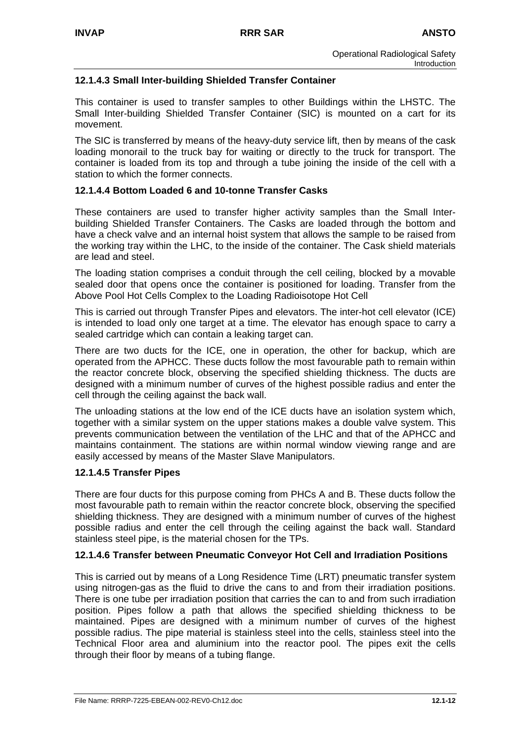# **12.1.4.3 Small Inter-building Shielded Transfer Container**

This container is used to transfer samples to other Buildings within the LHSTC. The Small Inter-building Shielded Transfer Container (SIC) is mounted on a cart for its movement.

The SIC is transferred by means of the heavy-duty service lift, then by means of the cask loading monorail to the truck bay for waiting or directly to the truck for transport. The container is loaded from its top and through a tube joining the inside of the cell with a station to which the former connects.

## **12.1.4.4 Bottom Loaded 6 and 10-tonne Transfer Casks**

These containers are used to transfer higher activity samples than the Small Interbuilding Shielded Transfer Containers. The Casks are loaded through the bottom and have a check valve and an internal hoist system that allows the sample to be raised from the working tray within the LHC, to the inside of the container. The Cask shield materials are lead and steel.

The loading station comprises a conduit through the cell ceiling, blocked by a movable sealed door that opens once the container is positioned for loading. Transfer from the Above Pool Hot Cells Complex to the Loading Radioisotope Hot Cell

This is carried out through Transfer Pipes and elevators. The inter-hot cell elevator (ICE) is intended to load only one target at a time. The elevator has enough space to carry a sealed cartridge which can contain a leaking target can.

There are two ducts for the ICE, one in operation, the other for backup, which are operated from the APHCC. These ducts follow the most favourable path to remain within the reactor concrete block, observing the specified shielding thickness. The ducts are designed with a minimum number of curves of the highest possible radius and enter the cell through the ceiling against the back wall.

The unloading stations at the low end of the ICE ducts have an isolation system which, together with a similar system on the upper stations makes a double valve system. This prevents communication between the ventilation of the LHC and that of the APHCC and maintains containment. The stations are within normal window viewing range and are easily accessed by means of the Master Slave Manipulators.

#### **12.1.4.5 Transfer Pipes**

There are four ducts for this purpose coming from PHCs A and B. These ducts follow the most favourable path to remain within the reactor concrete block, observing the specified shielding thickness. They are designed with a minimum number of curves of the highest possible radius and enter the cell through the ceiling against the back wall. Standard stainless steel pipe, is the material chosen for the TPs.

# **12.1.4.6 Transfer between Pneumatic Conveyor Hot Cell and Irradiation Positions**

This is carried out by means of a Long Residence Time (LRT) pneumatic transfer system using nitrogen-gas as the fluid to drive the cans to and from their irradiation positions. There is one tube per irradiation position that carries the can to and from such irradiation position. Pipes follow a path that allows the specified shielding thickness to be maintained. Pipes are designed with a minimum number of curves of the highest possible radius. The pipe material is stainless steel into the cells, stainless steel into the Technical Floor area and aluminium into the reactor pool. The pipes exit the cells through their floor by means of a tubing flange.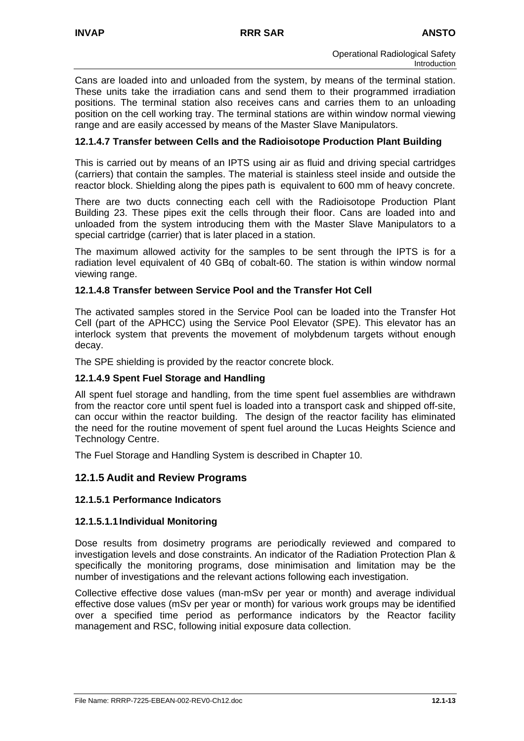Cans are loaded into and unloaded from the system, by means of the terminal station. These units take the irradiation cans and send them to their programmed irradiation positions. The terminal station also receives cans and carries them to an unloading position on the cell working tray. The terminal stations are within window normal viewing range and are easily accessed by means of the Master Slave Manipulators.

# **12.1.4.7 Transfer between Cells and the Radioisotope Production Plant Building**

This is carried out by means of an IPTS using air as fluid and driving special cartridges (carriers) that contain the samples. The material is stainless steel inside and outside the reactor block. Shielding along the pipes path is equivalent to 600 mm of heavy concrete.

There are two ducts connecting each cell with the Radioisotope Production Plant Building 23. These pipes exit the cells through their floor. Cans are loaded into and unloaded from the system introducing them with the Master Slave Manipulators to a special cartridge (carrier) that is later placed in a station.

The maximum allowed activity for the samples to be sent through the IPTS is for a radiation level equivalent of 40 GBq of cobalt-60. The station is within window normal viewing range.

#### **12.1.4.8 Transfer between Service Pool and the Transfer Hot Cell**

The activated samples stored in the Service Pool can be loaded into the Transfer Hot Cell (part of the APHCC) using the Service Pool Elevator (SPE). This elevator has an interlock system that prevents the movement of molybdenum targets without enough decay.

The SPE shielding is provided by the reactor concrete block.

#### **12.1.4.9 Spent Fuel Storage and Handling**

All spent fuel storage and handling, from the time spent fuel assemblies are withdrawn from the reactor core until spent fuel is loaded into a transport cask and shipped off-site, can occur within the reactor building. The design of the reactor facility has eliminated the need for the routine movement of spent fuel around the Lucas Heights Science and Technology Centre.

The Fuel Storage and Handling System is described in Chapter 10.

#### **12.1.5 Audit and Review Programs**

#### **12.1.5.1 Performance Indicators**

#### **12.1.5.1.1 Individual Monitoring**

Dose results from dosimetry programs are periodically reviewed and compared to investigation levels and dose constraints. An indicator of the Radiation Protection Plan & specifically the monitoring programs, dose minimisation and limitation may be the number of investigations and the relevant actions following each investigation.

Collective effective dose values (man-mSv per year or month) and average individual effective dose values (mSv per year or month) for various work groups may be identified over a specified time period as performance indicators by the Reactor facility management and RSC, following initial exposure data collection.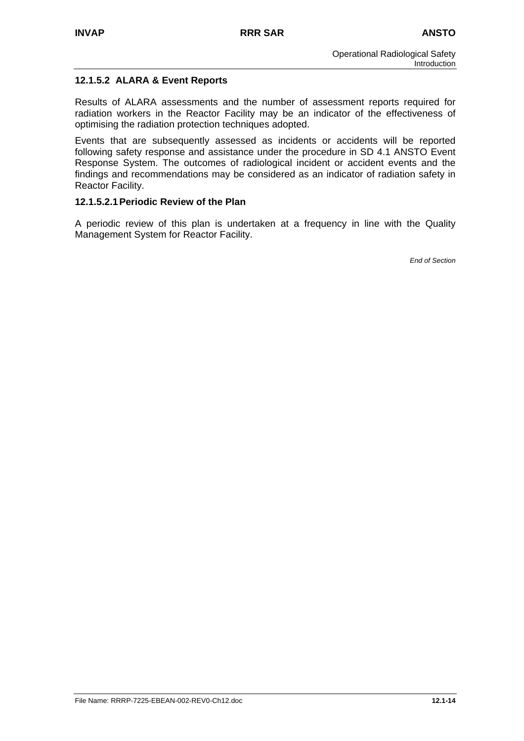# **12.1.5.2 ALARA & Event Reports**

Results of ALARA assessments and the number of assessment reports required for radiation workers in the Reactor Facility may be an indicator of the effectiveness of optimising the radiation protection techniques adopted.

Events that are subsequently assessed as incidents or accidents will be reported following safety response and assistance under the procedure in SD 4.1 ANSTO Event Response System. The outcomes of radiological incident or accident events and the findings and recommendations may be considered as an indicator of radiation safety in Reactor Facility.

## **12.1.5.2.1 Periodic Review of the Plan**

A periodic review of this plan is undertaken at a frequency in line with the Quality Management System for Reactor Facility.

*End of Section*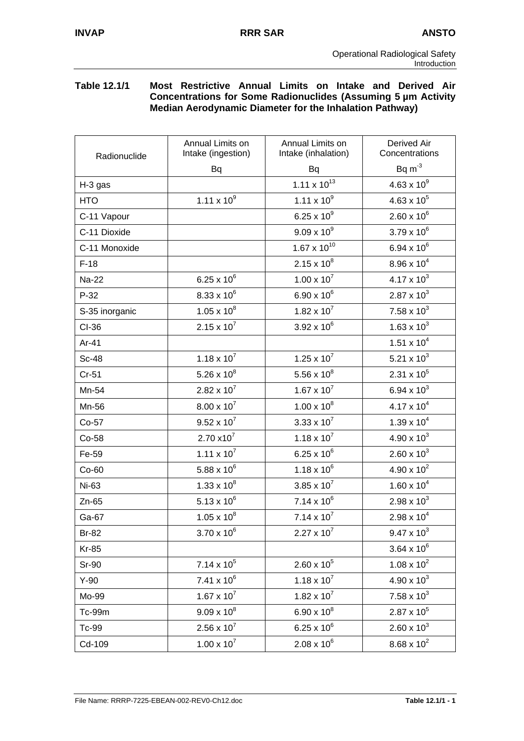#### **Table 12.1/1 Most Restrictive Annual Limits on Intake and Derived Air Concentrations for Some Radionuclides (Assuming 5 µm Activity Median Aerodynamic Diameter for the Inhalation Pathway)**

| Radionuclide   | Annual Limits on<br>Intake (ingestion) | Annual Limits on<br>Intake (inhalation) | <b>Derived Air</b><br>Concentrations |
|----------------|----------------------------------------|-----------------------------------------|--------------------------------------|
|                | <b>Bq</b>                              | <b>Bq</b>                               | $Bq m-3$                             |
| H-3 gas        |                                        | 1.11 $\times$ 10 <sup>13</sup>          | $4.63 \times 10^{9}$                 |
| <b>HTO</b>     | $1.11 \times 10^{9}$                   | $1.11 \times 10^{9}$                    | $4.63 \times 10^{5}$                 |
| C-11 Vapour    |                                        | $6.25 \times 10^{9}$                    | $2.60 \times 10^{6}$                 |
| C-11 Dioxide   |                                        | $9.09 \times 10^{9}$                    | $3.79 \times 10^{6}$                 |
| C-11 Monoxide  |                                        | $1.67 \times 10^{10}$                   | 6.94 x $10^6$                        |
| $F-18$         |                                        | $2.15 \times 10^{8}$                    | $8.96 \times 10^{4}$                 |
| <b>Na-22</b>   | $6.25 \times 10^{6}$                   | $1.00 \times 10^{7}$                    | $4.17 \times 10^{3}$                 |
| P-32           | $8.33 \times 10^{6}$                   | 6.90 x $10^6$                           | $2.87 \times 10^{3}$                 |
| S-35 inorganic | $1.05 \times 10^{8}$                   | $1.82 \times 10^{7}$                    | $7.58 \times 10^{3}$                 |
| CI-36          | $2.15 \times 10^{7}$                   | $3.92 \times 10^{6}$                    | 1.63 x $10^3$                        |
| Ar-41          |                                        |                                         | $1.51 \times 10^{4}$                 |
| <b>Sc-48</b>   | $1.18 \times 10^{7}$                   | $1.25 \times 10^{7}$                    | 5.21 x $10^3$                        |
| $Cr-51$        | 5.26 x $10^8$                          | 5.56 x $10^8$                           | $2.31 \times 10^{5}$                 |
| Mn-54          | $2.82 \times 10^7$                     | $1.67 \times 10^{7}$                    | 6.94 x $10^3$                        |
| Mn-56          | $8.00 \times 10^{7}$                   | $1.00 \times 10^8$                      | $4.17 \times 10^{4}$                 |
| Co-57          | $9.52 \times 10^{7}$                   | $3.33 \times 10^{7}$                    | $1.39 \times 10^{4}$                 |
| Co-58          | $2.70 \times 10^{7}$                   | $1.18 \times 10^{7}$                    | $4.90 \times 10^{3}$                 |
| Fe-59          | $1.11 \times 10^7$                     | 6.25 x $10^6$                           | $2.60 \times 10^{3}$                 |
| $Co-60$        | 5.88 x $10^6$                          | $1.18 \times 10^{6}$                    | $4.90 \times 10^{2}$                 |
| Ni-63          | $1.33 \times 10^{8}$                   | $3.85 \times 10^{7}$                    | $1.60 \times 10^{4}$                 |
| $Zn-65$        | $5.13 \times 10^{6}$                   | $7.14 \times 10^{6}$                    | $2.98 \times 10^{3}$                 |
| Ga-67          | $1.05 \times 10^{8}$                   | $7.14 \times 10^{7}$                    | $2.98 \times 10^{4}$                 |
| Br-82          | $3.70 \times 10^{6}$                   | $2.27 \times 10^7$                      | $9.47 \times 10^{3}$                 |
| <b>Kr-85</b>   |                                        |                                         | $3.64 \times 10^{6}$                 |
| Sr-90          | $7.14 \times 10^5$                     | $2.60 \times 10^5$                      | $1.08 \times 10^{2}$                 |
| $Y-90$         | $7.41 \times 10^{6}$                   | $1.18 \times 10^7$                      | $4.90 \times 10^{3}$                 |
| Mo-99          | $1.67 \times 10^{7}$                   | $1.82 \times 10^7$                      | $7.58 \times 10^3$                   |
| Tc-99m         | $9.09 \times 10^{8}$                   | $6.90 \times 10^{8}$                    | $2.87 \times 10^{5}$                 |
| Tc-99          | $2.56 \times 10^{7}$                   | $6.25 \times 10^{6}$                    | $2.60 \times 10^{3}$                 |
| Cd-109         | $1.00 \times 10^{7}$                   | $2.08 \times 10^{6}$                    | $8.68 \times 10^{2}$                 |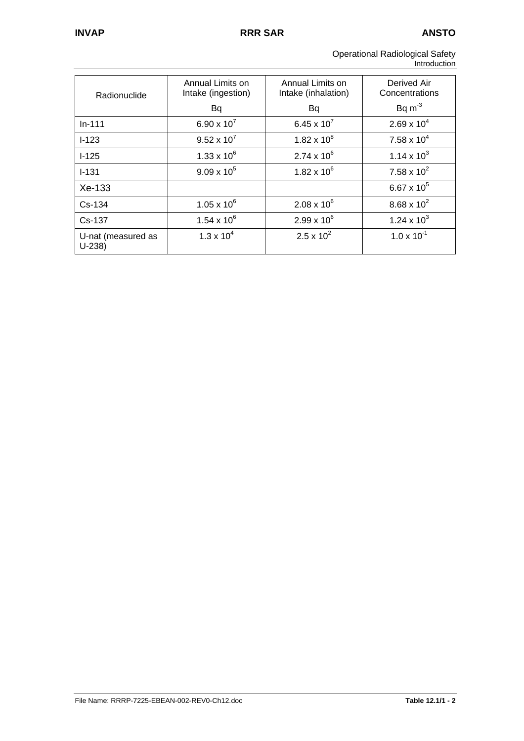| <b>Operational Radiological Safety</b> |  |
|----------------------------------------|--|
| Introduction                           |  |

| Radionuclide                  | Annual Limits on<br>Intake (ingestion) | Annual Limits on<br>Intake (inhalation) | Derived Air<br>Concentrations |
|-------------------------------|----------------------------------------|-----------------------------------------|-------------------------------|
|                               | Bq                                     | Bq                                      | $Bq m-3$                      |
| $In-111$                      | 6.90 x $10^{7}$                        | 6.45 x $10^7$                           | $2.69 \times 10^{4}$          |
| $I - 123$                     | $9.52 \times 10^{7}$                   | $1.82 \times 10^8$                      | $7.58 \times 10^4$            |
| $1-125$                       | $1.33 \times 10^{6}$                   | $2.74 \times 10^{6}$                    | $1.14 \times 10^{3}$          |
| $I - 131$                     | $9.09 \times 10^{5}$                   | $1.82 \times 10^{6}$                    | 7.58 x $10^2$                 |
| Xe-133                        |                                        |                                         | 6.67 x $10^5$                 |
| Cs-134                        | $1.05 \times 10^{6}$                   | $2.08 \times 10^{6}$                    | $8.68 \times 10^{2}$          |
| Cs-137                        | $1.54 \times 10^{6}$                   | $2.99 \times 10^{6}$                    | 1.24 x $10^3$                 |
| U-nat (measured as<br>$U-238$ | $1.3 \times 10^{4}$                    | $2.5 \times 10^{2}$                     | $1.0 \times 10^{-1}$          |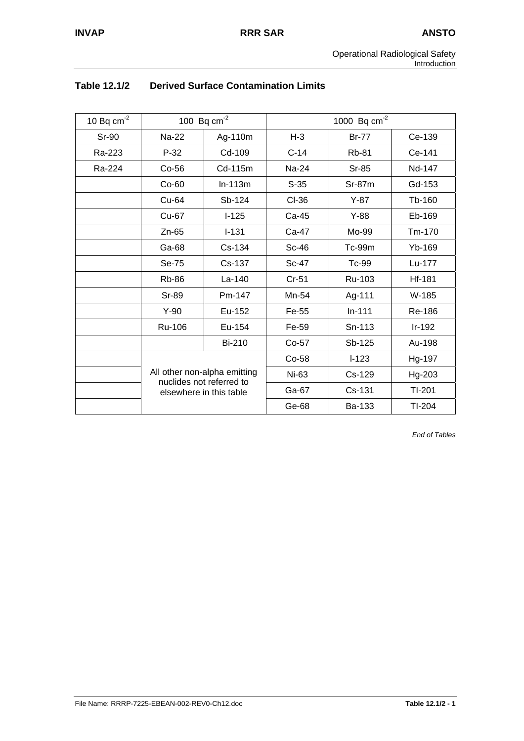| 10 Bq $cm^{-2}$ |              | 100 Bq $cm^{-2}$                                                                    | 1000 Bq $cm^{-2}$ |               |          |
|-----------------|--------------|-------------------------------------------------------------------------------------|-------------------|---------------|----------|
| <b>Sr-90</b>    | Na-22        | Ag-110m                                                                             | $H-3$             | <b>Br-77</b>  | Ce-139   |
| Ra-223          | $P-32$       | Cd-109                                                                              | $C-14$            | <b>Rb-81</b>  | Ce-141   |
| Ra-224          | $Co-56$      | Cd-115m                                                                             | Na-24             | Sr-85         | Nd-147   |
|                 | Co-60        | $ln-113m$                                                                           | $S-35$            | $Sr-87m$      | Gd-153   |
|                 | Cu-64        | Sb-124                                                                              | CI-36             | $Y-87$        | Tb-160   |
|                 | Cu-67        | $I-125$                                                                             | Ca-45             | $Y-88$        | Eb-169   |
|                 | $Zn-65$      | $I - 131$                                                                           | Ca-47             | Mo-99         | Tm-170   |
|                 | Ga-68        | Cs-134                                                                              | $Sc-46$           | <b>Tc-99m</b> | Yb-169   |
|                 | Se-75        | Cs-137                                                                              | Sc-47             | Tc-99         | Lu-177   |
|                 | <b>Rb-86</b> | La-140                                                                              | $Cr-51$           | Ru-103        | Hf-181   |
|                 | Sr-89        | Pm-147                                                                              | Mn-54             | Ag-111        | W-185    |
|                 | $Y-90$       | Eu-152                                                                              | Fe-55             | $In-111$      | Re-186   |
|                 | Ru-106       | Eu-154                                                                              | Fe-59             | Sn-113        | $Ir-192$ |
|                 |              | <b>Bi-210</b>                                                                       | Co-57             | Sb-125        | Au-198   |
|                 |              |                                                                                     | Co-58             | $I-123$       | Hg-197   |
|                 |              | All other non-alpha emitting<br>nuclides not referred to<br>elsewhere in this table |                   | Cs-129        | Hg-203   |
|                 |              |                                                                                     |                   | Cs-131        | TI-201   |
|                 |              |                                                                                     |                   | Ba-133        | $TI-204$ |

# **Table 12.1/2 Derived Surface Contamination Limits**

*End of Tables*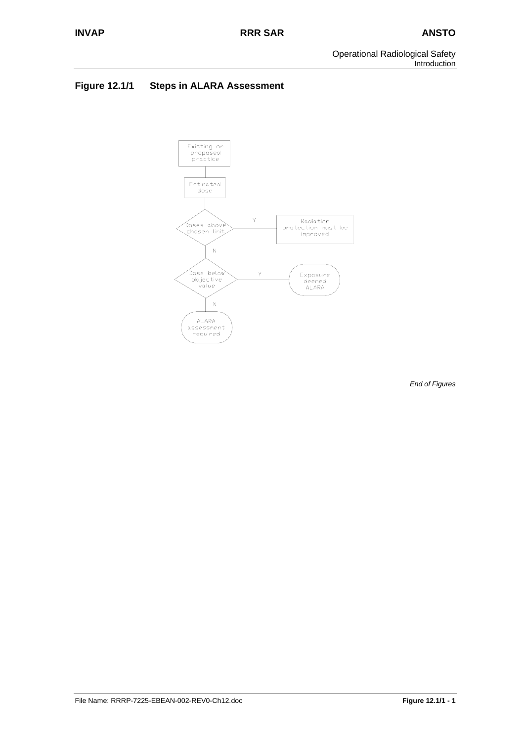Operational Radiological Safety Introduction

# **Figure 12.1/1 Steps in ALARA Assessment**



*End of Figures*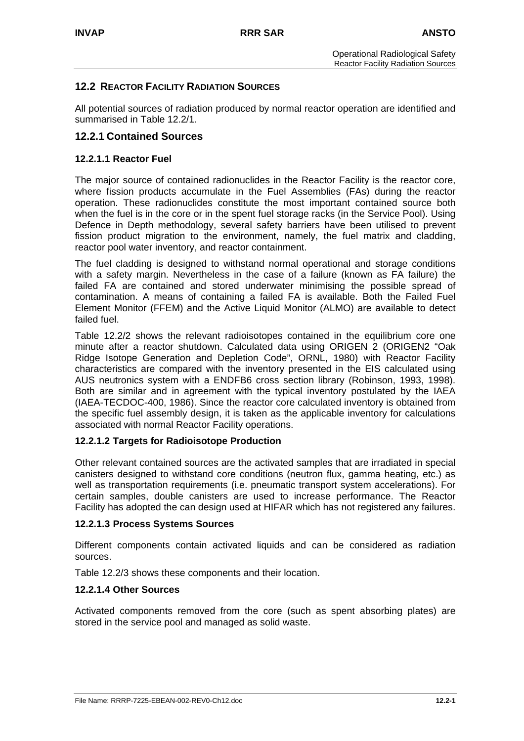# **12.2 REACTOR FACILITY RADIATION SOURCES**

All potential sources of radiation produced by normal reactor operation are identified and summarised in Table 12.2/1.

# **12.2.1 Contained Sources**

#### **12.2.1.1 Reactor Fuel**

The major source of contained radionuclides in the Reactor Facility is the reactor core, where fission products accumulate in the Fuel Assemblies (FAs) during the reactor operation. These radionuclides constitute the most important contained source both when the fuel is in the core or in the spent fuel storage racks (in the Service Pool). Using Defence in Depth methodology, several safety barriers have been utilised to prevent fission product migration to the environment, namely, the fuel matrix and cladding, reactor pool water inventory, and reactor containment.

The fuel cladding is designed to withstand normal operational and storage conditions with a safety margin. Nevertheless in the case of a failure (known as FA failure) the failed FA are contained and stored underwater minimising the possible spread of contamination. A means of containing a failed FA is available. Both the Failed Fuel Element Monitor (FFEM) and the Active Liquid Monitor (ALMO) are available to detect failed fuel.

Table 12.2/2 shows the relevant radioisotopes contained in the equilibrium core one minute after a reactor shutdown. Calculated data using ORIGEN 2 (ORIGEN2 "Oak Ridge Isotope Generation and Depletion Code", ORNL, 1980) with Reactor Facility characteristics are compared with the inventory presented in the EIS calculated using AUS neutronics system with a ENDFB6 cross section library (Robinson, 1993, 1998). Both are similar and in agreement with the typical inventory postulated by the IAEA (IAEA-TECDOC-400, 1986). Since the reactor core calculated inventory is obtained from the specific fuel assembly design, it is taken as the applicable inventory for calculations associated with normal Reactor Facility operations.

#### **12.2.1.2 Targets for Radioisotope Production**

Other relevant contained sources are the activated samples that are irradiated in special canisters designed to withstand core conditions (neutron flux, gamma heating, etc.) as well as transportation requirements (i.e. pneumatic transport system accelerations). For certain samples, double canisters are used to increase performance. The Reactor Facility has adopted the can design used at HIFAR which has not registered any failures.

#### **12.2.1.3 Process Systems Sources**

Different components contain activated liquids and can be considered as radiation sources.

Table 12.2/3 shows these components and their location.

#### **12.2.1.4 Other Sources**

Activated components removed from the core (such as spent absorbing plates) are stored in the service pool and managed as solid waste.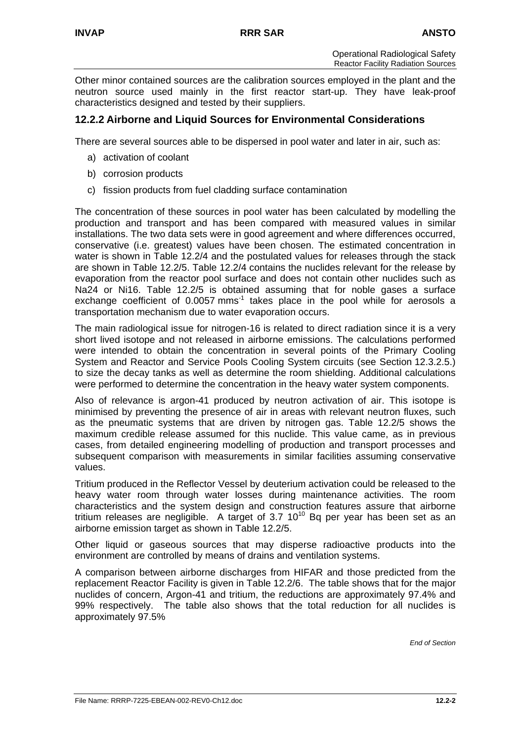Other minor contained sources are the calibration sources employed in the plant and the neutron source used mainly in the first reactor start-up. They have leak-proof characteristics designed and tested by their suppliers.

# **12.2.2 Airborne and Liquid Sources for Environmental Considerations**

There are several sources able to be dispersed in pool water and later in air, such as:

- a) activation of coolant
- b) corrosion products
- c) fission products from fuel cladding surface contamination

The concentration of these sources in pool water has been calculated by modelling the production and transport and has been compared with measured values in similar installations. The two data sets were in good agreement and where differences occurred, conservative (i.e. greatest) values have been chosen. The estimated concentration in water is shown in Table 12.2/4 and the postulated values for releases through the stack are shown in Table 12.2/5. Table 12.2/4 contains the nuclides relevant for the release by evaporation from the reactor pool surface and does not contain other nuclides such as Na24 or Ni16. Table 12.2/5 is obtained assuming that for noble gases a surface exchange coefficient of 0.0057 mms<sup>-1</sup> takes place in the pool while for aerosols a transportation mechanism due to water evaporation occurs.

The main radiological issue for nitrogen-16 is related to direct radiation since it is a very short lived isotope and not released in airborne emissions. The calculations performed were intended to obtain the concentration in several points of the Primary Cooling System and Reactor and Service Pools Cooling System circuits (see Section 12.3.2.5.) to size the decay tanks as well as determine the room shielding. Additional calculations were performed to determine the concentration in the heavy water system components.

Also of relevance is argon-41 produced by neutron activation of air. This isotope is minimised by preventing the presence of air in areas with relevant neutron fluxes, such as the pneumatic systems that are driven by nitrogen gas. Table 12.2/5 shows the maximum credible release assumed for this nuclide. This value came, as in previous cases, from detailed engineering modelling of production and transport processes and subsequent comparison with measurements in similar facilities assuming conservative values.

Tritium produced in the Reflector Vessel by deuterium activation could be released to the heavy water room through water losses during maintenance activities. The room characteristics and the system design and construction features assure that airborne tritium releases are negligible. A target of 3.7  $10^{10}$  Bg per year has been set as an airborne emission target as shown in Table 12.2/5.

Other liquid or gaseous sources that may disperse radioactive products into the environment are controlled by means of drains and ventilation systems.

A comparison between airborne discharges from HIFAR and those predicted from the replacement Reactor Facility is given in Table 12.2/6. The table shows that for the major nuclides of concern, Argon-41 and tritium, the reductions are approximately 97.4% and 99% respectively. The table also shows that the total reduction for all nuclides is approximately 97.5%

*End of Section*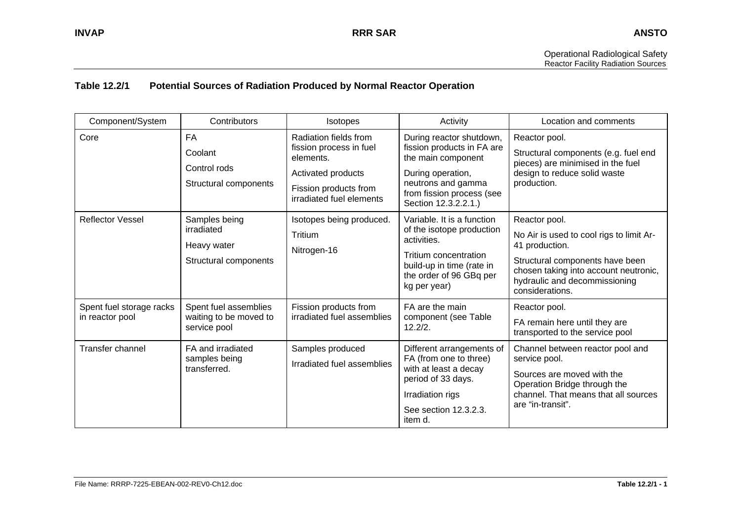### **Table 12.2/1 Potential Sources of Radiation Produced by Normal Reactor Operation**

| Component/System                            | Contributors                                                        | <b>Isotopes</b>                                                                                                                          | Activity                                                                                                                                                                     | Location and comments                                                                                                                                                                                       |
|---------------------------------------------|---------------------------------------------------------------------|------------------------------------------------------------------------------------------------------------------------------------------|------------------------------------------------------------------------------------------------------------------------------------------------------------------------------|-------------------------------------------------------------------------------------------------------------------------------------------------------------------------------------------------------------|
| Core                                        | <b>FA</b><br>Coolant<br>Control rods<br>Structural components       | Radiation fields from<br>fission process in fuel<br>elements.<br>Activated products<br>Fission products from<br>irradiated fuel elements | During reactor shutdown,<br>fission products in FA are<br>the main component<br>During operation,<br>neutrons and gamma<br>from fission process (see<br>Section 12.3.2.2.1.) | Reactor pool.<br>Structural components (e.g. fuel end<br>pieces) are minimised in the fuel<br>design to reduce solid waste<br>production.                                                                   |
| <b>Reflector Vessel</b>                     | Samples being<br>irradiated<br>Heavy water<br>Structural components | Isotopes being produced.<br>Tritium<br>Nitrogen-16                                                                                       | Variable. It is a function<br>of the isotope production<br>activities.<br>Tritium concentration<br>build-up in time (rate in<br>the order of 96 GBq per<br>kg per year)      | Reactor pool.<br>No Air is used to cool rigs to limit Ar-<br>41 production.<br>Structural components have been<br>chosen taking into account neutronic,<br>hydraulic and decommissioning<br>considerations. |
| Spent fuel storage racks<br>in reactor pool | Spent fuel assemblies<br>waiting to be moved to<br>service pool     | Fission products from<br>irradiated fuel assemblies                                                                                      | FA are the main<br>component (see Table<br>12.2/2.                                                                                                                           | Reactor pool.<br>FA remain here until they are<br>transported to the service pool                                                                                                                           |
| Transfer channel                            | FA and irradiated<br>samples being<br>transferred.                  | Samples produced<br>Irradiated fuel assemblies                                                                                           | Different arrangements of<br>FA (from one to three)<br>with at least a decay<br>period of 33 days.<br>Irradiation rigs<br>See section 12.3.2.3.<br>item d.                   | Channel between reactor pool and<br>service pool.<br>Sources are moved with the<br>Operation Bridge through the<br>channel. That means that all sources<br>are "in-transit".                                |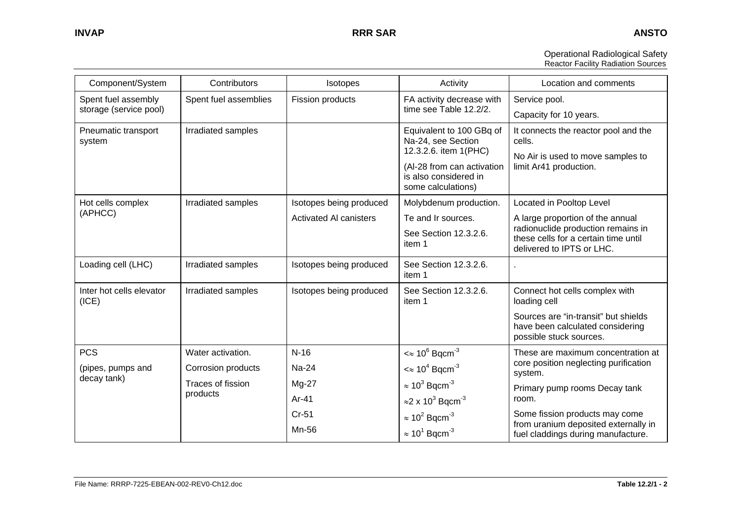| <b>Operational Radiological Safety</b>    |
|-------------------------------------------|
| <b>Reactor Facility Radiation Sources</b> |

| Component/System                  | Contributors          | Isotopes                      | Activity                                                                                                                                             | Location and comments                                                                                         |
|-----------------------------------|-----------------------|-------------------------------|------------------------------------------------------------------------------------------------------------------------------------------------------|---------------------------------------------------------------------------------------------------------------|
| Spent fuel assembly               | Spent fuel assemblies | Fission products              | FA activity decrease with                                                                                                                            | Service pool.                                                                                                 |
| storage (service pool)            |                       |                               | time see Table 12.2/2.                                                                                                                               | Capacity for 10 years.                                                                                        |
| Pneumatic transport<br>system     | Irradiated samples    |                               | Equivalent to 100 GBq of<br>Na-24, see Section<br>12.3.2.6. item 1(PHC)<br>(Al-28 from can activation<br>is also considered in<br>some calculations) | It connects the reactor pool and the<br>cells.<br>No Air is used to move samples to<br>limit Ar41 production. |
| Hot cells complex                 | Irradiated samples    | Isotopes being produced       | Molybdenum production.                                                                                                                               | Located in Pooltop Level                                                                                      |
| (APHCC)                           |                       | <b>Activated AI canisters</b> | Te and Ir sources.                                                                                                                                   | A large proportion of the annual                                                                              |
|                                   |                       |                               | See Section 12.3.2.6.<br>item 1                                                                                                                      | radionuclide production remains in<br>these cells for a certain time until<br>delivered to IPTS or LHC.       |
| Loading cell (LHC)                | Irradiated samples    | Isotopes being produced       | See Section 12.3.2.6.<br>item 1                                                                                                                      |                                                                                                               |
| Inter hot cells elevator<br>(ICE) | Irradiated samples    | Isotopes being produced       | See Section 12.3.2.6.<br>item 1                                                                                                                      | Connect hot cells complex with<br>loading cell                                                                |
|                                   |                       |                               |                                                                                                                                                      | Sources are "in-transit" but shields<br>have been calculated considering<br>possible stuck sources.           |
| <b>PCS</b>                        | Water activation.     | $N-16$                        | $\approx 10^6$ Bqcm <sup>-3</sup>                                                                                                                    | These are maximum concentration at                                                                            |
| (pipes, pumps and                 | Corrosion products    | Na-24                         | $\approx 10^4$ Bqcm <sup>-3</sup>                                                                                                                    | core position neglecting purification<br>system.                                                              |
| decay tank)                       | Traces of fission     | Mg-27                         | $\approx 10^3$ Bqcm <sup>-3</sup>                                                                                                                    | Primary pump rooms Decay tank                                                                                 |
|                                   | products              | $Ar-41$                       | $\approx$ 2 x 10 <sup>3</sup> Bqcm <sup>-3</sup>                                                                                                     | room.                                                                                                         |
|                                   |                       | $Cr-51$                       | $\approx 10^2$ Bqcm <sup>-3</sup>                                                                                                                    | Some fission products may come<br>from uranium deposited externally in                                        |
|                                   |                       | Mn-56                         | $\approx 10^1$ Bqcm <sup>-3</sup>                                                                                                                    | fuel claddings during manufacture.                                                                            |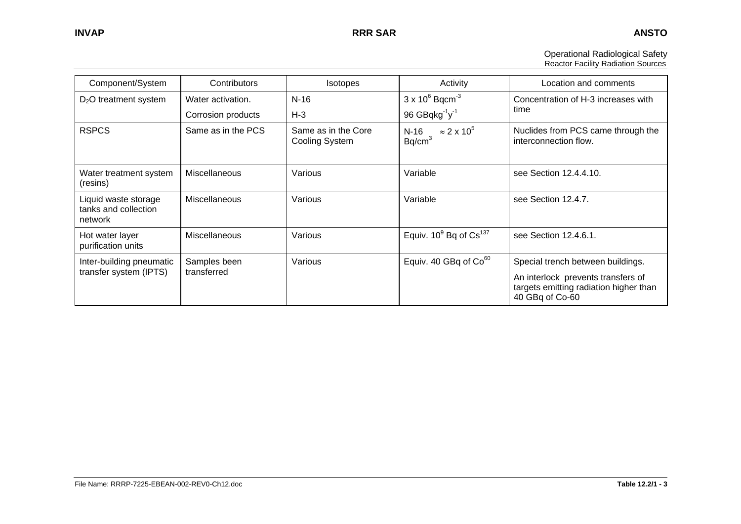| <b>Operational Radiological Safety</b>    |
|-------------------------------------------|
| <b>Reactor Facility Radiation Sources</b> |

| Component/System                                        | Contributors                | Isotopes                              | Activity                                           | Location and comments                                                                                             |
|---------------------------------------------------------|-----------------------------|---------------------------------------|----------------------------------------------------|-------------------------------------------------------------------------------------------------------------------|
| $D_2O$ treatment system                                 | Water activation.           | $N-16$                                | $3 \times 10^6$ Bqcm <sup>-3</sup>                 | Concentration of H-3 increases with                                                                               |
|                                                         | Corrosion products          | $H-3$                                 | 96 GBqkg $^{-1}$ y $^{-1}$                         | time                                                                                                              |
| <b>RSPCS</b>                                            | Same as in the PCS          | Same as in the Core<br>Cooling System | N-16 $\approx 2 \times 10^5$<br>Bq/cm <sup>3</sup> | Nuclides from PCS came through the<br>interconnection flow.                                                       |
| Water treatment system<br>(resins)                      | <b>Miscellaneous</b>        | Various                               | Variable                                           | see Section 12.4.4.10.                                                                                            |
| Liquid waste storage<br>tanks and collection<br>network | <b>Miscellaneous</b>        | Various                               | Variable                                           | see Section 12.4.7.                                                                                               |
| Hot water layer<br>purification units                   | <b>Miscellaneous</b>        | Various                               | Equiv. $10^9$ Bq of $Cs^{137}$                     | see Section 12.4.6.1.                                                                                             |
| Inter-building pneumatic<br>transfer system (IPTS)      | Samples been<br>transferred | Various                               | Equiv. 40 GBq of Co <sup>60</sup>                  | Special trench between buildings.<br>An interlock prevents transfers of<br>targets emitting radiation higher than |
|                                                         |                             |                                       |                                                    | 40 GBq of Co-60                                                                                                   |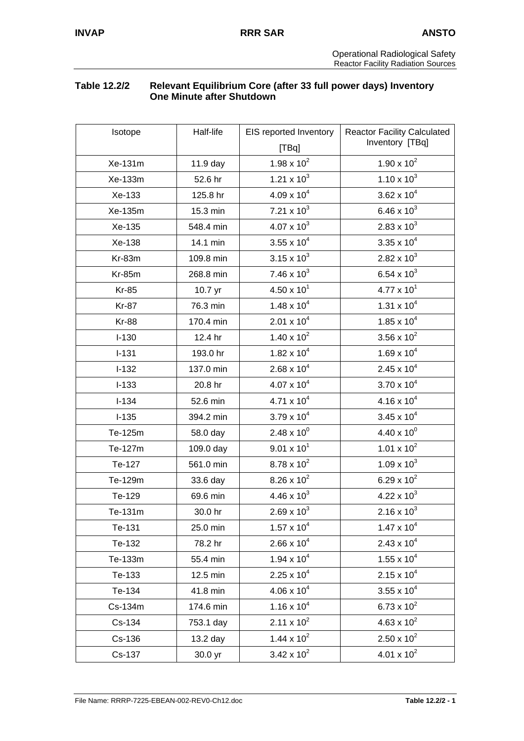# **Table 12.2/2 Relevant Equilibrium Core (after 33 full power days) Inventory One Minute after Shutdown**

| Isotope       | Half-life | EIS reported Inventory        | <b>Reactor Facility Calculated</b> |  |
|---------------|-----------|-------------------------------|------------------------------------|--|
|               |           |                               | Inventory [TBq]                    |  |
| Xe-131m       | 11.9 day  | 1.98 x $10^2$                 | $1.90 \times 10^{2}$               |  |
| Xe-133m       | 52.6 hr   | 1.21 $\times$ 10 <sup>3</sup> | $1.10 \times 10^{3}$               |  |
| Xe-133        | 125.8 hr  | $4.09 \times 10^{4}$          | $3.62 \times 10^{4}$               |  |
| Xe-135m       | 15.3 min  | $7.21 \times 10^3$            | 6.46 x $10^3$                      |  |
| Xe-135        | 548.4 min | $4.07 \times 10^{3}$          | $2.83 \times 10^{3}$               |  |
| Xe-138        | 14.1 min  | $3.55 \times 10^{4}$          | $3.35 \times 10^{4}$               |  |
| Kr-83m        | 109.8 min | $3.15 \times 10^{3}$          | $2.82 \times 10^3$                 |  |
| <b>Kr-85m</b> | 268.8 min | 7.46 x $10^3$                 | 6.54 x $10^3$                      |  |
| <b>Kr-85</b>  | 10.7 yr   | $4.50 \times 10^{1}$          | $4.77 \times 10^{1}$               |  |
| <b>Kr-87</b>  | 76.3 min  | $1.48 \times 10^{4}$          | $1.31 \times 10^{4}$               |  |
| <b>Kr-88</b>  | 170.4 min | $2.01 \times 10^{4}$          | $1.85 \times 10^{4}$               |  |
| $I-130$       | 12.4 hr   | $1.40 \times 10^{2}$          | 3.56 x $10^2$                      |  |
| $I-131$       | 193.0 hr  | $1.82 \times 10^{4}$          | $1.69 \times 10^{4}$               |  |
| $I-132$       | 137.0 min | $2.68 \times 10^{4}$          | $2.45 \times 10^{4}$               |  |
| $I-133$       | 20.8 hr   | $4.07 \times 10^{4}$          | $3.70 \times 10^{4}$               |  |
| $I-134$       | 52.6 min  | $4.71 \times 10^{4}$          | $4.16 \times 10^{4}$               |  |
| $I-135$       | 394.2 min | $3.79 \times 10^{4}$          | $3.45 \times 10^{4}$               |  |
| Te-125m       | 58.0 day  | $2.48 \times 10^{0}$          | $4.40 \times 10^{0}$               |  |
| Te-127m       | 109.0 day | $9.01 \times 10^{1}$          | $1.01 \times 10^{2}$               |  |
| Te-127        | 561.0 min | $8.78 \times 10^{2}$          | $1.09 \times 10^{3}$               |  |
| Te-129m       | 33.6 day  | $8.26 \times 10^{2}$          | 6.29 x $10^2$                      |  |
| Te-129        | 69.6 min  | $4.46 \times 10^{3}$          | $4.22 \times 10^{3}$               |  |
| Te-131m       | 30.0 hr   | $2.69 \times 10^{3}$          | $2.16 \times 10^{3}$               |  |
| Te-131        | 25.0 min  | $1.57 \times 10^{4}$          | $1.47 \times 10^{4}$               |  |
| Te-132        | 78.2 hr   | $2.66 \times 10^{4}$          | $2.43 \times 10^{4}$               |  |
| Te-133m       | 55.4 min  | $1.94 \times 10^{4}$          | $1.55 \times 10^{4}$               |  |
| Te-133        | 12.5 min  | $2.25 \times 10^4$            | $2.15 \times 10^{4}$               |  |
| Te-134        | 41.8 min  | $4.06 \times 10^{4}$          | $3.55 \times 10^{4}$               |  |
| Cs-134m       | 174.6 min | $1.16 \times 10^{4}$          | 6.73 x $10^2$                      |  |
| Cs-134        | 753.1 day | $2.11 \times 10^{2}$          | $4.63 \times 10^{2}$               |  |
| Cs-136        | 13.2 day  | $1.44 \times 10^{2}$          | $2.50 \times 10^{2}$               |  |
| Cs-137        | 30.0 yr   | $3.42 \times 10^{2}$          | $4.01 \times 10^{2}$               |  |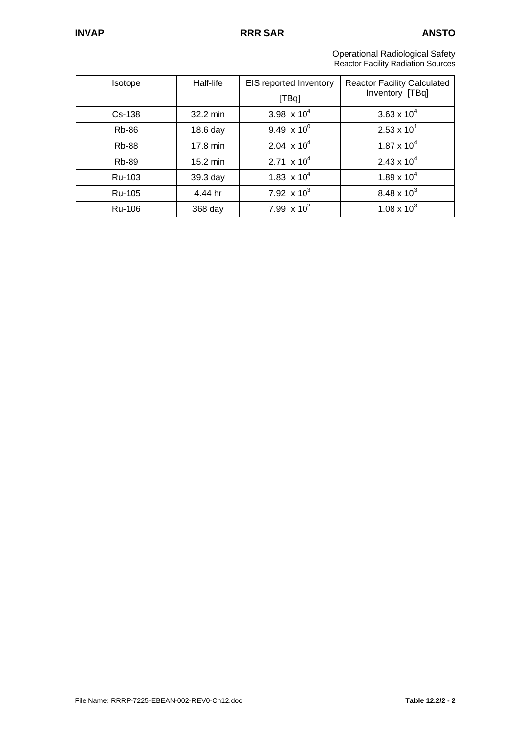Operational Radiological Safety Reactor Facility Radiation Sources

| <b>Isotope</b> | Half-life          | EIS reported Inventory<br>[TBq] | <b>Reactor Facility Calculated</b><br>Inventory [TBq] |
|----------------|--------------------|---------------------------------|-------------------------------------------------------|
| $Cs - 138$     | 32.2 min           | 3.98 $\times 10^4$              | $3.63 \times 10^{4}$                                  |
| <b>Rb-86</b>   | 18.6 day           | 9.49 $\times 10^{0}$            | $2.53 \times 10^{1}$                                  |
| <b>Rb-88</b>   | 17.8 min           | 2.04 $\times$ 10 <sup>4</sup>   | $1.87 \times 10^{4}$                                  |
| <b>Rb-89</b>   | $15.2 \text{ min}$ | 2.71 $\times$ 10 <sup>4</sup>   | $2.43 \times 10^{4}$                                  |
| Ru-103         | $39.3$ day         | 1.83 $\times$ 10 <sup>4</sup>   | $1.89 \times 10^{4}$                                  |
| Ru-105         | 4.44 hr            | 7.92 $\times$ 10 <sup>3</sup>   | 8.48 x $10^3$                                         |
| Ru-106         | 368 day            | 7.99 $\times 10^2$              | 1.08 x $10^3$                                         |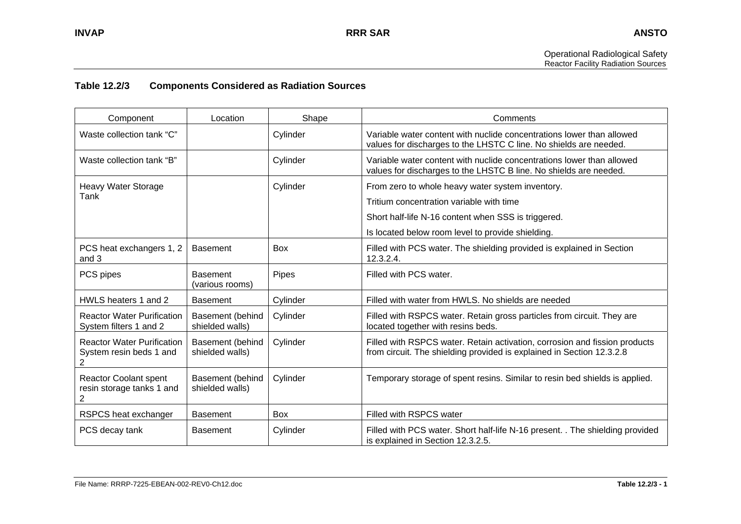## **Table 12.2/3 Components Considered as Radiation Sources**

| Component                                                         | Location                            | Shape      | Comments                                                                                                                                                                                                 |
|-------------------------------------------------------------------|-------------------------------------|------------|----------------------------------------------------------------------------------------------------------------------------------------------------------------------------------------------------------|
| Waste collection tank "C"                                         |                                     | Cylinder   | Variable water content with nuclide concentrations lower than allowed<br>values for discharges to the LHSTC C line. No shields are needed.                                                               |
| Waste collection tank "B"                                         |                                     | Cylinder   | Variable water content with nuclide concentrations lower than allowed<br>values for discharges to the LHSTC B line. No shields are needed.                                                               |
| <b>Heavy Water Storage</b><br>Tank                                |                                     | Cylinder   | From zero to whole heavy water system inventory.<br>Tritium concentration variable with time<br>Short half-life N-16 content when SSS is triggered.<br>Is located below room level to provide shielding. |
| PCS heat exchangers 1, 2<br>and 3                                 | <b>Basement</b>                     | <b>Box</b> | Filled with PCS water. The shielding provided is explained in Section<br>12.3.2.4.                                                                                                                       |
| PCS pipes                                                         | <b>Basement</b><br>(various rooms)  | Pipes      | Filled with PCS water.                                                                                                                                                                                   |
| HWLS heaters 1 and 2                                              | <b>Basement</b>                     | Cylinder   | Filled with water from HWLS. No shields are needed                                                                                                                                                       |
| <b>Reactor Water Purification</b><br>System filters 1 and 2       | Basement (behind<br>shielded walls) | Cylinder   | Filled with RSPCS water. Retain gross particles from circuit. They are<br>located together with resins beds.                                                                                             |
| <b>Reactor Water Purification</b><br>System resin beds 1 and<br>2 | Basement (behind<br>shielded walls) | Cylinder   | Filled with RSPCS water. Retain activation, corrosion and fission products<br>from circuit. The shielding provided is explained in Section 12.3.2.8                                                      |
| <b>Reactor Coolant spent</b><br>resin storage tanks 1 and<br>2    | Basement (behind<br>shielded walls) | Cylinder   | Temporary storage of spent resins. Similar to resin bed shields is applied.                                                                                                                              |
| RSPCS heat exchanger                                              | <b>Basement</b>                     | <b>Box</b> | Filled with RSPCS water                                                                                                                                                                                  |
| PCS decay tank                                                    | <b>Basement</b>                     | Cylinder   | Filled with PCS water. Short half-life N-16 present. . The shielding provided<br>is explained in Section 12.3.2.5.                                                                                       |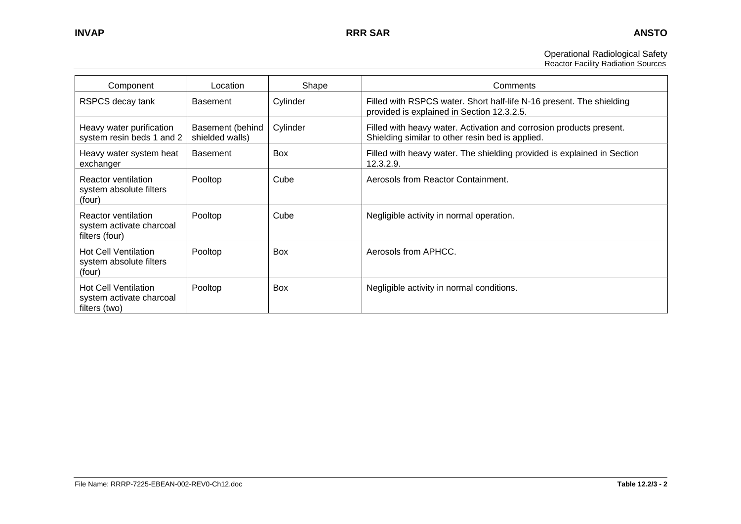Operational Radiological Safety Reactor Facility Radiation Sources

| Component                                                                | Location                            | Shape      | Comments                                                                                                                |
|--------------------------------------------------------------------------|-------------------------------------|------------|-------------------------------------------------------------------------------------------------------------------------|
| RSPCS decay tank                                                         | <b>Basement</b>                     | Cylinder   | Filled with RSPCS water. Short half-life N-16 present. The shielding<br>provided is explained in Section 12.3.2.5.      |
| Heavy water purification<br>system resin beds 1 and 2                    | Basement (behind<br>shielded walls) | Cylinder   | Filled with heavy water. Activation and corrosion products present.<br>Shielding similar to other resin bed is applied. |
| Heavy water system heat<br>exchanger                                     | <b>Basement</b>                     | Box        | Filled with heavy water. The shielding provided is explained in Section<br>12.3.2.9.                                    |
| Reactor ventilation<br>system absolute filters<br>(four)                 | Pooltop                             | Cube       | Aerosols from Reactor Containment.                                                                                      |
| <b>Reactor ventilation</b><br>system activate charcoal<br>filters (four) | Pooltop                             | Cube       | Negligible activity in normal operation.                                                                                |
| <b>Hot Cell Ventilation</b><br>system absolute filters<br>(four)         | Pooltop                             | <b>Box</b> | Aerosols from APHCC.                                                                                                    |
| <b>Hot Cell Ventilation</b><br>system activate charcoal<br>filters (two) | Pooltop                             | Box        | Negligible activity in normal conditions.                                                                               |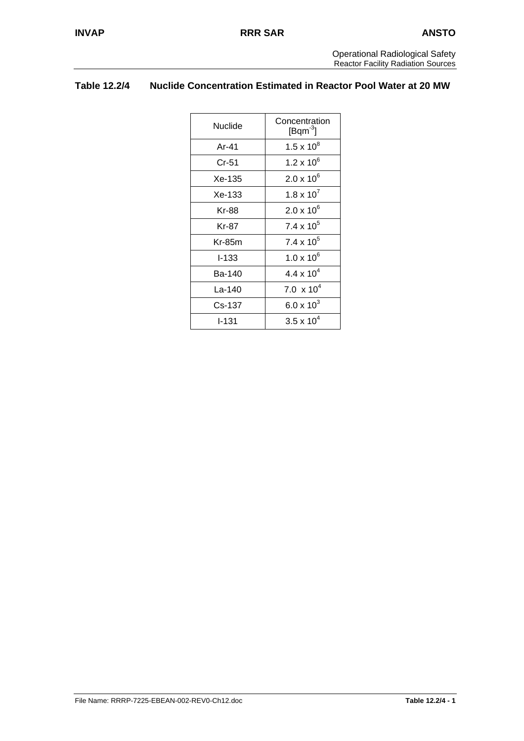# **Table 12.2/4 Nuclide Concentration Estimated in Reactor Pool Water at 20 MW**

| Nuclide   | Concentration<br>$[{\sf Bqm}^{-3}]$ |  |
|-----------|-------------------------------------|--|
| Ar-41     | $1.5 \times 10^{8}$                 |  |
| Cr-51     | 1.2 x 10 $^{6}$                     |  |
| Xe-135    | $2.0 \times 10^{6}$                 |  |
| Xe-133    | $1.8 \times 10^{7}$                 |  |
| Kr-88     | $2.0 \times 10^{6}$                 |  |
| Kr-87     | $7.4 \times 10^5$                   |  |
| Kr-85m    | $7.4 \times 10^5$                   |  |
| $I - 133$ | $1.0 \times 10^{6}$                 |  |
| Ba-140    | 4.4 x $10^4$                        |  |
| La-140    | 7.0 $\times$ 10 <sup>4</sup>        |  |
| Cs-137    | $6.0 \times 10^{3}$                 |  |
| l-131     | $3.5 \times 10^{4}$                 |  |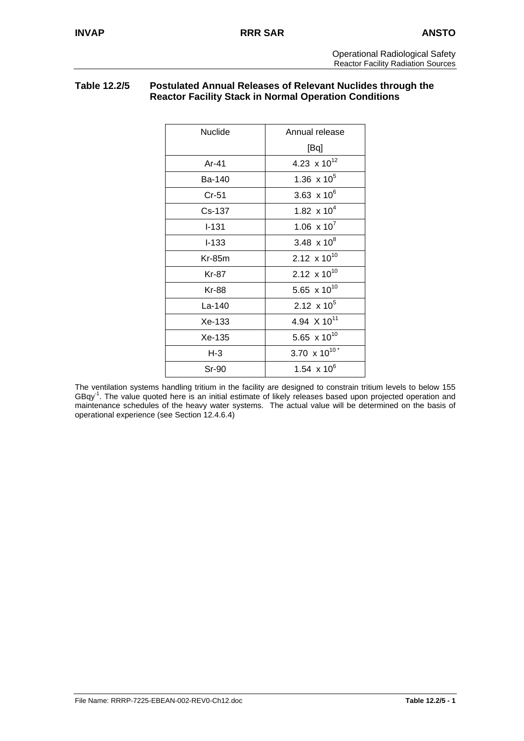# **Table 12.2/5 Postulated Annual Releases of Relevant Nuclides through the Reactor Facility Stack in Normal Operation Conditions**

| <b>Nuclide</b> | Annual release                  |
|----------------|---------------------------------|
|                | [Bq]                            |
| Ar-41          | 4.23 $\times 10^{12}$           |
| Ba-140         | 1.36 $\times 10^5$              |
| Cr-51          | 3.63 $\times 10^6$              |
| Cs-137         | 1.82 $\times 10^4$              |
| $I - 131$      | $1.06 \times 10^{7}$            |
| $-133$         | 3.48 $\times 10^8$              |
| $Kr-85m$       | 2.12 $\times$ 10 <sup>10</sup>  |
| Kr-87          | 2.12 $\times 10^{10}$           |
| Kr-88          | 5.65 $\times 10^{10}$           |
| $La-140$       | 2.12 $\times$ 10 <sup>5</sup>   |
| Xe-133         | 4.94 $\times$ 10 <sup>11</sup>  |
| Xe-135         | 5.65 $\times$ 10 <sup>10</sup>  |
| $H-3$          | 3.70 $\times$ 10 <sup>10*</sup> |
| Sr-90          | 1.54 $\times$ 10 <sup>6</sup>   |

The ventilation systems handling tritium in the facility are designed to constrain tritium levels to below 155 GBqy<sup>-1</sup>. The value quoted here is an initial estimate of likely releases based upon projected operation and maintenance schedules of the heavy water systems. The actual value will be determined on the basis of operational experience (see Section 12.4.6.4)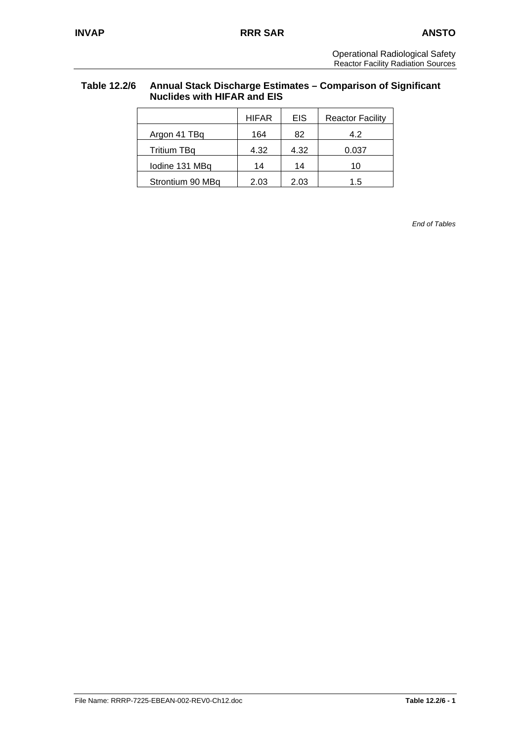# **Table 12.2/6 Annual Stack Discharge Estimates – Comparison of Significant Nuclides with HIFAR and EIS**

|                    | <b>HIFAR</b> | EIS  | <b>Reactor Facility</b> |
|--------------------|--------------|------|-------------------------|
| Argon 41 TBq       | 164          | 82   | 4.2                     |
| <b>Tritium TBq</b> | 4.32         | 4.32 | 0.037                   |
| lodine 131 MBq     | 14           | 14   | 10                      |
| Strontium 90 MBq   | 2.03         | 2.03 | 1.5                     |

*End of Tables*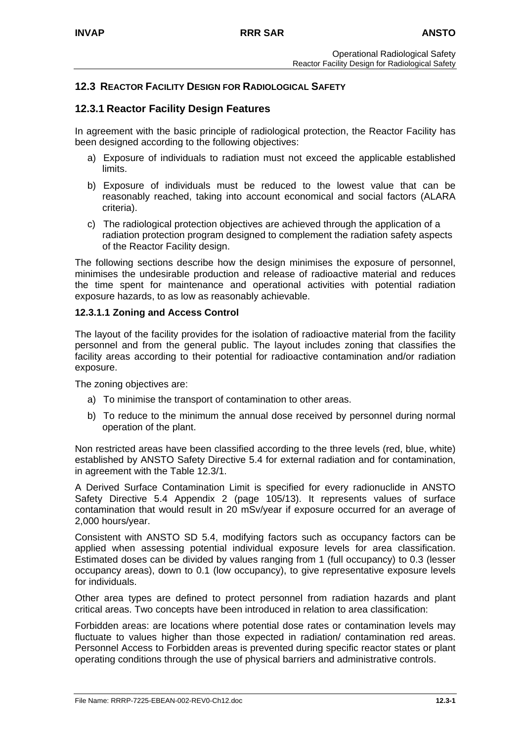# **12.3 REACTOR FACILITY DESIGN FOR RADIOLOGICAL SAFETY**

# **12.3.1 Reactor Facility Design Features**

In agreement with the basic principle of radiological protection, the Reactor Facility has been designed according to the following objectives:

- a) Exposure of individuals to radiation must not exceed the applicable established limits.
- b) Exposure of individuals must be reduced to the lowest value that can be reasonably reached, taking into account economical and social factors (ALARA criteria).
- c) The radiological protection objectives are achieved through the application of a radiation protection program designed to complement the radiation safety aspects of the Reactor Facility design.

The following sections describe how the design minimises the exposure of personnel, minimises the undesirable production and release of radioactive material and reduces the time spent for maintenance and operational activities with potential radiation exposure hazards, to as low as reasonably achievable.

#### **12.3.1.1 Zoning and Access Control**

The layout of the facility provides for the isolation of radioactive material from the facility personnel and from the general public. The layout includes zoning that classifies the facility areas according to their potential for radioactive contamination and/or radiation exposure.

The zoning objectives are:

- a) To minimise the transport of contamination to other areas.
- b) To reduce to the minimum the annual dose received by personnel during normal operation of the plant.

Non restricted areas have been classified according to the three levels (red, blue, white) established by ANSTO Safety Directive 5.4 for external radiation and for contamination, in agreement with the Table 12.3/1.

A Derived Surface Contamination Limit is specified for every radionuclide in ANSTO Safety Directive 5.4 Appendix 2 (page 105/13). It represents values of surface contamination that would result in 20 mSv/year if exposure occurred for an average of 2,000 hours/year.

Consistent with ANSTO SD 5.4, modifying factors such as occupancy factors can be applied when assessing potential individual exposure levels for area classification. Estimated doses can be divided by values ranging from 1 (full occupancy) to 0.3 (lesser occupancy areas), down to 0.1 (low occupancy), to give representative exposure levels for individuals.

Other area types are defined to protect personnel from radiation hazards and plant critical areas. Two concepts have been introduced in relation to area classification:

Forbidden areas: are locations where potential dose rates or contamination levels may fluctuate to values higher than those expected in radiation/ contamination red areas. Personnel Access to Forbidden areas is prevented during specific reactor states or plant operating conditions through the use of physical barriers and administrative controls.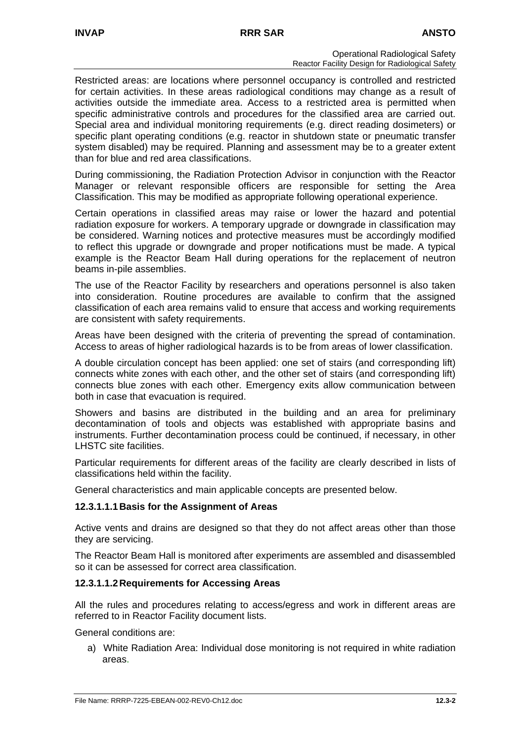Restricted areas: are locations where personnel occupancy is controlled and restricted for certain activities. In these areas radiological conditions may change as a result of activities outside the immediate area. Access to a restricted area is permitted when specific administrative controls and procedures for the classified area are carried out. Special area and individual monitoring requirements (e.g. direct reading dosimeters) or specific plant operating conditions (e.g. reactor in shutdown state or pneumatic transfer system disabled) may be required. Planning and assessment may be to a greater extent than for blue and red area classifications.

During commissioning, the Radiation Protection Advisor in conjunction with the Reactor Manager or relevant responsible officers are responsible for setting the Area Classification. This may be modified as appropriate following operational experience.

Certain operations in classified areas may raise or lower the hazard and potential radiation exposure for workers. A temporary upgrade or downgrade in classification may be considered. Warning notices and protective measures must be accordingly modified to reflect this upgrade or downgrade and proper notifications must be made. A typical example is the Reactor Beam Hall during operations for the replacement of neutron beams in-pile assemblies.

The use of the Reactor Facility by researchers and operations personnel is also taken into consideration. Routine procedures are available to confirm that the assigned classification of each area remains valid to ensure that access and working requirements are consistent with safety requirements.

Areas have been designed with the criteria of preventing the spread of contamination. Access to areas of higher radiological hazards is to be from areas of lower classification.

A double circulation concept has been applied: one set of stairs (and corresponding lift) connects white zones with each other, and the other set of stairs (and corresponding lift) connects blue zones with each other. Emergency exits allow communication between both in case that evacuation is required.

Showers and basins are distributed in the building and an area for preliminary decontamination of tools and objects was established with appropriate basins and instruments. Further decontamination process could be continued, if necessary, in other LHSTC site facilities.

Particular requirements for different areas of the facility are clearly described in lists of classifications held within the facility.

General characteristics and main applicable concepts are presented below.

#### **12.3.1.1.1 Basis for the Assignment of Areas**

Active vents and drains are designed so that they do not affect areas other than those they are servicing.

The Reactor Beam Hall is monitored after experiments are assembled and disassembled so it can be assessed for correct area classification.

#### **12.3.1.1.2 Requirements for Accessing Areas**

All the rules and procedures relating to access/egress and work in different areas are referred to in Reactor Facility document lists.

General conditions are:

a) White Radiation Area: Individual dose monitoring is not required in white radiation areas.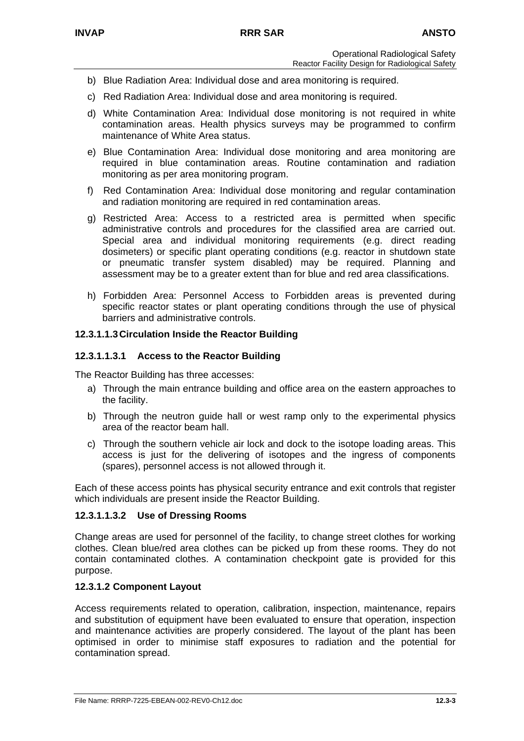- b) Blue Radiation Area: Individual dose and area monitoring is required.
- c) Red Radiation Area: Individual dose and area monitoring is required.
- d) White Contamination Area: Individual dose monitoring is not required in white contamination areas. Health physics surveys may be programmed to confirm maintenance of White Area status.
- e) Blue Contamination Area: Individual dose monitoring and area monitoring are required in blue contamination areas. Routine contamination and radiation monitoring as per area monitoring program.
- f) Red Contamination Area: Individual dose monitoring and regular contamination and radiation monitoring are required in red contamination areas.
- g) Restricted Area: Access to a restricted area is permitted when specific administrative controls and procedures for the classified area are carried out. Special area and individual monitoring requirements (e.g. direct reading dosimeters) or specific plant operating conditions (e.g. reactor in shutdown state or pneumatic transfer system disabled) may be required. Planning and assessment may be to a greater extent than for blue and red area classifications.
- h) Forbidden Area: Personnel Access to Forbidden areas is prevented during specific reactor states or plant operating conditions through the use of physical barriers and administrative controls.

### **12.3.1.1.3 Circulation Inside the Reactor Building**

#### **12.3.1.1.3.1 Access to the Reactor Building**

The Reactor Building has three accesses:

- a) Through the main entrance building and office area on the eastern approaches to the facility.
- b) Through the neutron guide hall or west ramp only to the experimental physics area of the reactor beam hall.
- c) Through the southern vehicle air lock and dock to the isotope loading areas. This access is just for the delivering of isotopes and the ingress of components (spares), personnel access is not allowed through it.

Each of these access points has physical security entrance and exit controls that register which individuals are present inside the Reactor Building.

#### **12.3.1.1.3.2 Use of Dressing Rooms**

Change areas are used for personnel of the facility, to change street clothes for working clothes. Clean blue/red area clothes can be picked up from these rooms. They do not contain contaminated clothes. A contamination checkpoint gate is provided for this purpose.

#### **12.3.1.2 Component Layout**

Access requirements related to operation, calibration, inspection, maintenance, repairs and substitution of equipment have been evaluated to ensure that operation, inspection and maintenance activities are properly considered. The layout of the plant has been optimised in order to minimise staff exposures to radiation and the potential for contamination spread.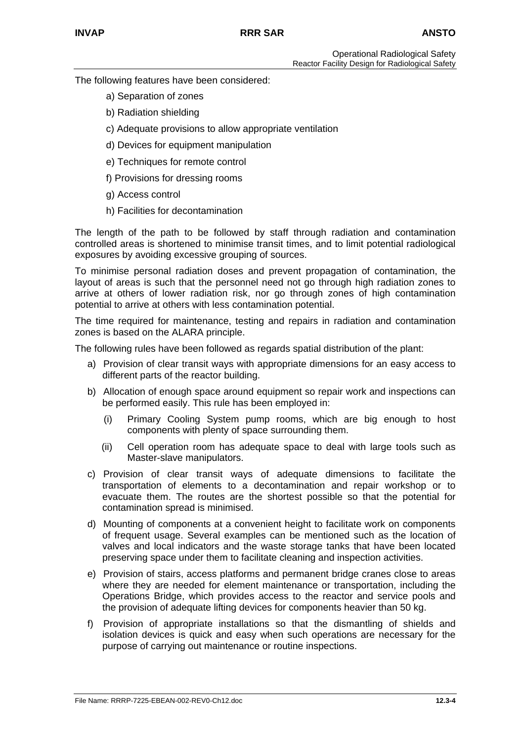The following features have been considered:

- a) Separation of zones
- b) Radiation shielding
- c) Adequate provisions to allow appropriate ventilation
- d) Devices for equipment manipulation
- e) Techniques for remote control
- f) Provisions for dressing rooms
- g) Access control
- h) Facilities for decontamination

The length of the path to be followed by staff through radiation and contamination controlled areas is shortened to minimise transit times, and to limit potential radiological exposures by avoiding excessive grouping of sources.

To minimise personal radiation doses and prevent propagation of contamination, the layout of areas is such that the personnel need not go through high radiation zones to arrive at others of lower radiation risk, nor go through zones of high contamination potential to arrive at others with less contamination potential.

The time required for maintenance, testing and repairs in radiation and contamination zones is based on the ALARA principle.

The following rules have been followed as regards spatial distribution of the plant:

- a) Provision of clear transit ways with appropriate dimensions for an easy access to different parts of the reactor building.
- b) Allocation of enough space around equipment so repair work and inspections can be performed easily. This rule has been employed in:
	- (i) Primary Cooling System pump rooms, which are big enough to host components with plenty of space surrounding them.
	- (ii) Cell operation room has adequate space to deal with large tools such as Master-slave manipulators.
- c) Provision of clear transit ways of adequate dimensions to facilitate the transportation of elements to a decontamination and repair workshop or to evacuate them. The routes are the shortest possible so that the potential for contamination spread is minimised.
- d) Mounting of components at a convenient height to facilitate work on components of frequent usage. Several examples can be mentioned such as the location of valves and local indicators and the waste storage tanks that have been located preserving space under them to facilitate cleaning and inspection activities.
- e) Provision of stairs, access platforms and permanent bridge cranes close to areas where they are needed for element maintenance or transportation, including the Operations Bridge, which provides access to the reactor and service pools and the provision of adequate lifting devices for components heavier than 50 kg.
- f) Provision of appropriate installations so that the dismantling of shields and isolation devices is quick and easy when such operations are necessary for the purpose of carrying out maintenance or routine inspections.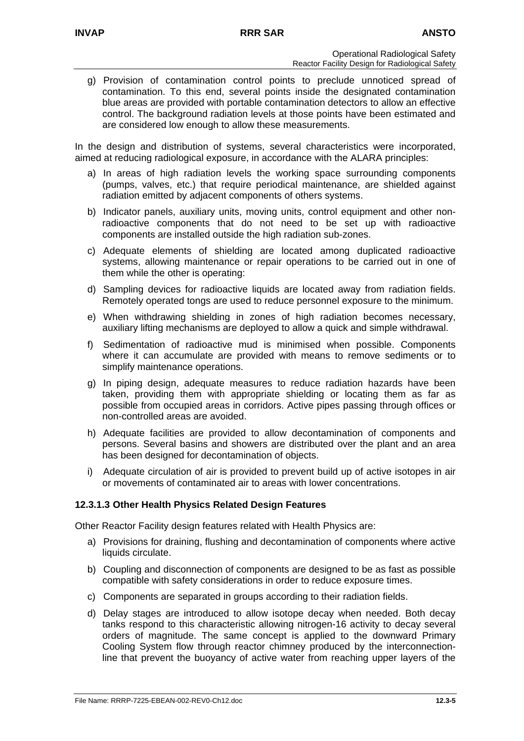g) Provision of contamination control points to preclude unnoticed spread of contamination. To this end, several points inside the designated contamination blue areas are provided with portable contamination detectors to allow an effective control. The background radiation levels at those points have been estimated and are considered low enough to allow these measurements.

In the design and distribution of systems, several characteristics were incorporated, aimed at reducing radiological exposure, in accordance with the ALARA principles:

- a) In areas of high radiation levels the working space surrounding components (pumps, valves, etc.) that require periodical maintenance, are shielded against radiation emitted by adjacent components of others systems.
- b) Indicator panels, auxiliary units, moving units, control equipment and other nonradioactive components that do not need to be set up with radioactive components are installed outside the high radiation sub-zones.
- c) Adequate elements of shielding are located among duplicated radioactive systems, allowing maintenance or repair operations to be carried out in one of them while the other is operating:
- d) Sampling devices for radioactive liquids are located away from radiation fields. Remotely operated tongs are used to reduce personnel exposure to the minimum.
- e) When withdrawing shielding in zones of high radiation becomes necessary, auxiliary lifting mechanisms are deployed to allow a quick and simple withdrawal.
- f) Sedimentation of radioactive mud is minimised when possible. Components where it can accumulate are provided with means to remove sediments or to simplify maintenance operations.
- g) In piping design, adequate measures to reduce radiation hazards have been taken, providing them with appropriate shielding or locating them as far as possible from occupied areas in corridors. Active pipes passing through offices or non-controlled areas are avoided.
- h) Adequate facilities are provided to allow decontamination of components and persons. Several basins and showers are distributed over the plant and an area has been designed for decontamination of objects.
- i) Adequate circulation of air is provided to prevent build up of active isotopes in air or movements of contaminated air to areas with lower concentrations.

### **12.3.1.3 Other Health Physics Related Design Features**

Other Reactor Facility design features related with Health Physics are:

- a) Provisions for draining, flushing and decontamination of components where active liquids circulate.
- b) Coupling and disconnection of components are designed to be as fast as possible compatible with safety considerations in order to reduce exposure times.
- c) Components are separated in groups according to their radiation fields.
- d) Delay stages are introduced to allow isotope decay when needed. Both decay tanks respond to this characteristic allowing nitrogen-16 activity to decay several orders of magnitude. The same concept is applied to the downward Primary Cooling System flow through reactor chimney produced by the interconnectionline that prevent the buoyancy of active water from reaching upper layers of the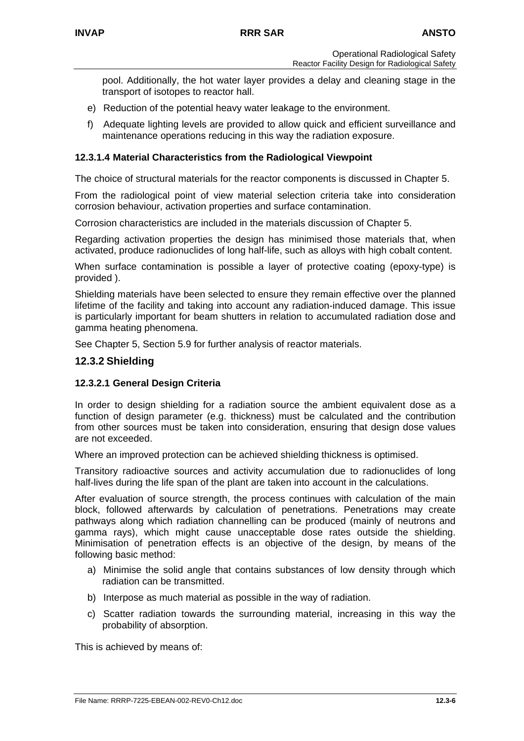pool. Additionally, the hot water layer provides a delay and cleaning stage in the transport of isotopes to reactor hall.

- e) Reduction of the potential heavy water leakage to the environment.
- f) Adequate lighting levels are provided to allow quick and efficient surveillance and maintenance operations reducing in this way the radiation exposure.

#### **12.3.1.4 Material Characteristics from the Radiological Viewpoint**

The choice of structural materials for the reactor components is discussed in Chapter 5.

From the radiological point of view material selection criteria take into consideration corrosion behaviour, activation properties and surface contamination.

Corrosion characteristics are included in the materials discussion of Chapter 5.

Regarding activation properties the design has minimised those materials that, when activated, produce radionuclides of long half-life, such as alloys with high cobalt content.

When surface contamination is possible a layer of protective coating (epoxy-type) is provided ).

Shielding materials have been selected to ensure they remain effective over the planned lifetime of the facility and taking into account any radiation-induced damage. This issue is particularly important for beam shutters in relation to accumulated radiation dose and gamma heating phenomena.

See Chapter 5, Section 5.9 for further analysis of reactor materials.

#### **12.3.2 Shielding**

#### **12.3.2.1 General Design Criteria**

In order to design shielding for a radiation source the ambient equivalent dose as a function of design parameter (e.g. thickness) must be calculated and the contribution from other sources must be taken into consideration, ensuring that design dose values are not exceeded.

Where an improved protection can be achieved shielding thickness is optimised.

Transitory radioactive sources and activity accumulation due to radionuclides of long half-lives during the life span of the plant are taken into account in the calculations.

After evaluation of source strength, the process continues with calculation of the main block, followed afterwards by calculation of penetrations. Penetrations may create pathways along which radiation channelling can be produced (mainly of neutrons and gamma rays), which might cause unacceptable dose rates outside the shielding. Minimisation of penetration effects is an objective of the design, by means of the following basic method:

- a) Minimise the solid angle that contains substances of low density through which radiation can be transmitted.
- b) Interpose as much material as possible in the way of radiation.
- c) Scatter radiation towards the surrounding material, increasing in this way the probability of absorption.

This is achieved by means of: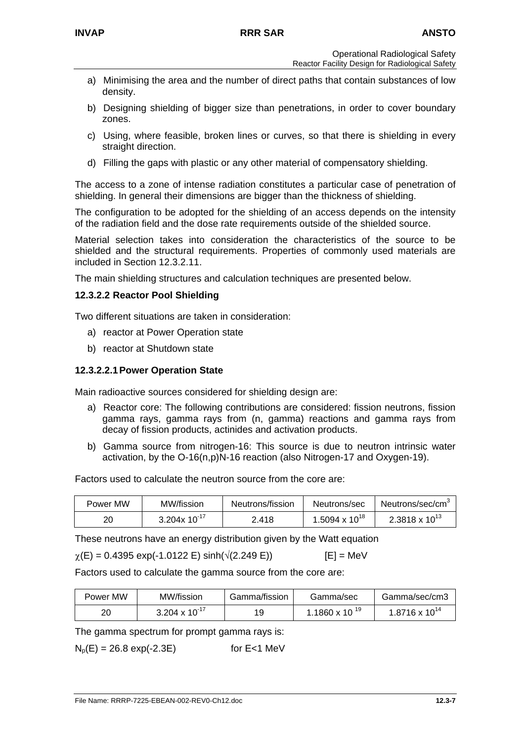- a) Minimising the area and the number of direct paths that contain substances of low density.
- b) Designing shielding of bigger size than penetrations, in order to cover boundary zones.
- c) Using, where feasible, broken lines or curves, so that there is shielding in every straight direction.
- d) Filling the gaps with plastic or any other material of compensatory shielding.

The access to a zone of intense radiation constitutes a particular case of penetration of shielding. In general their dimensions are bigger than the thickness of shielding.

The configuration to be adopted for the shielding of an access depends on the intensity of the radiation field and the dose rate requirements outside of the shielded source.

Material selection takes into consideration the characteristics of the source to be shielded and the structural requirements. Properties of commonly used materials are included in Section 12.3.2.11.

The main shielding structures and calculation techniques are presented below.

#### **12.3.2.2 Reactor Pool Shielding**

Two different situations are taken in consideration:

- a) reactor at Power Operation state
- b) reactor at Shutdown state

#### **12.3.2.2.1 Power Operation State**

Main radioactive sources considered for shielding design are:

- a) Reactor core: The following contributions are considered: fission neutrons, fission gamma rays, gamma rays from (n, gamma) reactions and gamma rays from decay of fission products, actinides and activation products.
- b) Gamma source from nitrogen-16: This source is due to neutron intrinsic water activation, by the O-16(n,p)N-16 reaction (also Nitrogen-17 and Oxygen-19).

Factors used to calculate the neutron source from the core are:

| Power MW | MW/fission        | Neutrons/fission | Neutrons/sec       | Neutrons/sec/cm <sup>3</sup> |
|----------|-------------------|------------------|--------------------|------------------------------|
| 20       | 3.204x $10^{-17}$ | 2.418            | 1.5094 x $10^{18}$ | 2.3818 x $10^{13}$           |

These neutrons have an energy distribution given by the Watt equation

$$
\chi(E) = 0.4395 \exp(-1.0122 E) \sinh(\sqrt{(2.249 E)})
$$
 [E] = MeV

Factors used to calculate the gamma source from the core are:

| Power MW | MW/fission         | Gamma/fission | Gamma/sec        | Gamma/sec/cm3           |
|----------|--------------------|---------------|------------------|-------------------------|
| 20       | 3.204 x $10^{-17}$ | 19            | 1.1860 x 10 $19$ | $1.8716 \times 10^{14}$ |

The gamma spectrum for prompt gamma rays is:

 $N_p(E) = 26.8 \exp(-2.3E)$  for E<1 MeV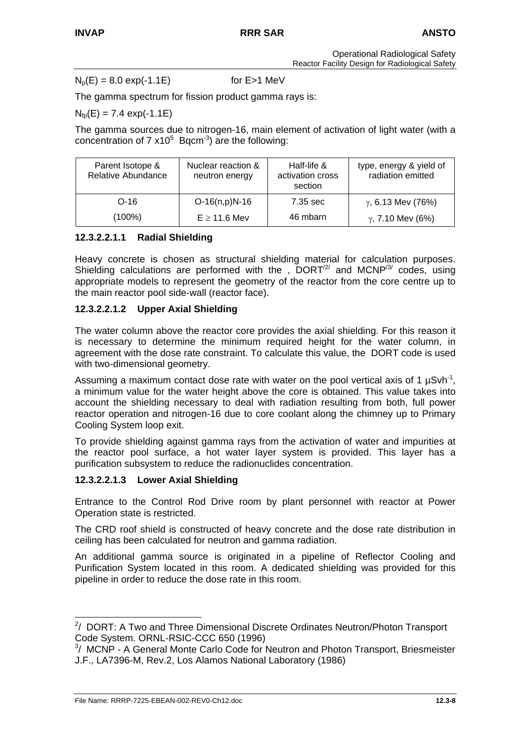Operational Radiological Safety Reactor Facility Design for Radiological Safety

 $N_p(E) = 8.0 \exp(-1.1E)$  for E > 1 MeV

The gamma spectrum for fission product gamma rays is:

 $N_{\text{fn}}(E) = 7.4 \text{ exp}(-1.1E)$ 

The gamma sources due to nitrogen-16, main element of activation of light water (with a concentration of 7  $x10^5$  Bqcm<sup>-3</sup>) are the following:

| Parent Isotope &<br><b>Relative Abundance</b> | Nuclear reaction &<br>neutron energy | Half-life &<br>activation cross<br>section | type, energy & yield of<br>radiation emitted |
|-----------------------------------------------|--------------------------------------|--------------------------------------------|----------------------------------------------|
| $O-16$                                        | $O-16(n,p)N-16$                      | 7.35 sec                                   | $\gamma$ , 6.13 Mev (76%)                    |
| (100%)                                        | $E \ge 11.6$ Mev                     | 46 mbarn                                   | $\gamma$ , 7.10 Mev (6%)                     |

### **12.3.2.2.1.1 Radial Shielding**

Heavy concrete is chosen as structural shielding material for calculation purposes. Shielding calculations are performed with the ,  $DORT<sup>2</sup>$  and MCNP<sup>[/3/](#page-42-1)</sup> codes, using appropriate models to represent the geometry of the reactor from the core centre up to the main reactor pool side-wall (reactor face).

## **12.3.2.2.1.2 Upper Axial Shielding**

The water column above the reactor core provides the axial shielding. For this reason it is necessary to determine the minimum required height for the water column, in agreement with the dose rate constraint. To calculate this value, the DORT code is used with two-dimensional geometry.

Assuming a maximum contact dose rate with water on the pool vertical axis of 1  $\mu$ Svh<sup>-1</sup>, a minimum value for the water height above the core is obtained. This value takes into account the shielding necessary to deal with radiation resulting from both, full power reactor operation and nitrogen-16 due to core coolant along the chimney up to Primary Cooling System loop exit.

To provide shielding against gamma rays from the activation of water and impurities at the reactor pool surface, a hot water layer system is provided. This layer has a purification subsystem to reduce the radionuclides concentration.

### **12.3.2.2.1.3 Lower Axial Shielding**

Entrance to the Control Rod Drive room by plant personnel with reactor at Power Operation state is restricted.

The CRD roof shield is constructed of heavy concrete and the dose rate distribution in ceiling has been calculated for neutron and gamma radiation.

An additional gamma source is originated in a pipeline of Reflector Cooling and Purification System located in this room. A dedicated shielding was provided for this pipeline in order to reduce the dose rate in this room.

<span id="page-42-0"></span> <sup>2</sup> / DORT: A Two and Three Dimensional Discrete Ordinates Neutron/Photon Transport Code System. ORNL-RSIC-CCC 650 (1996)

<span id="page-42-1"></span> $3/$  MCNP - A General Monte Carlo Code for Neutron and Photon Transport, Briesmeister J.F., LA7396-M, Rev.2, Los Alamos National Laboratory (1986)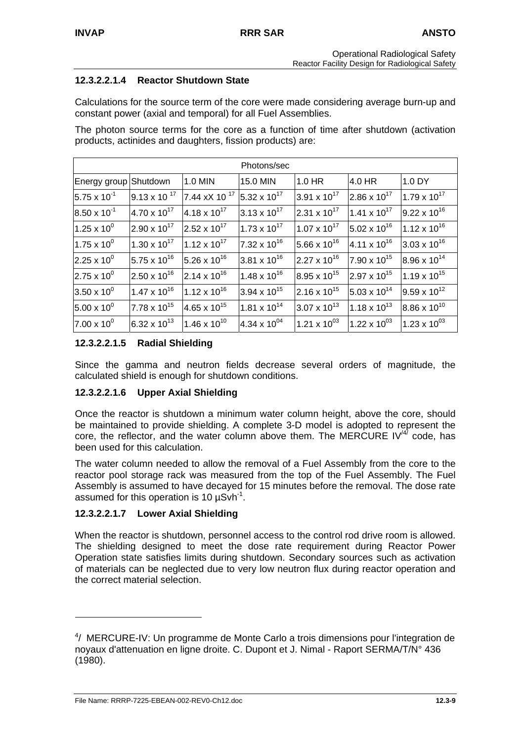# **12.3.2.2.1.4 Reactor Shutdown State**

Calculations for the source term of the core were made considering average burn-up and constant power (axial and temporal) for all Fuel Assemblies.

The photon source terms for the core as a function of time after shutdown (activation products, actinides and daughters, fission products) are:

| Photons/sec           |                       |                          |                       |                         |                       |                       |
|-----------------------|-----------------------|--------------------------|-----------------------|-------------------------|-----------------------|-----------------------|
| Energy group Shutdown |                       | 1.0 MIN                  | 15.0 MIN              | 1.0 HR                  | 4.0 HR                | 1.0 DY                |
| $5.75 \times 10^{-1}$ | $9.13 \times 10^{17}$ | 7.44 xX 10 <sup>17</sup> | 5.32 x $10^{17}$      | $3.91 \times 10^{17}$   | $2.86 \times 10^{17}$ | $1.79 \times 10^{17}$ |
| $8.50 \times 10^{-1}$ | $4.70 \times 10^{17}$ | $4.18 \times 10^{17}$    | $3.13 \times 10^{17}$ | $2.31 \times 10^{17}$   | $1.41 \times 10^{17}$ | $9.22 \times 10^{16}$ |
| $1.25 \times 10^{0}$  | $2.90 \times 10^{17}$ | $2.52 \times 10^{17}$    | $1.73 \times 10^{17}$ | $1.07 \times 10^{17}$   | $5.02 \times 10^{16}$ | $1.12 \times 10^{16}$ |
| $1.75 \times 10^{0}$  | $1.30 \times 10^{17}$ | $1.12 \times 10^{17}$    | $7.32 \times 10^{16}$ | 5.66 x $10^{16}$        | $4.11 \times 10^{16}$ | $3.03 \times 10^{16}$ |
| $2.25 \times 10^{0}$  | $5.75 \times 10^{16}$ | $5.26 \times 10^{16}$    | $3.81 \times 10^{16}$ | $2.27 \times 10^{16}$   | $7.90 \times 10^{15}$ | $8.96 \times 10^{14}$ |
| $2.75 \times 10^{0}$  | $2.50 \times 10^{16}$ | $2.14 \times 10^{16}$    | $1.48 \times 10^{16}$ | 8.95 x 10 <sup>15</sup> | $2.97 \times 10^{15}$ | $1.19 \times 10^{15}$ |
| $3.50 \times 10^{0}$  | $1.47 \times 10^{16}$ | $1.12 \times 10^{16}$    | $3.94 \times 10^{15}$ | $2.16 \times 10^{15}$   | $5.03 \times 10^{14}$ | $9.59 \times 10^{12}$ |
| $5.00 \times 10^{0}$  | $7.78 \times 10^{15}$ | $4.65 \times 10^{15}$    | $1.81 \times 10^{14}$ | $3.07 \times 10^{13}$   | $1.18 \times 10^{13}$ | $8.86 \times 10^{10}$ |
| $7.00 \times 10^{0}$  | $6.32 \times 10^{13}$ | $1.46 \times 10^{10}$    | 4.34 x $10^{04}$      | 1.21 x $10^{03}$        | 1.22 x $10^{03}$      | 1.23 x $10^{03}$      |

## **12.3.2.2.1.5 Radial Shielding**

Since the gamma and neutron fields decrease several orders of magnitude, the calculated shield is enough for shutdown conditions.

### **12.3.2.2.1.6 Upper Axial Shielding**

Once the reactor is shutdown a minimum water column height, above the core, should be maintained to provide shielding. A complete 3-D model is adopted to represent the core,the reflector, and the water column above them. The MERCURE IV<sup>/4/</sup> code, has been used for this calculation.

The water column needed to allow the removal of a Fuel Assembly from the core to the reactor pool storage rack was measured from the top of the Fuel Assembly. The Fuel Assembly is assumed to have decayed for 15 minutes before the removal. The dose rate assumed for this operation is 10  $\mu$ Svh<sup>-1</sup>.

### **12.3.2.2.1.7 Lower Axial Shielding**

When the reactor is shutdown, personnel access to the control rod drive room is allowed. The shielding designed to meet the dose rate requirement during Reactor Power Operation state satisfies limits during shutdown. Secondary sources such as activation of materials can be neglected due to very low neutron flux during reactor operation and the correct material selection.

 $\overline{a}$ 

<span id="page-43-0"></span><sup>4</sup> / MERCURE-IV: Un programme de Monte Carlo a trois dimensions pour l'integration de noyaux d'attenuation en ligne droite. C. Dupont et J. Nimal - Raport SERMA/T/N° 436 (1980).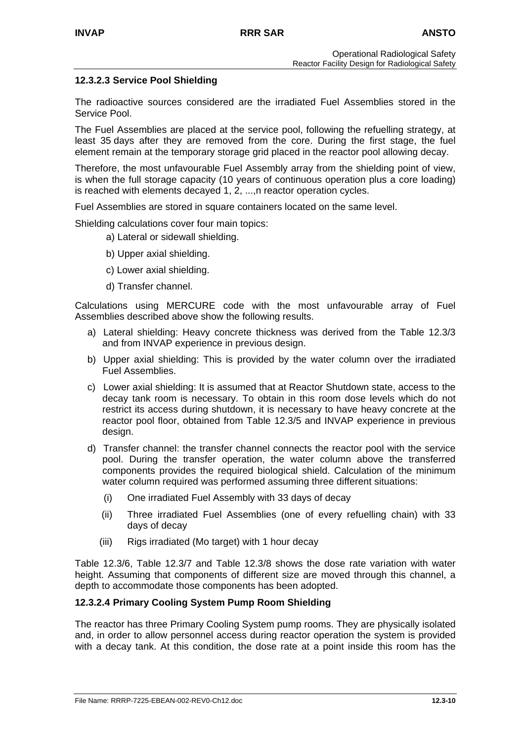### **12.3.2.3 Service Pool Shielding**

The radioactive sources considered are the irradiated Fuel Assemblies stored in the Service Pool.

The Fuel Assemblies are placed at the service pool, following the refuelling strategy, at least 35 days after they are removed from the core. During the first stage, the fuel element remain at the temporary storage grid placed in the reactor pool allowing decay.

Therefore, the most unfavourable Fuel Assembly array from the shielding point of view, is when the full storage capacity (10 years of continuous operation plus a core loading) is reached with elements decayed 1, 2, ...,n reactor operation cycles.

Fuel Assemblies are stored in square containers located on the same level.

Shielding calculations cover four main topics:

- a) Lateral or sidewall shielding.
- b) Upper axial shielding.
- c) Lower axial shielding.
- d) Transfer channel.

Calculations using MERCURE code with the most unfavourable array of Fuel Assemblies described above show the following results.

- a) Lateral shielding: Heavy concrete thickness was derived from the Table 12.3/3 and from INVAP experience in previous design.
- b) Upper axial shielding: This is provided by the water column over the irradiated Fuel Assemblies.
- c) Lower axial shielding: It is assumed that at Reactor Shutdown state, access to the decay tank room is necessary. To obtain in this room dose levels which do not restrict its access during shutdown, it is necessary to have heavy concrete at the reactor pool floor, obtained from Table 12.3/5 and INVAP experience in previous design.
- d) Transfer channel: the transfer channel connects the reactor pool with the service pool. During the transfer operation, the water column above the transferred components provides the required biological shield. Calculation of the minimum water column required was performed assuming three different situations:
	- (i) One irradiated Fuel Assembly with 33 days of decay
	- (ii) Three irradiated Fuel Assemblies (one of every refuelling chain) with 33 days of decay
	- (iii) Rigs irradiated (Mo target) with 1 hour decay

Table 12.3/6, Table 12.3/7 and Table 12.3/8 shows the dose rate variation with water height. Assuming that components of different size are moved through this channel, a depth to accommodate those components has been adopted.

#### **12.3.2.4 Primary Cooling System Pump Room Shielding**

The reactor has three Primary Cooling System pump rooms. They are physically isolated and, in order to allow personnel access during reactor operation the system is provided with a decay tank. At this condition, the dose rate at a point inside this room has the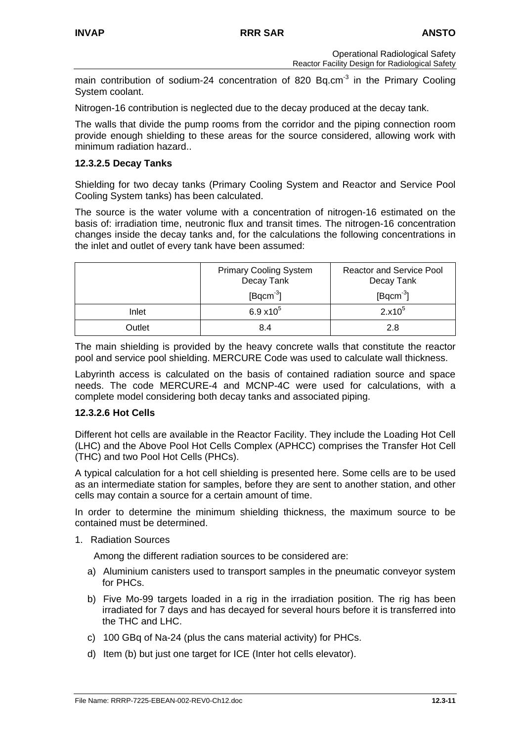main contribution of sodium-24 concentration of 820 Bq.cm<sup>-3</sup> in the Primary Cooling System coolant.

Nitrogen-16 contribution is neglected due to the decay produced at the decay tank.

The walls that divide the pump rooms from the corridor and the piping connection room provide enough shielding to these areas for the source considered, allowing work with minimum radiation hazard..

#### **12.3.2.5 Decay Tanks**

Shielding for two decay tanks (Primary Cooling System and Reactor and Service Pool Cooling System tanks) has been calculated.

The source is the water volume with a concentration of nitrogen-16 estimated on the basis of: irradiation time, neutronic flux and transit times. The nitrogen-16 concentration changes inside the decay tanks and, for the calculations the following concentrations in the inlet and outlet of every tank have been assumed:

|        | <b>Primary Cooling System</b><br>Decay Tank | <b>Reactor and Service Pool</b><br>Decay Tank |
|--------|---------------------------------------------|-----------------------------------------------|
|        | $[$ Bqcm $^{-3}$ ]                          | $[$ Bqcm $3]$                                 |
| Inlet  | $6.9 \times 10^{5}$                         | $2.x10^5$                                     |
| Outlet | 8.4                                         | 2.8                                           |

The main shielding is provided by the heavy concrete walls that constitute the reactor pool and service pool shielding. MERCURE Code was used to calculate wall thickness.

Labyrinth access is calculated on the basis of contained radiation source and space needs. The code MERCURE-4 and MCNP-4C were used for calculations, with a complete model considering both decay tanks and associated piping.

#### **12.3.2.6 Hot Cells**

Different hot cells are available in the Reactor Facility. They include the Loading Hot Cell (LHC) and the Above Pool Hot Cells Complex (APHCC) comprises the Transfer Hot Cell (THC) and two Pool Hot Cells (PHCs).

A typical calculation for a hot cell shielding is presented here. Some cells are to be used as an intermediate station for samples, before they are sent to another station, and other cells may contain a source for a certain amount of time.

In order to determine the minimum shielding thickness, the maximum source to be contained must be determined.

1. Radiation Sources

Among the different radiation sources to be considered are:

- a) Aluminium canisters used to transport samples in the pneumatic conveyor system for PHCs.
- b) Five Mo-99 targets loaded in a rig in the irradiation position. The rig has been irradiated for 7 days and has decayed for several hours before it is transferred into the THC and LHC.
- c) 100 GBq of Na-24 (plus the cans material activity) for PHCs.
- d) Item (b) but just one target for ICE (Inter hot cells elevator).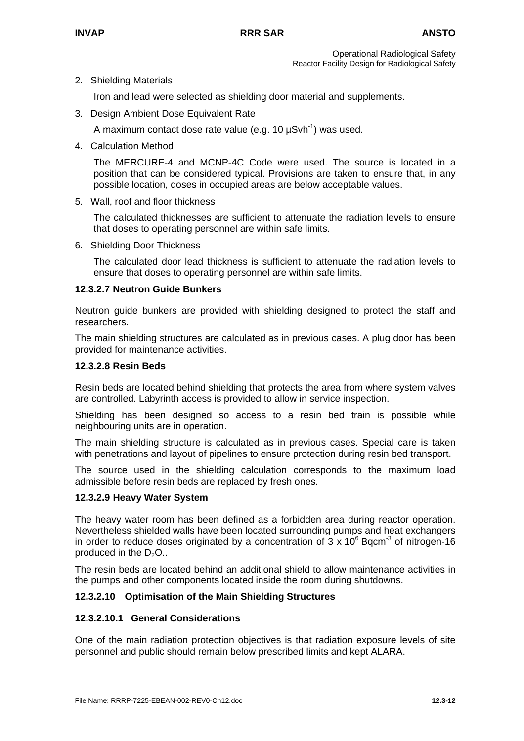### 2. Shielding Materials

Iron and lead were selected as shielding door material and supplements.

3. Design Ambient Dose Equivalent Rate

A maximum contact dose rate value (e.g. 10  $\mu$ Svh<sup>-1</sup>) was used.

4. Calculation Method

The MERCURE-4 and MCNP-4C Code were used. The source is located in a position that can be considered typical. Provisions are taken to ensure that, in any possible location, doses in occupied areas are below acceptable values.

5. Wall, roof and floor thickness

The calculated thicknesses are sufficient to attenuate the radiation levels to ensure that doses to operating personnel are within safe limits.

6. Shielding Door Thickness

The calculated door lead thickness is sufficient to attenuate the radiation levels to ensure that doses to operating personnel are within safe limits.

### **12.3.2.7 Neutron Guide Bunkers**

Neutron guide bunkers are provided with shielding designed to protect the staff and researchers.

The main shielding structures are calculated as in previous cases. A plug door has been provided for maintenance activities.

#### **12.3.2.8 Resin Beds**

Resin beds are located behind shielding that protects the area from where system valves are controlled. Labyrinth access is provided to allow in service inspection.

Shielding has been designed so access to a resin bed train is possible while neighbouring units are in operation.

The main shielding structure is calculated as in previous cases. Special care is taken with penetrations and layout of pipelines to ensure protection during resin bed transport.

The source used in the shielding calculation corresponds to the maximum load admissible before resin beds are replaced by fresh ones.

#### **12.3.2.9 Heavy Water System**

The heavy water room has been defined as a forbidden area during reactor operation. Nevertheless shielded walls have been located surrounding pumps and heat exchangers in order to reduce doses originated by a concentration of  $3 \times 10^6$  Bqcm<sup>-3</sup> of nitrogen-16 produced in the  $D_2O$ ..

The resin beds are located behind an additional shield to allow maintenance activities in the pumps and other components located inside the room during shutdowns.

### **12.3.2.10 Optimisation of the Main Shielding Structures**

#### **12.3.2.10.1 General Considerations**

One of the main radiation protection objectives is that radiation exposure levels of site personnel and public should remain below prescribed limits and kept ALARA.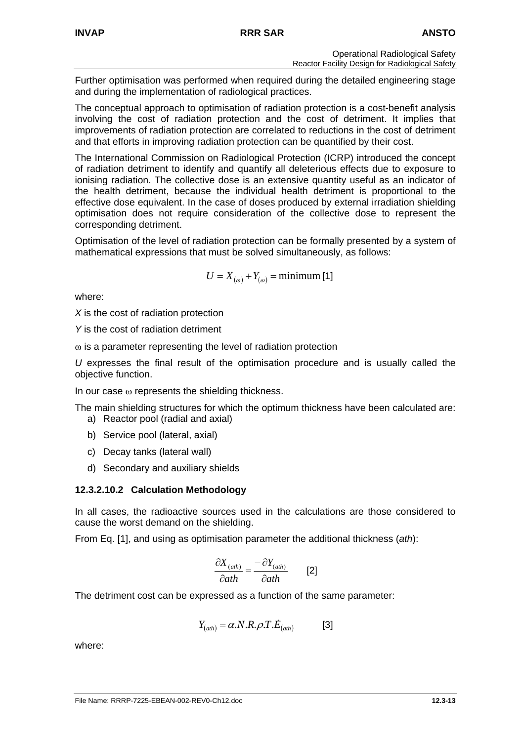Further optimisation was performed when required during the detailed engineering stage and during the implementation of radiological practices.

The conceptual approach to optimisation of radiation protection is a cost-benefit analysis involving the cost of radiation protection and the cost of detriment. It implies that improvements of radiation protection are correlated to reductions in the cost of detriment and that efforts in improving radiation protection can be quantified by their cost.

The International Commission on Radiological Protection (ICRP) introduced the concept of radiation detriment to identify and quantify all deleterious effects due to exposure to ionising radiation. The collective dose is an extensive quantity useful as an indicator of the health detriment, because the individual health detriment is proportional to the effective dose equivalent. In the case of doses produced by external irradiation shielding optimisation does not require consideration of the collective dose to represent the corresponding detriment.

Optimisation of the level of radiation protection can be formally presented by a system of mathematical expressions that must be solved simultaneously, as follows:

$$
U = X_{(\omega)} + Y_{(\omega)} = \text{minimum [1]}
$$

where:

*X* is the cost of radiation protection

*Y* is the cost of radiation detriment

ω is a parameter representing the level of radiation protection

*U* expresses the final result of the optimisation procedure and is usually called the objective function.

In our case  $\omega$  represents the shielding thickness.

The main shielding structures for which the optimum thickness have been calculated are:

- a) Reactor pool (radial and axial)
- b) Service pool (lateral, axial)
- c) Decay tanks (lateral wall)
- d) Secondary and auxiliary shields

### **12.3.2.10.2 Calculation Methodology**

In all cases, the radioactive sources used in the calculations are those considered to cause the worst demand on the shielding.

From Eq. [1], and using as optimisation parameter the additional thickness (*ath*):

$$
\frac{\partial X_{(ath)}}{\partial ath} = \frac{-\partial Y_{(ath)}}{\partial ath}
$$
 [2]

The detriment cost can be expressed as a function of the same parameter:

$$
Y_{(ath)} = \alpha.N.R.\rho.T.\dot{E}_{(ath)}
$$
 [3]

where: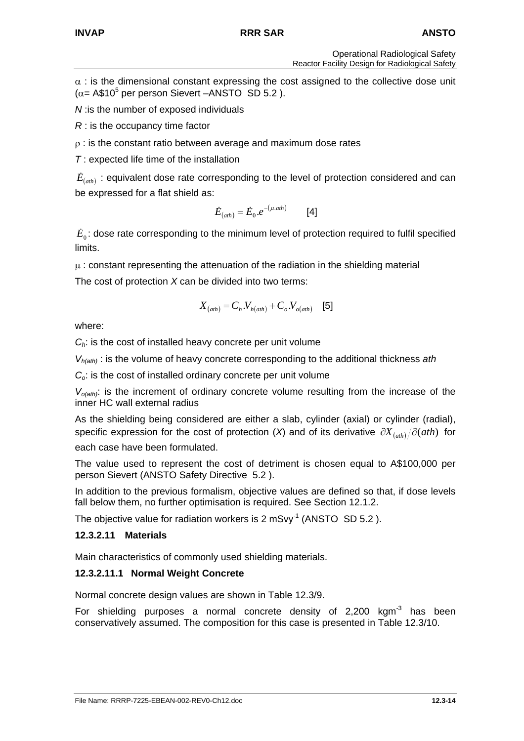$\alpha$  : is the dimensional constant expressing the cost assigned to the collective dose unit  $(\alpha = A\$ <sub>10</sub><sup>5</sup> per person Sievert –ANSTO SD 5.2).

*N* :is the number of exposed individuals

*R* : is the occupancy time factor

 $\rho$  : is the constant ratio between average and maximum dose rates

*T* : expected life time of the installation

 $\dot{E}_{(ath)}$ : equivalent dose rate corresponding to the level of protection considered and can be expressed for a flat shield as:

$$
\dot{E}_{(ath)} = \dot{E}_0.e^{-(\mu.ath)} \qquad [4]
$$

 $E<sub>0</sub>$ : dose rate corresponding to the minimum level of protection required to fulfil specified limits.

 $\mu$ : constant representing the attenuation of the radiation in the shielding material The cost of protection *X* can be divided into two terms:

$$
X_{(ath)} = C_h.V_{h(ath)} + C_o.V_{o(ath)}
$$
 [5]

where:

*Ch*: is the cost of installed heavy concrete per unit volume

*Vh(ath)* : is the volume of heavy concrete corresponding to the additional thickness *ath*

*Co*: is the cost of installed ordinary concrete per unit volume

 $V_{o(ath)}$ : is the increment of ordinary concrete volume resulting from the increase of the inner HC wall external radius

As the shielding being considered are either a slab, cylinder (axial) or cylinder (radial), specific expression for the cost of protection (*X*) and of its derivative  $\partial X_{(ab)} / \partial (ah)$  for each case have been formulated.

The value used to represent the cost of detriment is chosen equal to A\$100,000 per person Sievert (ANSTO Safety Directive 5.2 ).

In addition to the previous formalism, objective values are defined so that, if dose levels fall below them, no further optimisation is required. See Section 12.1.2.

The objective value for radiation workers is 2 mSvv<sup>-1</sup> (ANSTO SD 5.2).

# **12.3.2.11 Materials**

Main characteristics of commonly used shielding materials.

# **12.3.2.11.1 Normal Weight Concrete**

Normal concrete design values are shown in Table 12.3/9.

For shielding purposes a normal concrete density of  $2,200$  kgm<sup>-3</sup> has been conservatively assumed. The composition for this case is presented in Table 12.3/10.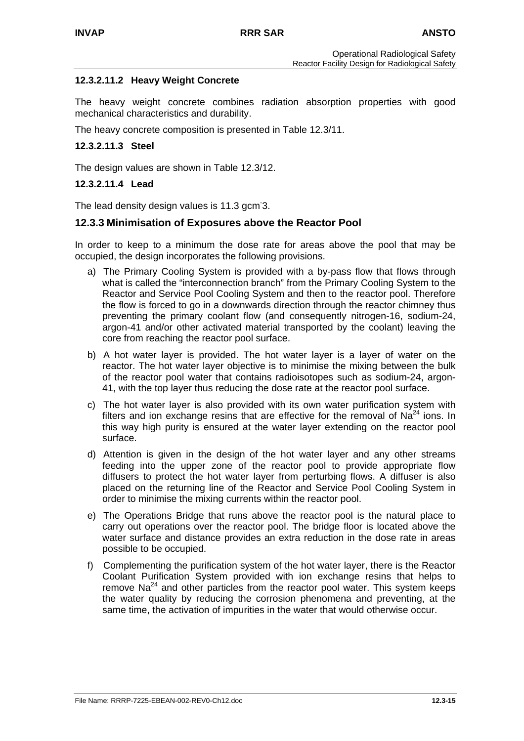### **12.3.2.11.2 Heavy Weight Concrete**

The heavy weight concrete combines radiation absorption properties with good mechanical characteristics and durability.

The heavy concrete composition is presented in Table 12.3/11.

#### **12.3.2.11.3 Steel**

The design values are shown in Table 12.3/12.

#### **12.3.2.11.4 Lead**

The lead density design values is 11.3 gcm<sup>3</sup>.

### **12.3.3 Minimisation of Exposures above the Reactor Pool**

In order to keep to a minimum the dose rate for areas above the pool that may be occupied, the design incorporates the following provisions.

- a) The Primary Cooling System is provided with a by-pass flow that flows through what is called the "interconnection branch" from the Primary Cooling System to the Reactor and Service Pool Cooling System and then to the reactor pool. Therefore the flow is forced to go in a downwards direction through the reactor chimney thus preventing the primary coolant flow (and consequently nitrogen-16, sodium-24, argon-41 and/or other activated material transported by the coolant) leaving the core from reaching the reactor pool surface.
- b) A hot water layer is provided. The hot water layer is a layer of water on the reactor. The hot water layer objective is to minimise the mixing between the bulk of the reactor pool water that contains radioisotopes such as sodium-24, argon-41, with the top layer thus reducing the dose rate at the reactor pool surface.
- c) The hot water layer is also provided with its own water purification system with filters and ion exchange resins that are effective for the removal of  $Na<sup>24</sup>$  ions. In this way high purity is ensured at the water layer extending on the reactor pool surface.
- d) Attention is given in the design of the hot water layer and any other streams feeding into the upper zone of the reactor pool to provide appropriate flow diffusers to protect the hot water layer from perturbing flows. A diffuser is also placed on the returning line of the Reactor and Service Pool Cooling System in order to minimise the mixing currents within the reactor pool.
- e) The Operations Bridge that runs above the reactor pool is the natural place to carry out operations over the reactor pool. The bridge floor is located above the water surface and distance provides an extra reduction in the dose rate in areas possible to be occupied.
- f) Complementing the purification system of the hot water layer, there is the Reactor Coolant Purification System provided with ion exchange resins that helps to remove  $Na^{24}$  and other particles from the reactor pool water. This system keeps the water quality by reducing the corrosion phenomena and preventing, at the same time, the activation of impurities in the water that would otherwise occur.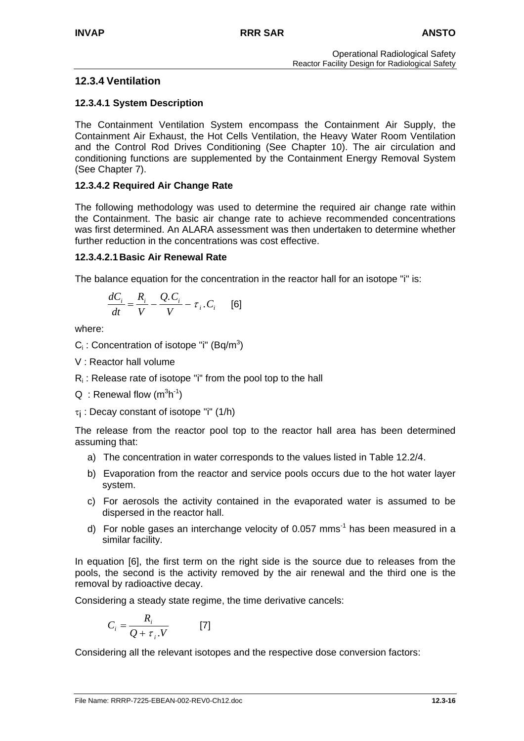## **12.3.4 Ventilation**

### **12.3.4.1 System Description**

The Containment Ventilation System encompass the Containment Air Supply, the Containment Air Exhaust, the Hot Cells Ventilation, the Heavy Water Room Ventilation and the Control Rod Drives Conditioning (See Chapter 10). The air circulation and conditioning functions are supplemented by the Containment Energy Removal System (See Chapter 7).

### **12.3.4.2 Required Air Change Rate**

The following methodology was used to determine the required air change rate within the Containment. The basic air change rate to achieve recommended concentrations was first determined. An ALARA assessment was then undertaken to determine whether further reduction in the concentrations was cost effective.

### **12.3.4.2.1 Basic Air Renewal Rate**

The balance equation for the concentration in the reactor hall for an isotope "i" is:

$$
\frac{dC_i}{dt} = \frac{R_i}{V} - \frac{Q.C_i}{V} - \tau_i.C_i \qquad [6]
$$

where:

 $C_i$ : Concentration of isotope "i" (Bq/m<sup>3</sup>)

- V : Reactor hall volume
- $R_i$ : Release rate of isotope "i" from the pool top to the hall
- $Q :$  Renewal flow  $(m^3h^1)$
- τi : Decay constant of isotope "i" (1/h)

The release from the reactor pool top to the reactor hall area has been determined assuming that:

- a) The concentration in water corresponds to the values listed in Table 12.2/4.
- b) Evaporation from the reactor and service pools occurs due to the hot water layer system.
- c) For aerosols the activity contained in the evaporated water is assumed to be dispersed in the reactor hall.
- d) For noble gases an interchange velocity of 0.057 mms<sup>-1</sup> has been measured in a similar facility.

In equation [6], the first term on the right side is the source due to releases from the pools, the second is the activity removed by the air renewal and the third one is the removal by radioactive decay.

Considering a steady state regime, the time derivative cancels:

$$
C_i = \frac{R_i}{Q + \tau_i.V} \qquad [7]
$$

Considering all the relevant isotopes and the respective dose conversion factors: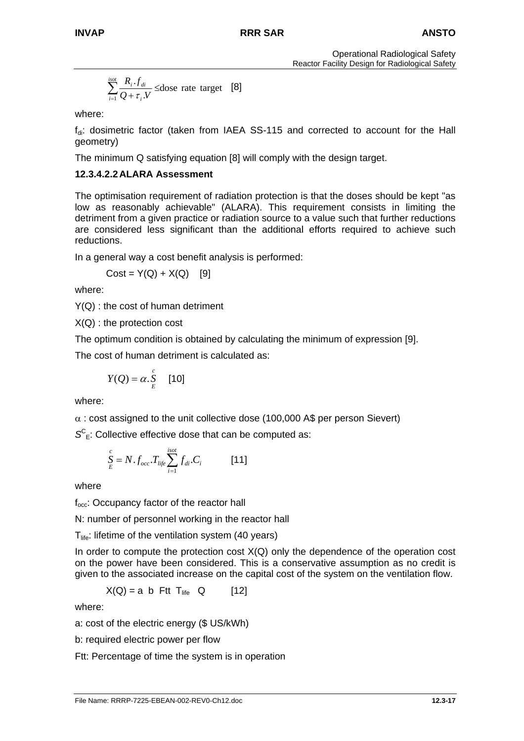$$
\sum_{i=1}^{isot} \frac{R_i \cdot f_{di}}{Q + \tau_i V} \le \text{dose rate target} \quad [8]
$$

where:

 $f_{di}$ : dosimetric factor (taken from IAEA SS-115 and corrected to account for the Hall geometry)

The minimum Q satisfying equation [8] will comply with the design target.

### **12.3.4.2.2 ALARA Assessment**

The optimisation requirement of radiation protection is that the doses should be kept "as low as reasonably achievable" (ALARA). This requirement consists in limiting the detriment from a given practice or radiation source to a value such that further reductions are considered less significant than the additional efforts required to achieve such reductions.

In a general way a cost benefit analysis is performed:

 $Cost = Y(Q) + X(Q)$  [9]

where:

Y(Q) : the cost of human detriment

X(Q) : the protection cost

The optimum condition is obtained by calculating the minimum of expression [9].

The cost of human detriment is calculated as:

$$
Y(Q) = \alpha . \frac{c}{E} \quad [10]
$$

where:

 $\alpha$  : cost assigned to the unit collective dose (100,000 A\$ per person Sievert)

 $S<sup>C</sup><sub>E</sub>$ : Collective effective dose that can be computed as:

$$
\sum_{E}^{c} = N \cdot f_{occ} \cdot T_{life} \sum_{i=1}^{isot} f_{di} \cdot C_i
$$
 [11]

where

f<sub>occ</sub>: Occupancy factor of the reactor hall

N: number of personnel working in the reactor hall

 $T_{\text{life}}$ : lifetime of the ventilation system (40 years)

In order to compute the protection cost  $X(Q)$  only the dependence of the operation cost on the power have been considered. This is a conservative assumption as no credit is given to the associated increase on the capital cost of the system on the ventilation flow.

 $X(Q) = a b$  Ftt T<sub>life</sub> Q [12]

where:

a: cost of the electric energy (\$ US/kWh)

b: required electric power per flow

Ftt: Percentage of time the system is in operation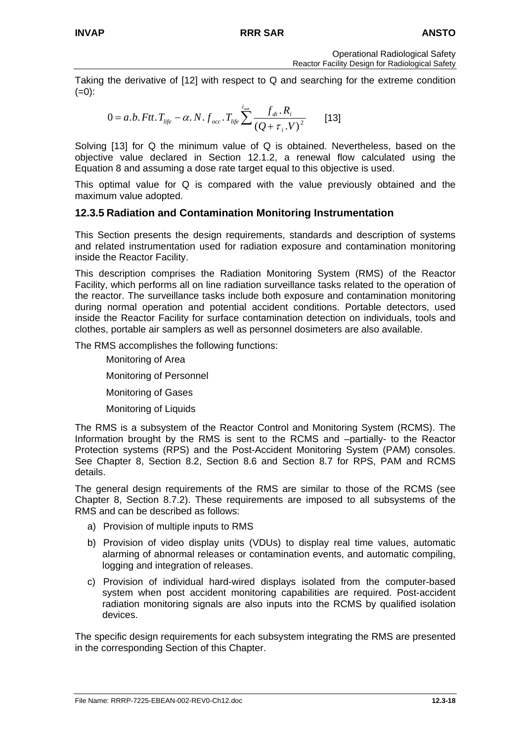Taking the derivative of [12] with respect to Q and searching for the extreme condition  $(=0)$ :

$$
0 = a.b. Ftt. T_{life} - \alpha. N. f_{occ} . T_{life} \sum^{i_{sat}} \frac{f_{di} . R_i}{(Q + \tau_i . V)^2}
$$
 [13]

Solving [13] for Q the minimum value of Q is obtained. Nevertheless, based on the objective value declared in Section 12.1.2, a renewal flow calculated using the Equation 8 and assuming a dose rate target equal to this objective is used.

This optimal value for Q is compared with the value previously obtained and the maximum value adopted.

### **12.3.5 Radiation and Contamination Monitoring Instrumentation**

This Section presents the design requirements, standards and description of systems and related instrumentation used for radiation exposure and contamination monitoring inside the Reactor Facility.

This description comprises the Radiation Monitoring System (RMS) of the Reactor Facility, which performs all on line radiation surveillance tasks related to the operation of the reactor. The surveillance tasks include both exposure and contamination monitoring during normal operation and potential accident conditions. Portable detectors, used inside the Reactor Facility for surface contamination detection on individuals, tools and clothes, portable air samplers as well as personnel dosimeters are also available.

The RMS accomplishes the following functions:

Monitoring of Area Monitoring of Personnel Monitoring of Gases Monitoring of Liquids

The RMS is a subsystem of the Reactor Control and Monitoring System (RCMS). The Information brought by the RMS is sent to the RCMS and –partially- to the Reactor Protection systems (RPS) and the Post-Accident Monitoring System (PAM) consoles. See Chapter 8, Section 8.2, Section 8.6 and Section 8.7 for RPS, PAM and RCMS details.

The general design requirements of the RMS are similar to those of the RCMS (see Chapter 8, Section 8.7.2). These requirements are imposed to all subsystems of the RMS and can be described as follows:

- a) Provision of multiple inputs to RMS
- b) Provision of video display units (VDUs) to display real time values, automatic alarming of abnormal releases or contamination events, and automatic compiling, logging and integration of releases.
- c) Provision of individual hard-wired displays isolated from the computer-based system when post accident monitoring capabilities are required. Post-accident radiation monitoring signals are also inputs into the RCMS by qualified isolation devices.

The specific design requirements for each subsystem integrating the RMS are presented in the corresponding Section of this Chapter.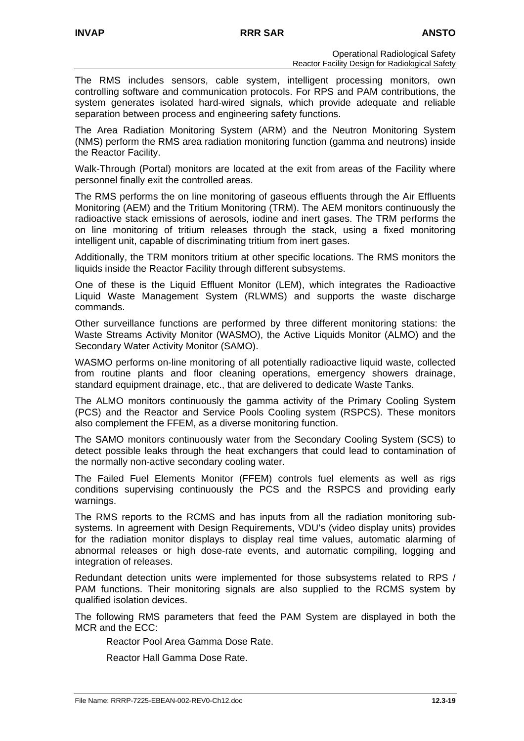The RMS includes sensors, cable system, intelligent processing monitors, own controlling software and communication protocols. For RPS and PAM contributions, the system generates isolated hard-wired signals, which provide adequate and reliable separation between process and engineering safety functions.

The Area Radiation Monitoring System (ARM) and the Neutron Monitoring System (NMS) perform the RMS area radiation monitoring function (gamma and neutrons) inside the Reactor Facility.

Walk-Through (Portal) monitors are located at the exit from areas of the Facility where personnel finally exit the controlled areas.

The RMS performs the on line monitoring of gaseous effluents through the Air Effluents Monitoring (AEM) and the Tritium Monitoring (TRM). The AEM monitors continuously the radioactive stack emissions of aerosols, iodine and inert gases. The TRM performs the on line monitoring of tritium releases through the stack, using a fixed monitoring intelligent unit, capable of discriminating tritium from inert gases.

Additionally, the TRM monitors tritium at other specific locations. The RMS monitors the liquids inside the Reactor Facility through different subsystems.

One of these is the Liquid Effluent Monitor (LEM), which integrates the Radioactive Liquid Waste Management System (RLWMS) and supports the waste discharge commands.

Other surveillance functions are performed by three different monitoring stations: the Waste Streams Activity Monitor (WASMO), the Active Liquids Monitor (ALMO) and the Secondary Water Activity Monitor (SAMO).

WASMO performs on-line monitoring of all potentially radioactive liquid waste, collected from routine plants and floor cleaning operations, emergency showers drainage, standard equipment drainage, etc., that are delivered to dedicate Waste Tanks.

The ALMO monitors continuously the gamma activity of the Primary Cooling System (PCS) and the Reactor and Service Pools Cooling system (RSPCS). These monitors also complement the FFEM, as a diverse monitoring function.

The SAMO monitors continuously water from the Secondary Cooling System (SCS) to detect possible leaks through the heat exchangers that could lead to contamination of the normally non-active secondary cooling water.

The Failed Fuel Elements Monitor (FFEM) controls fuel elements as well as rigs conditions supervising continuously the PCS and the RSPCS and providing early warnings.

The RMS reports to the RCMS and has inputs from all the radiation monitoring subsystems. In agreement with Design Requirements, VDU's (video display units) provides for the radiation monitor displays to display real time values, automatic alarming of abnormal releases or high dose-rate events, and automatic compiling, logging and integration of releases.

Redundant detection units were implemented for those subsystems related to RPS / PAM functions. Their monitoring signals are also supplied to the RCMS system by qualified isolation devices.

The following RMS parameters that feed the PAM System are displayed in both the MCR and the ECC:

Reactor Pool Area Gamma Dose Rate.

Reactor Hall Gamma Dose Rate.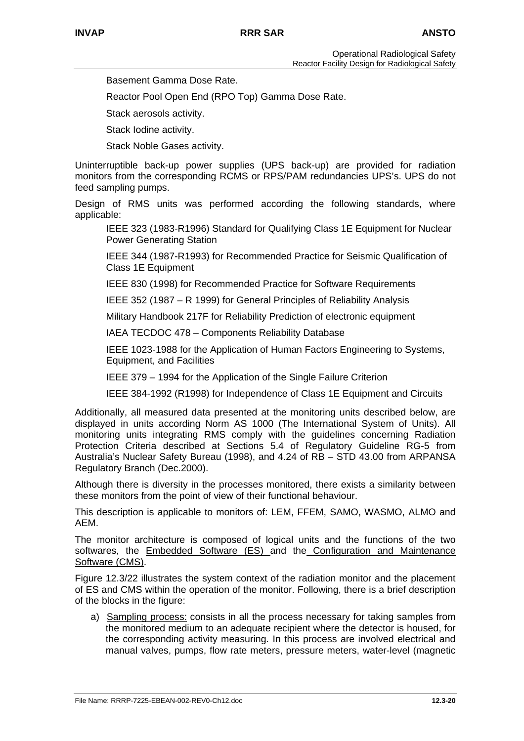Basement Gamma Dose Rate.

Reactor Pool Open End (RPO Top) Gamma Dose Rate.

Stack aerosols activity.

Stack Iodine activity.

Stack Noble Gases activity.

Uninterruptible back-up power supplies (UPS back-up) are provided for radiation monitors from the corresponding RCMS or RPS/PAM redundancies UPS's. UPS do not feed sampling pumps.

Design of RMS units was performed according the following standards, where applicable:

IEEE 323 (1983-R1996) Standard for Qualifying Class 1E Equipment for Nuclear Power Generating Station

IEEE 344 (1987-R1993) for Recommended Practice for Seismic Qualification of Class 1E Equipment

IEEE 830 (1998) for Recommended Practice for Software Requirements

IEEE 352 (1987 – R 1999) for General Principles of Reliability Analysis

Military Handbook 217F for Reliability Prediction of electronic equipment

IAEA TECDOC 478 – Components Reliability Database

IEEE 1023-1988 for the Application of Human Factors Engineering to Systems, Equipment, and Facilities

IEEE 379 – 1994 for the Application of the Single Failure Criterion

IEEE 384-1992 (R1998) for Independence of Class 1E Equipment and Circuits

Additionally, all measured data presented at the monitoring units described below, are displayed in units according Norm AS 1000 (The International System of Units). All monitoring units integrating RMS comply with the guidelines concerning Radiation Protection Criteria described at Sections 5.4 of Regulatory Guideline RG-5 from Australia's Nuclear Safety Bureau (1998), and 4.24 of RB – STD 43.00 from ARPANSA Regulatory Branch (Dec.2000).

Although there is diversity in the processes monitored, there exists a similarity between these monitors from the point of view of their functional behaviour.

This description is applicable to monitors of: LEM, FFEM, SAMO, WASMO, ALMO and AEM.

The monitor architecture is composed of logical units and the functions of the two softwares, the Embedded Software (ES) and the Configuration and Maintenance Software (CMS).

Figure 12.3/22 illustrates the system context of the radiation monitor and the placement of ES and CMS within the operation of the monitor. Following, there is a brief description of the blocks in the figure:

a) Sampling process: consists in all the process necessary for taking samples from the monitored medium to an adequate recipient where the detector is housed, for the corresponding activity measuring. In this process are involved electrical and manual valves, pumps, flow rate meters, pressure meters, water-level (magnetic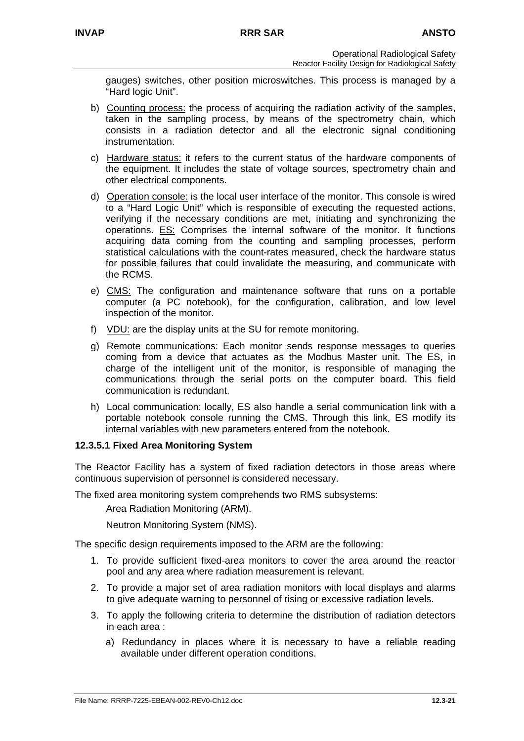gauges) switches, other position microswitches. This process is managed by a "Hard logic Unit".

- b) Counting process: the process of acquiring the radiation activity of the samples, taken in the sampling process, by means of the spectrometry chain, which consists in a radiation detector and all the electronic signal conditioning instrumentation.
- c) Hardware status: it refers to the current status of the hardware components of the equipment. It includes the state of voltage sources, spectrometry chain and other electrical components.
- d) Operation console: is the local user interface of the monitor. This console is wired to a "Hard Logic Unit" which is responsible of executing the requested actions, verifying if the necessary conditions are met, initiating and synchronizing the operations. ES: Comprises the internal software of the monitor. It functions acquiring data coming from the counting and sampling processes, perform statistical calculations with the count-rates measured, check the hardware status for possible failures that could invalidate the measuring, and communicate with the RCMS.
- e) CMS: The configuration and maintenance software that runs on a portable computer (a PC notebook), for the configuration, calibration, and low level inspection of the monitor.
- f) VDU: are the display units at the SU for remote monitoring.
- g) Remote communications: Each monitor sends response messages to queries coming from a device that actuates as the Modbus Master unit. The ES, in charge of the intelligent unit of the monitor, is responsible of managing the communications through the serial ports on the computer board. This field communication is redundant.
- h) Local communication: locally, ES also handle a serial communication link with a portable notebook console running the CMS. Through this link, ES modify its internal variables with new parameters entered from the notebook.

### **12.3.5.1 Fixed Area Monitoring System**

The Reactor Facility has a system of fixed radiation detectors in those areas where continuous supervision of personnel is considered necessary.

The fixed area monitoring system comprehends two RMS subsystems:

Area Radiation Monitoring (ARM).

Neutron Monitoring System (NMS).

The specific design requirements imposed to the ARM are the following:

- 1. To provide sufficient fixed-area monitors to cover the area around the reactor pool and any area where radiation measurement is relevant.
- 2. To provide a major set of area radiation monitors with local displays and alarms to give adequate warning to personnel of rising or excessive radiation levels.
- 3. To apply the following criteria to determine the distribution of radiation detectors in each area :
	- a) Redundancy in places where it is necessary to have a reliable reading available under different operation conditions.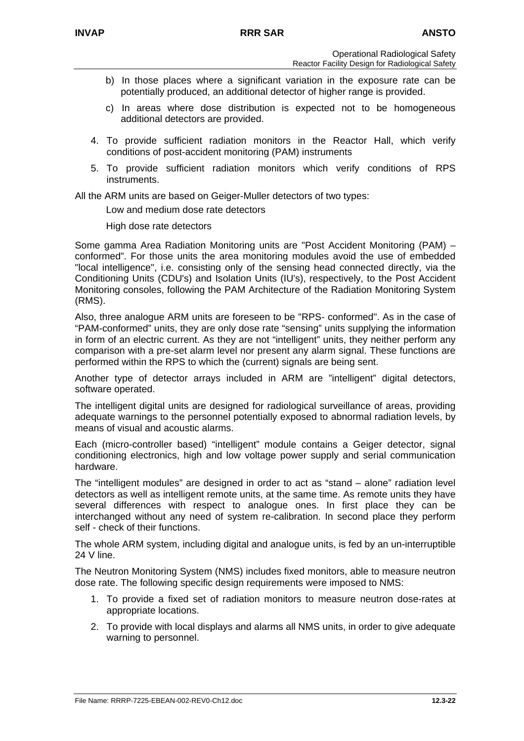- b) In those places where a significant variation in the exposure rate can be potentially produced, an additional detector of higher range is provided.
- c) In areas where dose distribution is expected not to be homogeneous additional detectors are provided.
- 4. To provide sufficient radiation monitors in the Reactor Hall, which verify conditions of post-accident monitoring (PAM) instruments
- 5. To provide sufficient radiation monitors which verify conditions of RPS instruments.

All the ARM units are based on Geiger-Muller detectors of two types:

Low and medium dose rate detectors

High dose rate detectors

Some gamma Area Radiation Monitoring units are "Post Accident Monitoring (PAM) – conformed". For those units the area monitoring modules avoid the use of embedded "local intelligence", i.e. consisting only of the sensing head connected directly, via the Conditioning Units (CDU's) and Isolation Units (IU's), respectively, to the Post Accident Monitoring consoles, following the PAM Architecture of the Radiation Monitoring System (RMS).

Also, three analogue ARM units are foreseen to be "RPS- conformed". As in the case of "PAM-conformed" units, they are only dose rate "sensing" units supplying the information in form of an electric current. As they are not "intelligent" units, they neither perform any comparison with a pre-set alarm level nor present any alarm signal. These functions are performed within the RPS to which the (current) signals are being sent.

Another type of detector arrays included in ARM are "intelligent" digital detectors, software operated.

The intelligent digital units are designed for radiological surveillance of areas, providing adequate warnings to the personnel potentially exposed to abnormal radiation levels, by means of visual and acoustic alarms.

Each (micro-controller based) "intelligent" module contains a Geiger detector, signal conditioning electronics, high and low voltage power supply and serial communication hardware.

The "intelligent modules" are designed in order to act as "stand – alone" radiation level detectors as well as intelligent remote units, at the same time. As remote units they have several differences with respect to analogue ones. In first place they can be interchanged without any need of system re-calibration. In second place they perform self - check of their functions.

The whole ARM system, including digital and analogue units, is fed by an un-interruptible 24 V line.

The Neutron Monitoring System (NMS) includes fixed monitors, able to measure neutron dose rate. The following specific design requirements were imposed to NMS:

- 1. To provide a fixed set of radiation monitors to measure neutron dose-rates at appropriate locations.
- 2. To provide with local displays and alarms all NMS units, in order to give adequate warning to personnel.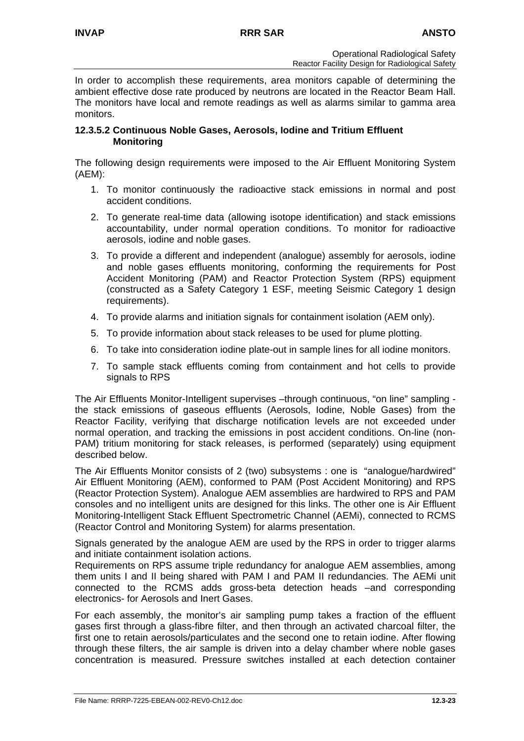In order to accomplish these requirements, area monitors capable of determining the ambient effective dose rate produced by neutrons are located in the Reactor Beam Hall. The monitors have local and remote readings as well as alarms similar to gamma area monitors.

#### **12.3.5.2 Continuous Noble Gases, Aerosols, Iodine and Tritium Effluent Monitoring**

The following design requirements were imposed to the Air Effluent Monitoring System (AEM):

- 1. To monitor continuously the radioactive stack emissions in normal and post accident conditions.
- 2. To generate real-time data (allowing isotope identification) and stack emissions accountability, under normal operation conditions. To monitor for radioactive aerosols, iodine and noble gases.
- 3. To provide a different and independent (analogue) assembly for aerosols, iodine and noble gases effluents monitoring, conforming the requirements for Post Accident Monitoring (PAM) and Reactor Protection System (RPS) equipment (constructed as a Safety Category 1 ESF, meeting Seismic Category 1 design requirements).
- 4. To provide alarms and initiation signals for containment isolation (AEM only).
- 5. To provide information about stack releases to be used for plume plotting.
- 6. To take into consideration iodine plate-out in sample lines for all iodine monitors.
- 7. To sample stack effluents coming from containment and hot cells to provide signals to RPS

The Air Effluents Monitor-Intelligent supervises –through continuous, "on line" sampling the stack emissions of gaseous effluents (Aerosols, Iodine, Noble Gases) from the Reactor Facility, verifying that discharge notification levels are not exceeded under normal operation, and tracking the emissions in post accident conditions. On-line (non-PAM) tritium monitoring for stack releases, is performed (separately) using equipment described below.

The Air Effluents Monitor consists of 2 (two) subsystems : one is "analogue/hardwired" Air Effluent Monitoring (AEM), conformed to PAM (Post Accident Monitoring) and RPS (Reactor Protection System). Analogue AEM assemblies are hardwired to RPS and PAM consoles and no intelligent units are designed for this links. The other one is Air Effluent Monitoring-Intelligent Stack Effluent Spectrometric Channel (AEMi), connected to RCMS (Reactor Control and Monitoring System) for alarms presentation.

Signals generated by the analogue AEM are used by the RPS in order to trigger alarms and initiate containment isolation actions.

Requirements on RPS assume triple redundancy for analogue AEM assemblies, among them units I and II being shared with PAM I and PAM II redundancies. The AEMi unit connected to the RCMS adds gross-beta detection heads –and corresponding electronics- for Aerosols and Inert Gases.

For each assembly, the monitor's air sampling pump takes a fraction of the effluent gases first through a glass-fibre filter, and then through an activated charcoal filter, the first one to retain aerosols/particulates and the second one to retain iodine. After flowing through these filters, the air sample is driven into a delay chamber where noble gases concentration is measured. Pressure switches installed at each detection container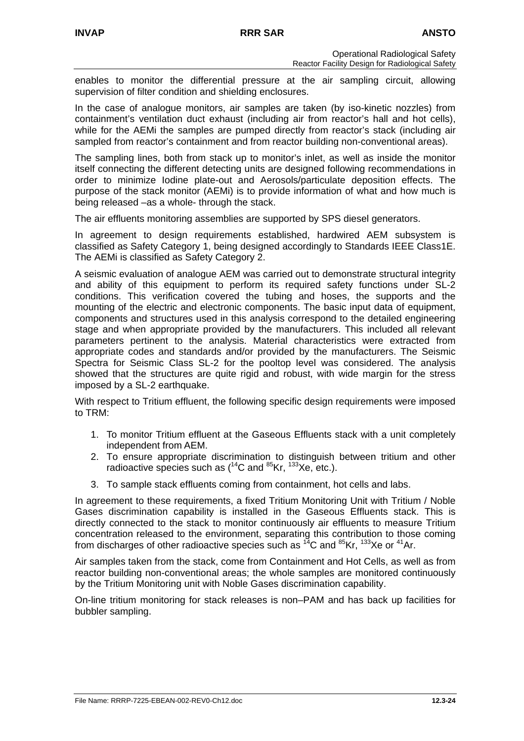enables to monitor the differential pressure at the air sampling circuit, allowing supervision of filter condition and shielding enclosures.

In the case of analogue monitors, air samples are taken (by iso-kinetic nozzles) from containment's ventilation duct exhaust (including air from reactor's hall and hot cells), while for the AEMi the samples are pumped directly from reactor's stack (including air sampled from reactor's containment and from reactor building non-conventional areas).

The sampling lines, both from stack up to monitor's inlet, as well as inside the monitor itself connecting the different detecting units are designed following recommendations in order to minimize Iodine plate-out and Aerosols/particulate deposition effects. The purpose of the stack monitor (AEMi) is to provide information of what and how much is being released –as a whole- through the stack.

The air effluents monitoring assemblies are supported by SPS diesel generators.

In agreement to design requirements established, hardwired AEM subsystem is classified as Safety Category 1, being designed accordingly to Standards IEEE Class1E. The AEMi is classified as Safety Category 2.

A seismic evaluation of analogue AEM was carried out to demonstrate structural integrity and ability of this equipment to perform its required safety functions under SL-2 conditions. This verification covered the tubing and hoses, the supports and the mounting of the electric and electronic components. The basic input data of equipment, components and structures used in this analysis correspond to the detailed engineering stage and when appropriate provided by the manufacturers. This included all relevant parameters pertinent to the analysis. Material characteristics were extracted from appropriate codes and standards and/or provided by the manufacturers. The Seismic Spectra for Seismic Class SL-2 for the pooltop level was considered. The analysis showed that the structures are quite rigid and robust, with wide margin for the stress imposed by a SL-2 earthquake.

With respect to Tritium effluent, the following specific design requirements were imposed to TRM:

- 1. To monitor Tritium effluent at the Gaseous Effluents stack with a unit completely independent from AEM.
- 2. To ensure appropriate discrimination to distinguish between tritium and other radioactive species such as  $(^{14}C$  and  $^{85}Kr$ ,  $^{133}Xe$ , etc.).
- 3. To sample stack effluents coming from containment, hot cells and labs.

In agreement to these requirements, a fixed Tritium Monitoring Unit with Tritium / Noble Gases discrimination capability is installed in the Gaseous Effluents stack. This is directly connected to the stack to monitor continuously air effluents to measure Tritium concentration released to the environment, separating this contribution to those coming from discharges of other radioactive species such as  $^{14}$ C and  $^{85}$ Kr,  $^{133}$ Xe or  $^{41}$ Ar.

Air samples taken from the stack, come from Containment and Hot Cells, as well as from reactor building non-conventional areas; the whole samples are monitored continuously by the Tritium Monitoring unit with Noble Gases discrimination capability.

On-line tritium monitoring for stack releases is non–PAM and has back up facilities for bubbler sampling.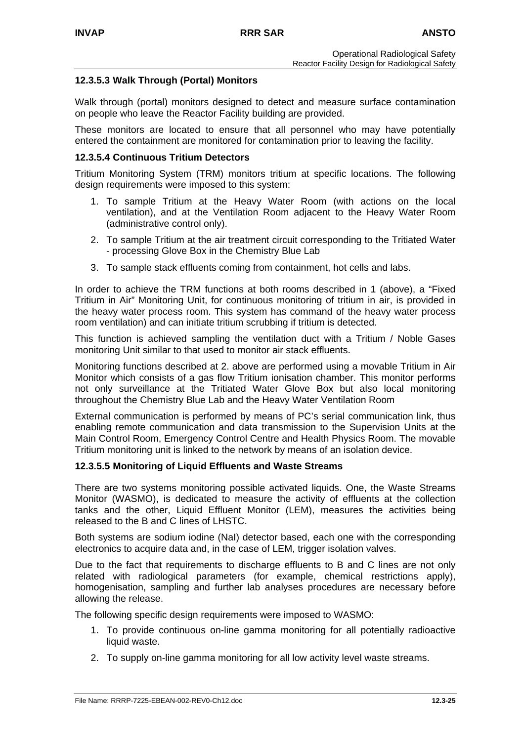### **12.3.5.3 Walk Through (Portal) Monitors**

Walk through (portal) monitors designed to detect and measure surface contamination on people who leave the Reactor Facility building are provided.

These monitors are located to ensure that all personnel who may have potentially entered the containment are monitored for contamination prior to leaving the facility.

#### **12.3.5.4 Continuous Tritium Detectors**

Tritium Monitoring System (TRM) monitors tritium at specific locations. The following design requirements were imposed to this system:

- 1. To sample Tritium at the Heavy Water Room (with actions on the local ventilation), and at the Ventilation Room adjacent to the Heavy Water Room (administrative control only).
- 2. To sample Tritium at the air treatment circuit corresponding to the Tritiated Water - processing Glove Box in the Chemistry Blue Lab
- 3. To sample stack effluents coming from containment, hot cells and labs.

In order to achieve the TRM functions at both rooms described in 1 (above), a "Fixed Tritium in Air" Monitoring Unit, for continuous monitoring of tritium in air, is provided in the heavy water process room. This system has command of the heavy water process room ventilation) and can initiate tritium scrubbing if tritium is detected.

This function is achieved sampling the ventilation duct with a Tritium / Noble Gases monitoring Unit similar to that used to monitor air stack effluents.

Monitoring functions described at 2. above are performed using a movable Tritium in Air Monitor which consists of a gas flow Tritium ionisation chamber. This monitor performs not only surveillance at the Tritiated Water Glove Box but also local monitoring throughout the Chemistry Blue Lab and the Heavy Water Ventilation Room

External communication is performed by means of PC's serial communication link, thus enabling remote communication and data transmission to the Supervision Units at the Main Control Room, Emergency Control Centre and Health Physics Room. The movable Tritium monitoring unit is linked to the network by means of an isolation device.

#### **12.3.5.5 Monitoring of Liquid Effluents and Waste Streams**

There are two systems monitoring possible activated liquids. One, the Waste Streams Monitor (WASMO), is dedicated to measure the activity of effluents at the collection tanks and the other, Liquid Effluent Monitor (LEM), measures the activities being released to the B and C lines of LHSTC.

Both systems are sodium iodine (NaI) detector based, each one with the corresponding electronics to acquire data and, in the case of LEM, trigger isolation valves.

Due to the fact that requirements to discharge effluents to B and C lines are not only related with radiological parameters (for example, chemical restrictions apply), homogenisation, sampling and further lab analyses procedures are necessary before allowing the release.

The following specific design requirements were imposed to WASMO:

- 1. To provide continuous on-line gamma monitoring for all potentially radioactive liquid waste.
- 2. To supply on-line gamma monitoring for all low activity level waste streams.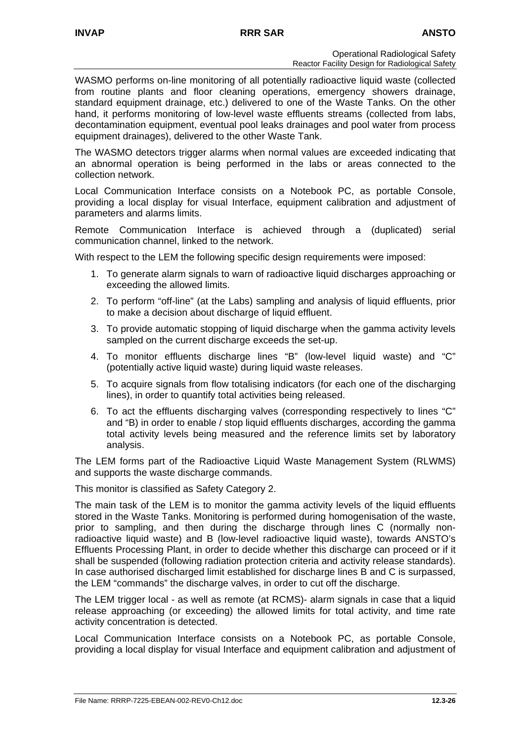WASMO performs on-line monitoring of all potentially radioactive liquid waste (collected from routine plants and floor cleaning operations, emergency showers drainage, standard equipment drainage, etc.) delivered to one of the Waste Tanks. On the other hand, it performs monitoring of low-level waste effluents streams (collected from labs, decontamination equipment, eventual pool leaks drainages and pool water from process equipment drainages), delivered to the other Waste Tank.

The WASMO detectors trigger alarms when normal values are exceeded indicating that an abnormal operation is being performed in the labs or areas connected to the collection network.

Local Communication Interface consists on a Notebook PC, as portable Console, providing a local display for visual Interface, equipment calibration and adjustment of parameters and alarms limits.

Remote Communication Interface is achieved through a (duplicated) serial communication channel, linked to the network.

With respect to the LEM the following specific design requirements were imposed:

- 1. To generate alarm signals to warn of radioactive liquid discharges approaching or exceeding the allowed limits.
- 2. To perform "off-line" (at the Labs) sampling and analysis of liquid effluents, prior to make a decision about discharge of liquid effluent.
- 3. To provide automatic stopping of liquid discharge when the gamma activity levels sampled on the current discharge exceeds the set-up.
- 4. To monitor effluents discharge lines "B" (low-level liquid waste) and "C" (potentially active liquid waste) during liquid waste releases.
- 5. To acquire signals from flow totalising indicators (for each one of the discharging lines), in order to quantify total activities being released.
- 6. To act the effluents discharging valves (corresponding respectively to lines "C" and "B) in order to enable / stop liquid effluents discharges, according the gamma total activity levels being measured and the reference limits set by laboratory analysis.

The LEM forms part of the Radioactive Liquid Waste Management System (RLWMS) and supports the waste discharge commands.

This monitor is classified as Safety Category 2.

The main task of the LEM is to monitor the gamma activity levels of the liquid effluents stored in the Waste Tanks. Monitoring is performed during homogenisation of the waste, prior to sampling, and then during the discharge through lines C (normally nonradioactive liquid waste) and B (low-level radioactive liquid waste), towards ANSTO's Effluents Processing Plant, in order to decide whether this discharge can proceed or if it shall be suspended (following radiation protection criteria and activity release standards). In case authorised discharged limit established for discharge lines B and C is surpassed, the LEM "commands" the discharge valves, in order to cut off the discharge.

The LEM trigger local - as well as remote (at RCMS)- alarm signals in case that a liquid release approaching (or exceeding) the allowed limits for total activity, and time rate activity concentration is detected.

Local Communication Interface consists on a Notebook PC, as portable Console, providing a local display for visual Interface and equipment calibration and adjustment of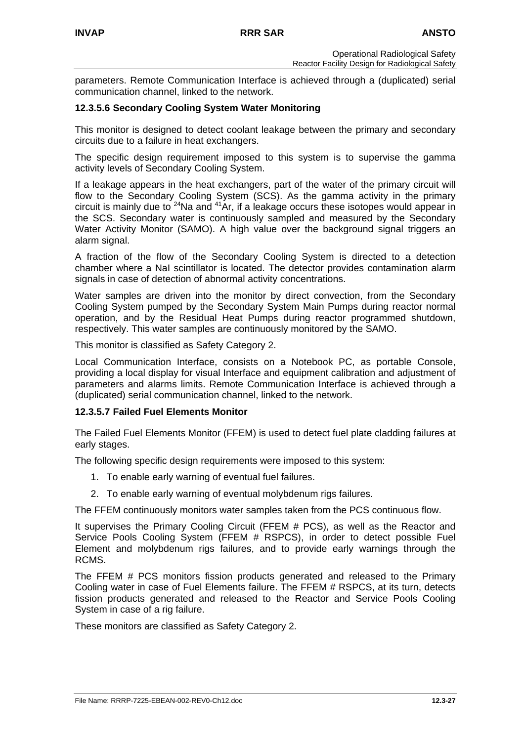parameters. Remote Communication Interface is achieved through a (duplicated) serial communication channel, linked to the network.

### **12.3.5.6 Secondary Cooling System Water Monitoring**

This monitor is designed to detect coolant leakage between the primary and secondary circuits due to a failure in heat exchangers.

The specific design requirement imposed to this system is to supervise the gamma activity levels of Secondary Cooling System.

If a leakage appears in the heat exchangers, part of the water of the primary circuit will flow to the Secondary Cooling System (SCS). As the gamma activity in the primary circuit is mainly due to  $24$ Na and  $41$ Ar, if a leakage occurs these isotopes would appear in the SCS. Secondary water is continuously sampled and measured by the Secondary Water Activity Monitor (SAMO). A high value over the background signal triggers an alarm signal.

A fraction of the flow of the Secondary Cooling System is directed to a detection chamber where a NaI scintillator is located. The detector provides contamination alarm signals in case of detection of abnormal activity concentrations.

Water samples are driven into the monitor by direct convection, from the Secondary Cooling System pumped by the Secondary System Main Pumps during reactor normal operation, and by the Residual Heat Pumps during reactor programmed shutdown, respectively. This water samples are continuously monitored by the SAMO.

This monitor is classified as Safety Category 2.

Local Communication Interface, consists on a Notebook PC, as portable Console, providing a local display for visual Interface and equipment calibration and adjustment of parameters and alarms limits. Remote Communication Interface is achieved through a (duplicated) serial communication channel, linked to the network.

#### **12.3.5.7 Failed Fuel Elements Monitor**

The Failed Fuel Elements Monitor (FFEM) is used to detect fuel plate cladding failures at early stages.

The following specific design requirements were imposed to this system:

- 1. To enable early warning of eventual fuel failures.
- 2. To enable early warning of eventual molybdenum rigs failures.

The FFEM continuously monitors water samples taken from the PCS continuous flow.

It supervises the Primary Cooling Circuit (FFEM # PCS), as well as the Reactor and Service Pools Cooling System (FFEM # RSPCS), in order to detect possible Fuel Element and molybdenum rigs failures, and to provide early warnings through the RCMS.

The FFEM # PCS monitors fission products generated and released to the Primary Cooling water in case of Fuel Elements failure. The FFEM # RSPCS, at its turn, detects fission products generated and released to the Reactor and Service Pools Cooling System in case of a rig failure.

These monitors are classified as Safety Category 2.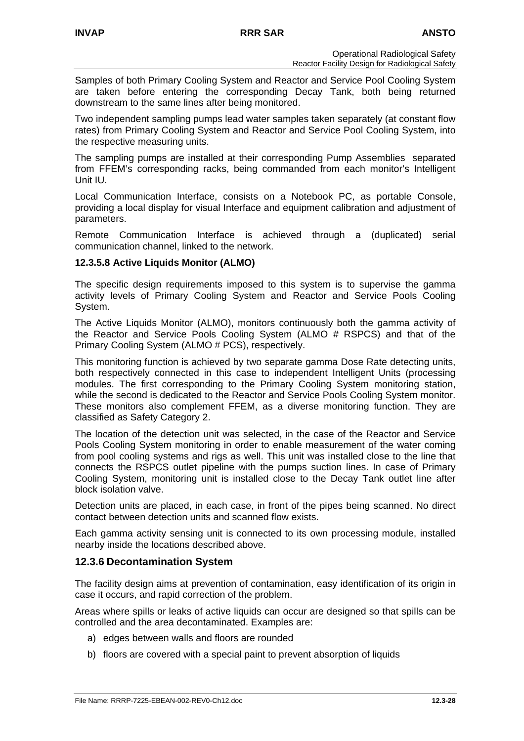Samples of both Primary Cooling System and Reactor and Service Pool Cooling System are taken before entering the corresponding Decay Tank, both being returned downstream to the same lines after being monitored.

Two independent sampling pumps lead water samples taken separately (at constant flow rates) from Primary Cooling System and Reactor and Service Pool Cooling System, into the respective measuring units.

The sampling pumps are installed at their corresponding Pump Assemblies separated from FFEM's corresponding racks, being commanded from each monitor's Intelligent Unit IU.

Local Communication Interface, consists on a Notebook PC, as portable Console, providing a local display for visual Interface and equipment calibration and adjustment of parameters.

Remote Communication Interface is achieved through a (duplicated) serial communication channel, linked to the network.

### **12.3.5.8 Active Liquids Monitor (ALMO)**

The specific design requirements imposed to this system is to supervise the gamma activity levels of Primary Cooling System and Reactor and Service Pools Cooling System.

The Active Liquids Monitor (ALMO), monitors continuously both the gamma activity of the Reactor and Service Pools Cooling System (ALMO # RSPCS) and that of the Primary Cooling System (ALMO # PCS), respectively.

This monitoring function is achieved by two separate gamma Dose Rate detecting units, both respectively connected in this case to independent Intelligent Units (processing modules. The first corresponding to the Primary Cooling System monitoring station, while the second is dedicated to the Reactor and Service Pools Cooling System monitor. These monitors also complement FFEM, as a diverse monitoring function. They are classified as Safety Category 2.

The location of the detection unit was selected, in the case of the Reactor and Service Pools Cooling System monitoring in order to enable measurement of the water coming from pool cooling systems and rigs as well. This unit was installed close to the line that connects the RSPCS outlet pipeline with the pumps suction lines. In case of Primary Cooling System, monitoring unit is installed close to the Decay Tank outlet line after block isolation valve.

Detection units are placed, in each case, in front of the pipes being scanned. No direct contact between detection units and scanned flow exists.

Each gamma activity sensing unit is connected to its own processing module, installed nearby inside the locations described above.

#### **12.3.6 Decontamination System**

The facility design aims at prevention of contamination, easy identification of its origin in case it occurs, and rapid correction of the problem.

Areas where spills or leaks of active liquids can occur are designed so that spills can be controlled and the area decontaminated. Examples are:

- a) edges between walls and floors are rounded
- b) floors are covered with a special paint to prevent absorption of liquids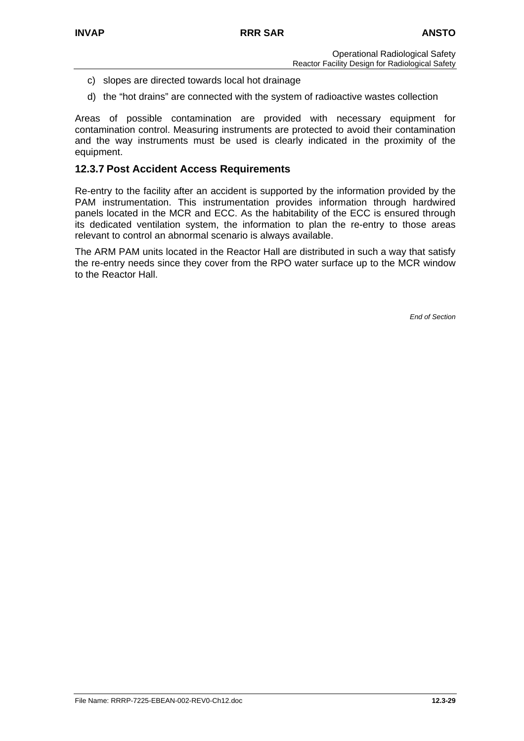- c) slopes are directed towards local hot drainage
- d) the "hot drains" are connected with the system of radioactive wastes collection

Areas of possible contamination are provided with necessary equipment for contamination control. Measuring instruments are protected to avoid their contamination and the way instruments must be used is clearly indicated in the proximity of the equipment.

### **12.3.7 Post Accident Access Requirements**

Re-entry to the facility after an accident is supported by the information provided by the PAM instrumentation. This instrumentation provides information through hardwired panels located in the MCR and ECC. As the habitability of the ECC is ensured through its dedicated ventilation system, the information to plan the re-entry to those areas relevant to control an abnormal scenario is always available.

The ARM PAM units located in the Reactor Hall are distributed in such a way that satisfy the re-entry needs since they cover from the RPO water surface up to the MCR window to the Reactor Hall.

*End of Section*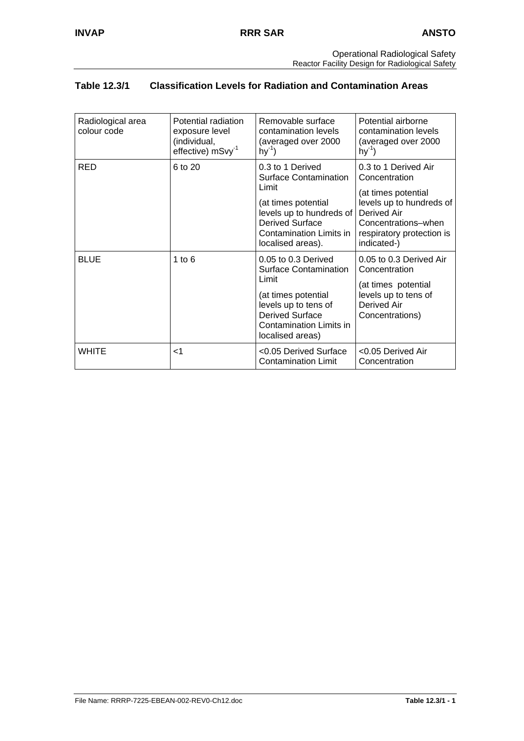# **Table 12.3/1 Classification Levels for Radiation and Contamination Areas**

| Radiological area<br>colour code | Potential radiation<br>exposure level<br>(individual,<br>effective) mSvy <sup>-1</sup> | Removable surface<br>contamination levels<br>(averaged over 2000<br>$hy^{-1}$                                                                                                          | Potential airborne<br>contamination levels<br>(averaged over 2000<br>$hy^{-1}$                                                                                             |
|----------------------------------|----------------------------------------------------------------------------------------|----------------------------------------------------------------------------------------------------------------------------------------------------------------------------------------|----------------------------------------------------------------------------------------------------------------------------------------------------------------------------|
| RED                              | 6 to 20                                                                                | 0.3 to 1 Derived<br><b>Surface Contamination</b><br>Limit<br>(at times potential<br>levels up to hundreds of<br><b>Derived Surface</b><br>Contamination Limits in<br>localised areas). | 0.3 to 1 Derived Air<br>Concentration<br>(at times potential<br>levels up to hundreds of<br>Derived Air<br>Concentrations-when<br>respiratory protection is<br>indicated-) |
| <b>BLUE</b>                      | 1 to $6$                                                                               | 0.05 to 0.3 Derived<br><b>Surface Contamination</b><br>Limit<br>(at times potential<br>levels up to tens of<br><b>Derived Surface</b><br>Contamination Limits in<br>localised areas)   | 0.05 to 0.3 Derived Air<br>Concentration<br>(at times potential<br>levels up to tens of<br>Derived Air<br>Concentrations)                                                  |
| WHITE                            | ا>                                                                                     | <0.05 Derived Surface<br><b>Contamination Limit</b>                                                                                                                                    | <0.05 Derived Air<br>Concentration                                                                                                                                         |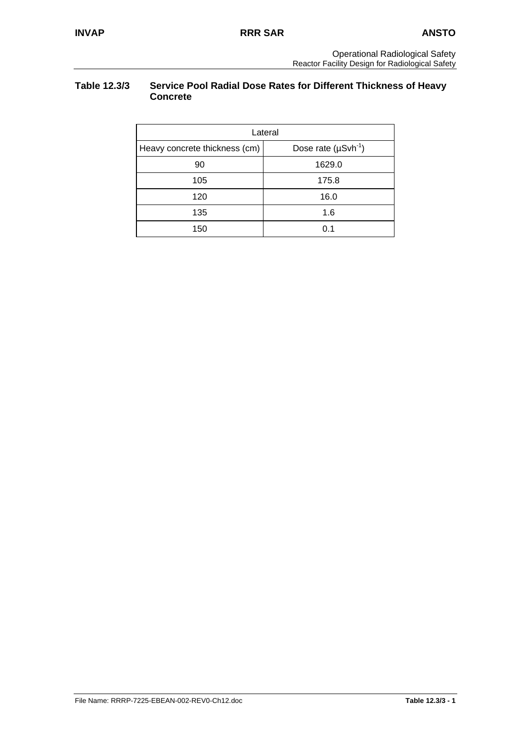### **Table 12.3/3 Service Pool Radial Dose Rates for Different Thickness of Heavy Concrete**

| Lateral                       |                            |  |  |  |  |
|-------------------------------|----------------------------|--|--|--|--|
| Heavy concrete thickness (cm) | Dose rate $(\mu Svh^{-1})$ |  |  |  |  |
| 90                            | 1629.0                     |  |  |  |  |
| 105                           | 175.8                      |  |  |  |  |
| 120                           | 16.0                       |  |  |  |  |
| 135                           | 1.6                        |  |  |  |  |
| 150                           | 0.1                        |  |  |  |  |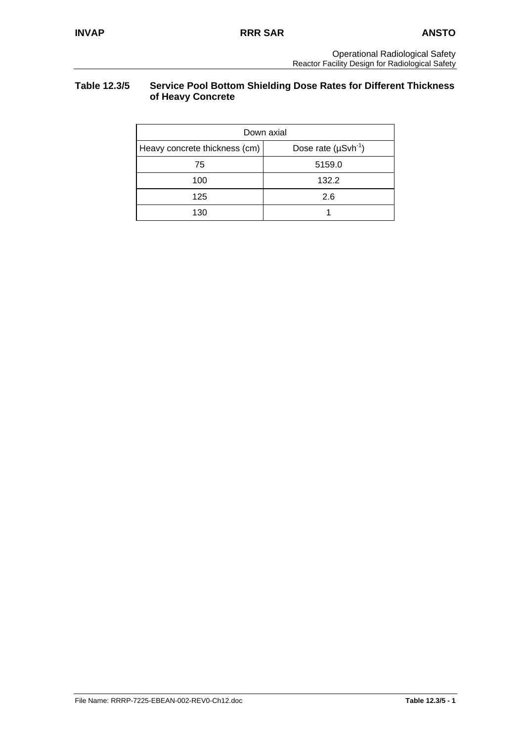### **Table 12.3/5 Service Pool Bottom Shielding Dose Rates for Different Thickness of Heavy Concrete**

| Down axial                    |                            |  |  |  |  |
|-------------------------------|----------------------------|--|--|--|--|
| Heavy concrete thickness (cm) | Dose rate $(\mu Svh^{-1})$ |  |  |  |  |
| 75                            | 5159.0                     |  |  |  |  |
| 100                           | 132.2                      |  |  |  |  |
| 125                           | 2.6                        |  |  |  |  |
| 130                           |                            |  |  |  |  |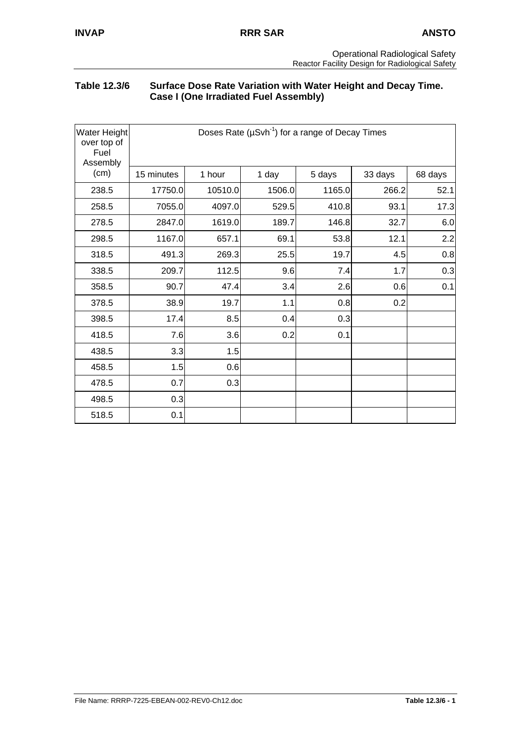### **Table 12.3/6 Surface Dose Rate Variation with Water Height and Decay Time. Case I (One Irradiated Fuel Assembly)**

| Water Height<br>over top of<br>Fuel<br>Assembly |            |         |        | Doses Rate ( $\mu$ Svh <sup>-1</sup> ) for a range of Decay Times |         |         |
|-------------------------------------------------|------------|---------|--------|-------------------------------------------------------------------|---------|---------|
| (cm)                                            | 15 minutes | 1 hour  | 1 day  | 5 days                                                            | 33 days | 68 days |
| 238.5                                           | 17750.0    | 10510.0 | 1506.0 | 1165.0                                                            | 266.2   | 52.1    |
| 258.5                                           | 7055.0     | 4097.0  | 529.5  | 410.8                                                             | 93.1    | 17.3    |
| 278.5                                           | 2847.0     | 1619.0  | 189.7  | 146.8                                                             | 32.7    | 6.0     |
| 298.5                                           | 1167.0     | 657.1   | 69.1   | 53.8                                                              | 12.1    | 2.2     |
| 318.5                                           | 491.3      | 269.3   | 25.5   | 19.7                                                              | 4.5     | 0.8     |
| 338.5                                           | 209.7      | 112.5   | 9.6    | 7.4                                                               | 1.7     | 0.3     |
| 358.5                                           | 90.7       | 47.4    | 3.4    | 2.6                                                               | 0.6     | 0.1     |
| 378.5                                           | 38.9       | 19.7    | 1.1    | 0.8                                                               | 0.2     |         |
| 398.5                                           | 17.4       | 8.5     | 0.4    | 0.3                                                               |         |         |
| 418.5                                           | 7.6        | 3.6     | 0.2    | 0.1                                                               |         |         |
| 438.5                                           | 3.3        | 1.5     |        |                                                                   |         |         |
| 458.5                                           | 1.5        | 0.6     |        |                                                                   |         |         |
| 478.5                                           | 0.7        | 0.3     |        |                                                                   |         |         |
| 498.5                                           | 0.3        |         |        |                                                                   |         |         |
| 518.5                                           | 0.1        |         |        |                                                                   |         |         |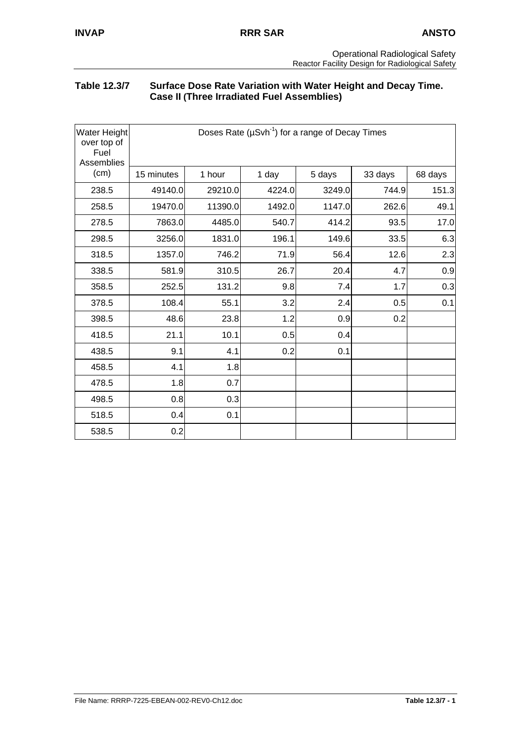### **Table 12.3/7 Surface Dose Rate Variation with Water Height and Decay Time. Case II (Three Irradiated Fuel Assemblies)**

| Water Height<br>over top of<br>Fuel<br>Assemblies | Doses Rate ( $\mu$ Svh <sup>-1</sup> ) for a range of Decay Times |         |        |        |         |         |
|---------------------------------------------------|-------------------------------------------------------------------|---------|--------|--------|---------|---------|
| (cm)                                              | 15 minutes                                                        | 1 hour  | 1 day  | 5 days | 33 days | 68 days |
| 238.5                                             | 49140.0                                                           | 29210.0 | 4224.0 | 3249.0 | 744.9   | 151.3   |
| 258.5                                             | 19470.0                                                           | 11390.0 | 1492.0 | 1147.0 | 262.6   | 49.1    |
| 278.5                                             | 7863.0                                                            | 4485.0  | 540.7  | 414.2  | 93.5    | 17.0    |
| 298.5                                             | 3256.0                                                            | 1831.0  | 196.1  | 149.6  | 33.5    | 6.3     |
| 318.5                                             | 1357.0                                                            | 746.2   | 71.9   | 56.4   | 12.6    | 2.3     |
| 338.5                                             | 581.9                                                             | 310.5   | 26.7   | 20.4   | 4.7     | 0.9     |
| 358.5                                             | 252.5                                                             | 131.2   | 9.8    | 7.4    | 1.7     | 0.3     |
| 378.5                                             | 108.4                                                             | 55.1    | 3.2    | 2.4    | 0.5     | 0.1     |
| 398.5                                             | 48.6                                                              | 23.8    | 1.2    | 0.9    | 0.2     |         |
| 418.5                                             | 21.1                                                              | 10.1    | 0.5    | 0.4    |         |         |
| 438.5                                             | 9.1                                                               | 4.1     | 0.2    | 0.1    |         |         |
| 458.5                                             | 4.1                                                               | 1.8     |        |        |         |         |
| 478.5                                             | 1.8                                                               | 0.7     |        |        |         |         |
| 498.5                                             | 0.8                                                               | 0.3     |        |        |         |         |
| 518.5                                             | 0.4                                                               | 0.1     |        |        |         |         |
| 538.5                                             | 0.2                                                               |         |        |        |         |         |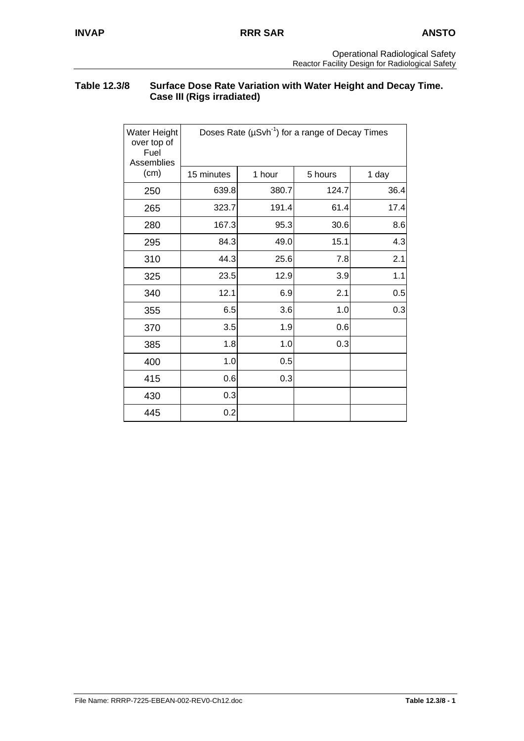### **Table 12.3/8 Surface Dose Rate Variation with Water Height and Decay Time. Case III (Rigs irradiated)**

| Water Height<br>over top of<br>Fuel<br>Assemblies |            |        | Doses Rate ( $\mu$ Svh <sup>-1</sup> ) for a range of Decay Times |       |
|---------------------------------------------------|------------|--------|-------------------------------------------------------------------|-------|
| (cm)                                              | 15 minutes | 1 hour | 5 hours                                                           | 1 day |
| 250                                               | 639.8      | 380.7  | 124.7                                                             | 36.4  |
| 265                                               | 323.7      | 191.4  | 61.4                                                              | 17.4  |
| 280                                               | 167.3      | 95.3   | 30.6                                                              | 8.6   |
| 295                                               | 84.3       | 49.0   | 15.1                                                              | 4.3   |
| 310                                               | 44.3       | 25.6   | 7.8                                                               | 2.1   |
| 325                                               | 23.5       | 12.9   | 3.9                                                               | 1.1   |
| 340                                               | 12.1       | 6.9    | 2.1                                                               | 0.5   |
| 355                                               | 6.5        | 3.6    | 1.0                                                               | 0.3   |
| 370                                               | 3.5        | 1.9    | 0.6                                                               |       |
| 385                                               | 1.8        | 1.0    | 0.3                                                               |       |
| 400                                               | 1.0        | 0.5    |                                                                   |       |
| 415                                               | 0.6        | 0.3    |                                                                   |       |
| 430                                               | 0.3        |        |                                                                   |       |
| 445                                               | 0.2        |        |                                                                   |       |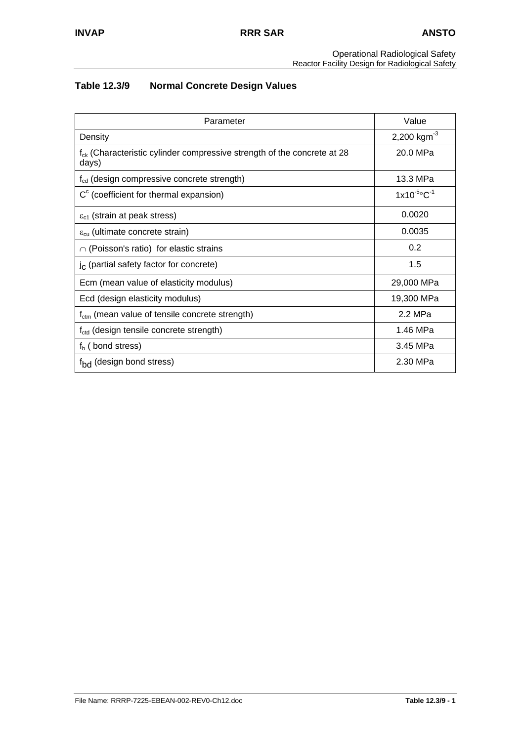#### Operational Radiological Safety Reactor Facility Design for Radiological Safety

# **Table 12.3/9 Normal Concrete Design Values**

| Parameter                                                                             | Value                        |
|---------------------------------------------------------------------------------------|------------------------------|
| Density                                                                               | 2,200 kgm $^{-3}$            |
| $f_{ck}$ (Characteristic cylinder compressive strength of the concrete at 28<br>days) | 20.0 MPa                     |
| $f_{\text{cd}}$ (design compressive concrete strength)                                | 13.3 MPa                     |
| $Cc$ (coefficient for thermal expansion)                                              | $1x10^{-5}$ °C <sup>-1</sup> |
| $\varepsilon_{c1}$ (strain at peak stress)                                            | 0.0020                       |
| $\varepsilon_{\text{cu}}$ (ultimate concrete strain)                                  | 0.0035                       |
| $\cap$ (Poisson's ratio) for elastic strains                                          | 0.2                          |
| $j_c$ (partial safety factor for concrete)                                            | 1.5                          |
| Ecm (mean value of elasticity modulus)                                                | 29,000 MPa                   |
| Ecd (design elasticity modulus)                                                       | 19,300 MPa                   |
| $f_{\text{ctm}}$ (mean value of tensile concrete strength)                            | 2.2 MPa                      |
| f <sub>ctd</sub> (design tensile concrete strength)                                   | 1.46 MPa                     |
| $fb$ (bond stress)                                                                    | 3.45 MPa                     |
| f <sub>bd</sub> (design bond stress)                                                  | 2.30 MPa                     |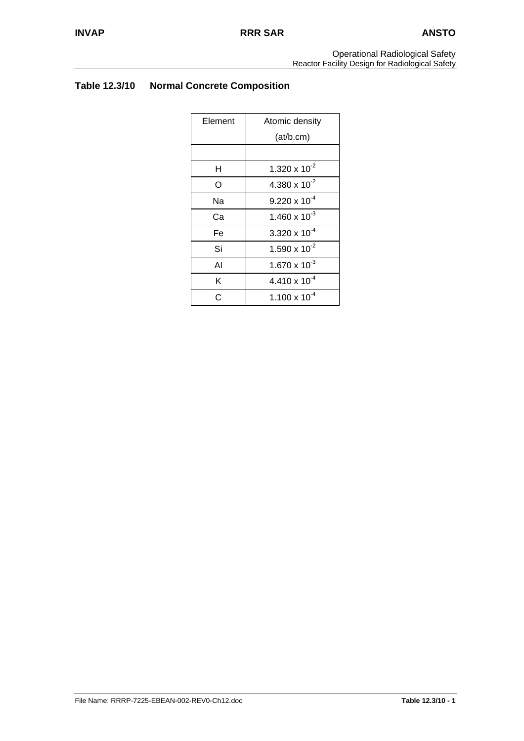# **Table 12.3/10 Normal Concrete Composition**

| Element | Atomic density         |
|---------|------------------------|
|         | (at/b.cm)              |
|         |                        |
| н       | 1.320 x $10^{-2}$      |
| O       | 4.380 x $10^{-2}$      |
| Nа      | $9.220 \times 10^{-4}$ |
| Сa      | 1.460 x $10^{-3}$      |
| Fe      | 3.320 x $10^{-4}$      |
| Si      | 1.590 x $10^{-2}$      |
| Al      | $1.670 \times 10^{-3}$ |
| K       | $4.410 \times 10^{-4}$ |
| C       | $1.100 \times 10^{-4}$ |
|         |                        |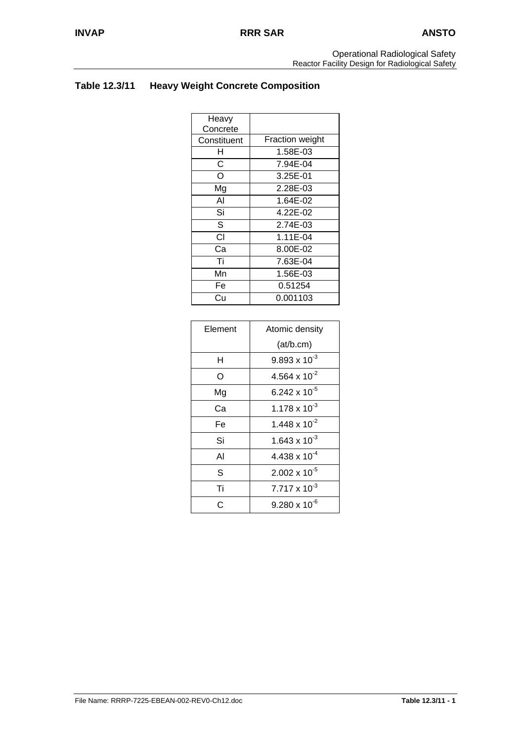# **Table 12.3/11 Heavy Weight Concrete Composition**

| Fraction weight |
|-----------------|
| 1.58E-03        |
| 7.94E-04        |
| 3.25E-01        |
| 2.28E-03        |
| 1.64E-02        |
| 4.22E-02        |
| 2.74E-03        |
| 1.11E-04        |
| 8.00E-02        |
| 7.63E-04        |
| 1.56E-03        |
| 0.51254         |
| 0.001103        |
|                 |

| Element | Atomic density         |  |  |  |
|---------|------------------------|--|--|--|
|         | (at/b.cm)              |  |  |  |
| н       | $9.893 \times 10^{-3}$ |  |  |  |
| O       | 4.564 x $10^{-2}$      |  |  |  |
| Mg      | 6.242 x $10^{-5}$      |  |  |  |
| Cа      | 1.178 x $10^{-3}$      |  |  |  |
| Fe      | 1.448 x $10^{-2}$      |  |  |  |
| Si      | 1.643 x $10^{-3}$      |  |  |  |
| Al      | 4.438 x $10^{-4}$      |  |  |  |
| S       | $2.002 \times 10^{-5}$ |  |  |  |
| Ti      | $7.717 \times 10^{-3}$ |  |  |  |
| C       | $9.280 \times 10^{-6}$ |  |  |  |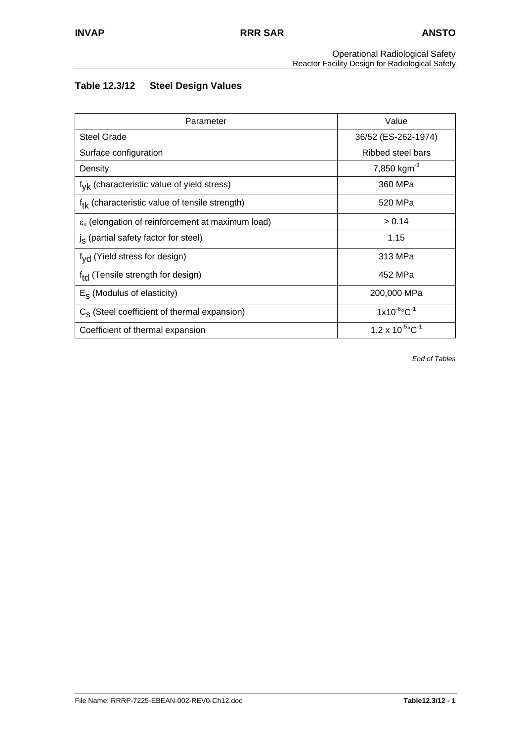#### Operational Radiological Safety Reactor Facility Design for Radiological Safety

# **Table 12.3/12 Steel Design Values**

| Parameter                                                           | Value                                 |
|---------------------------------------------------------------------|---------------------------------------|
| <b>Steel Grade</b>                                                  | 36/52 (ES-262-1974)                   |
| Surface configuration                                               | Ribbed steel bars                     |
| Density                                                             | 7,850 kgm <sup>-3</sup>               |
| f <sub>vk</sub> (characteristic value of yield stress)              | 360 MPa                               |
| f <sub>tk</sub> (characteristic value of tensile strength)          | 520 MPa                               |
| $\varepsilon_{\rm u}$ (elongation of reinforcement at maximum load) | > 0.14                                |
| $js$ (partial safety factor for steel)                              | 1.15                                  |
| f <sub>vd</sub> (Yield stress for design)                           | 313 MPa                               |
| f <sub>td</sub> (Tensile strength for design)                       | 452 MPa                               |
| $E_S$ (Modulus of elasticity)                                       | 200,000 MPa                           |
| $C_s$ (Steel coefficient of thermal expansion)                      | $1x10^{-6}$ °C <sup>-1</sup>          |
| Coefficient of thermal expansion                                    | $1.2 \times 10^{-5}$ °C <sup>-1</sup> |

*End of Tables*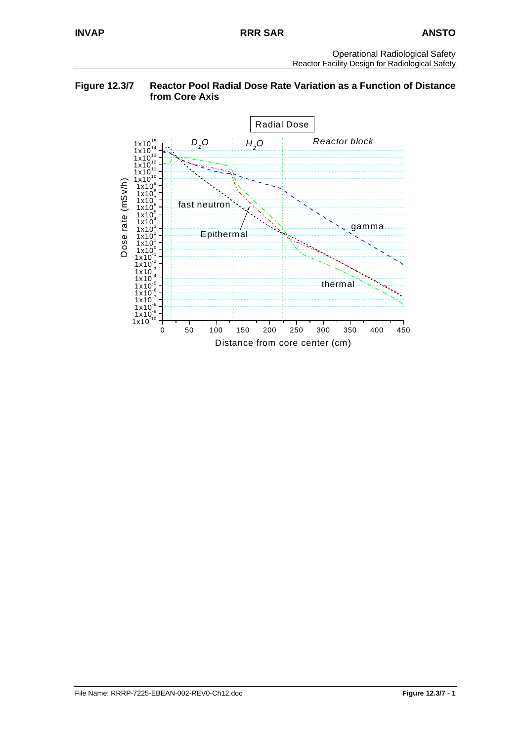#### **Figure 12.3/7 Reactor Pool Radial Dose Rate Variation as a Function of Distance from Core Axis**

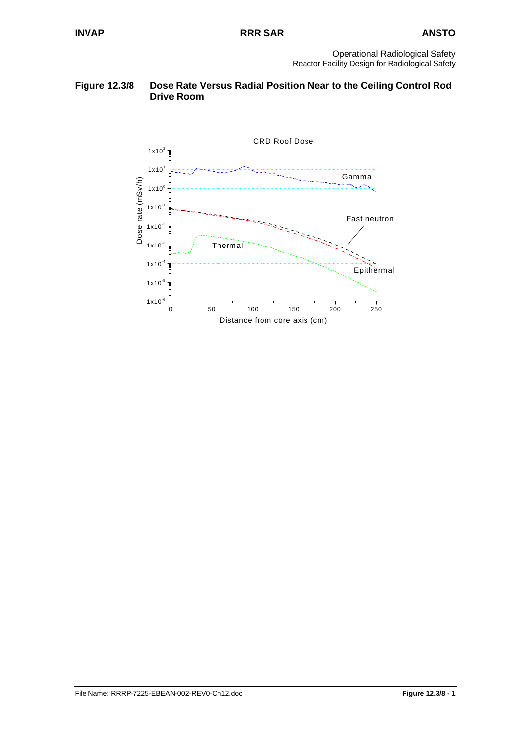### **Figure 12.3/8 Dose Rate Versus Radial Position Near to the Ceiling Control Rod Drive Room**

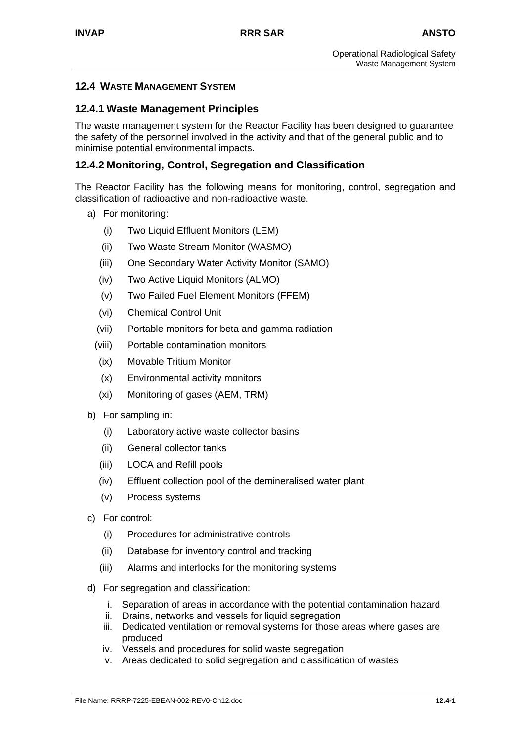# **12.4 WASTE MANAGEMENT SYSTEM**

### **12.4.1 Waste Management Principles**

The waste management system for the Reactor Facility has been designed to guarantee the safety of the personnel involved in the activity and that of the general public and to minimise potential environmental impacts.

### **12.4.2 Monitoring, Control, Segregation and Classification**

The Reactor Facility has the following means for monitoring, control, segregation and classification of radioactive and non-radioactive waste.

- a) For monitoring:
	- (i) Two Liquid Effluent Monitors (LEM)
	- (ii) Two Waste Stream Monitor (WASMO)
	- (iii) One Secondary Water Activity Monitor (SAMO)
	- (iv) Two Active Liquid Monitors (ALMO)
	- (v) Two Failed Fuel Element Monitors (FFEM)
	- (vi) Chemical Control Unit
	- (vii) Portable monitors for beta and gamma radiation
	- (viii) Portable contamination monitors
	- (ix) Movable Tritium Monitor
	- (x) Environmental activity monitors
	- (xi) Monitoring of gases (AEM, TRM)
- b) For sampling in:
	- (i) Laboratory active waste collector basins
	- (ii) General collector tanks
	- (iii) LOCA and Refill pools
	- (iv) Effluent collection pool of the demineralised water plant
	- (v) Process systems
- c) For control:
	- (i) Procedures for administrative controls
	- (ii) Database for inventory control and tracking
	- (iii) Alarms and interlocks for the monitoring systems
- d) For segregation and classification:
	- i. Separation of areas in accordance with the potential contamination hazard
	- ii. Drains, networks and vessels for liquid segregation
	- iii. Dedicated ventilation or removal systems for those areas where gases are produced
	- iv. Vessels and procedures for solid waste segregation
	- v. Areas dedicated to solid segregation and classification of wastes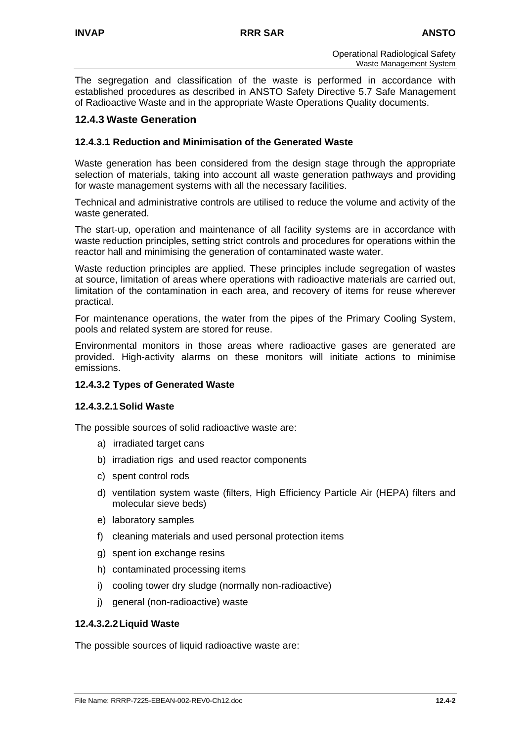The segregation and classification of the waste is performed in accordance with established procedures as described in ANSTO Safety Directive 5.7 Safe Management of Radioactive Waste and in the appropriate Waste Operations Quality documents.

# **12.4.3 Waste Generation**

### **12.4.3.1 Reduction and Minimisation of the Generated Waste**

Waste generation has been considered from the design stage through the appropriate selection of materials, taking into account all waste generation pathways and providing for waste management systems with all the necessary facilities.

Technical and administrative controls are utilised to reduce the volume and activity of the waste generated.

The start-up, operation and maintenance of all facility systems are in accordance with waste reduction principles, setting strict controls and procedures for operations within the reactor hall and minimising the generation of contaminated waste water.

Waste reduction principles are applied. These principles include segregation of wastes at source, limitation of areas where operations with radioactive materials are carried out, limitation of the contamination in each area, and recovery of items for reuse wherever practical.

For maintenance operations, the water from the pipes of the Primary Cooling System, pools and related system are stored for reuse.

Environmental monitors in those areas where radioactive gases are generated are provided. High-activity alarms on these monitors will initiate actions to minimise emissions.

### **12.4.3.2 Types of Generated Waste**

### **12.4.3.2.1 Solid Waste**

The possible sources of solid radioactive waste are:

- a) irradiated target cans
- b) irradiation rigs and used reactor components
- c) spent control rods
- d) ventilation system waste (filters, High Efficiency Particle Air (HEPA) filters and molecular sieve beds)
- e) laboratory samples
- f) cleaning materials and used personal protection items
- g) spent ion exchange resins
- h) contaminated processing items
- i) cooling tower dry sludge (normally non-radioactive)
- j) general (non-radioactive) waste

### **12.4.3.2.2 Liquid Waste**

The possible sources of liquid radioactive waste are: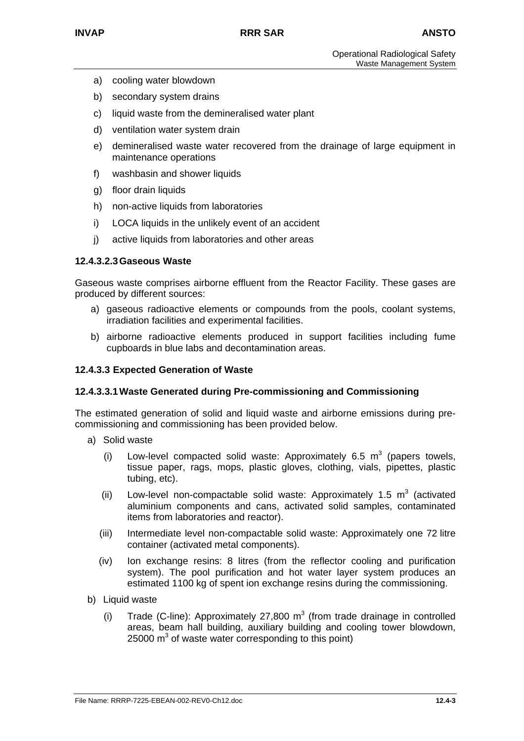- a) cooling water blowdown
- b) secondary system drains
- c) liquid waste from the demineralised water plant
- d) ventilation water system drain
- e) demineralised waste water recovered from the drainage of large equipment in maintenance operations
- f) washbasin and shower liquids
- g) floor drain liquids
- h) non-active liquids from laboratories
- i) LOCA liquids in the unlikely event of an accident
- j) active liquids from laboratories and other areas

#### **12.4.3.2.3 Gaseous Waste**

Gaseous waste comprises airborne effluent from the Reactor Facility. These gases are produced by different sources:

- a) gaseous radioactive elements or compounds from the pools, coolant systems, irradiation facilities and experimental facilities.
- b) airborne radioactive elements produced in support facilities including fume cupboards in blue labs and decontamination areas.

#### **12.4.3.3 Expected Generation of Waste**

#### **12.4.3.3.1 Waste Generated during Pre-commissioning and Commissioning**

The estimated generation of solid and liquid waste and airborne emissions during precommissioning and commissioning has been provided below.

- a) Solid waste
	- (i) Low-level compacted solid waste: Approximately 6.5  $m^3$  (papers towels, tissue paper, rags, mops, plastic gloves, clothing, vials, pipettes, plastic tubing, etc).
	- (ii) Low-level non-compactable solid waste: Approximately 1.5  $m^3$  (activated aluminium components and cans, activated solid samples, contaminated items from laboratories and reactor).
	- (iii) Intermediate level non-compactable solid waste: Approximately one 72 litre container (activated metal components).
	- (iv) Ion exchange resins: 8 litres (from the reflector cooling and purification system). The pool purification and hot water layer system produces an estimated 1100 kg of spent ion exchange resins during the commissioning.
- b) Liquid waste
	- (i) Trade (C-line): Approximately 27,800  $m<sup>3</sup>$  (from trade drainage in controlled areas, beam hall building, auxiliary building and cooling tower blowdown,  $25000 \text{ m}^3$  of waste water corresponding to this point)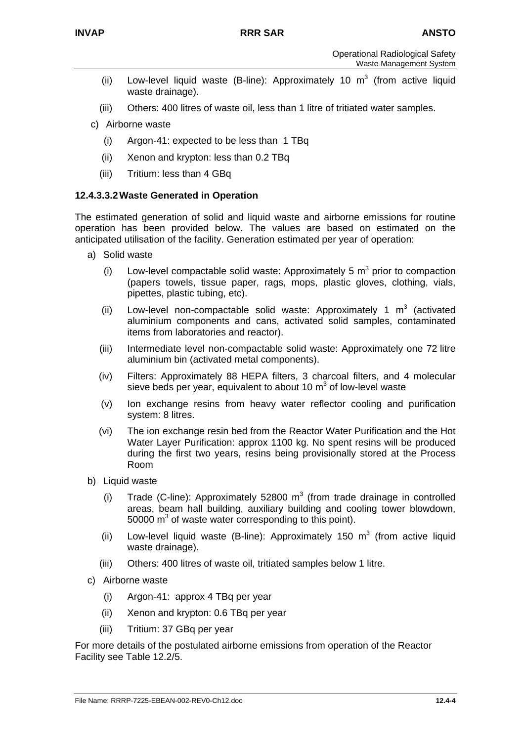- (ii) Low-level liquid waste (B-line): Approximately 10  $m<sup>3</sup>$  (from active liquid waste drainage).
- (iii) Others: 400 litres of waste oil, less than 1 litre of tritiated water samples.
- c) Airborne waste
	- (i) Argon-41: expected to be less than 1 TBq
	- (ii) Xenon and krypton: less than 0.2 TBq
	- (iii) Tritium: less than 4 GBq

### **12.4.3.3.2 Waste Generated in Operation**

The estimated generation of solid and liquid waste and airborne emissions for routine operation has been provided below. The values are based on estimated on the anticipated utilisation of the facility. Generation estimated per year of operation:

- a) Solid waste
	- (i) Low-level compactable solid waste: Approximately 5  $m^3$  prior to compaction (papers towels, tissue paper, rags, mops, plastic gloves, clothing, vials, pipettes, plastic tubing, etc).
	- (ii) Low-level non-compactable solid waste: Approximately 1  $m<sup>3</sup>$  (activated aluminium components and cans, activated solid samples, contaminated items from laboratories and reactor).
	- (iii) Intermediate level non-compactable solid waste: Approximately one 72 litre aluminium bin (activated metal components).
	- (iv) Filters: Approximately 88 HEPA filters, 3 charcoal filters, and 4 molecular sieve beds per year, equivalent to about 10  $m^3$  of low-level waste
	- (v) Ion exchange resins from heavy water reflector cooling and purification system: 8 litres.
	- (vi) The ion exchange resin bed from the Reactor Water Purification and the Hot Water Layer Purification: approx 1100 kg. No spent resins will be produced during the first two years, resins being provisionally stored at the Process Room
- b) Liquid waste
	- (i) Trade (C-line): Approximately 52800  $m^3$  (from trade drainage in controlled areas, beam hall building, auxiliary building and cooling tower blowdown,  $50000 \text{ m}^3$  of waste water corresponding to this point).
	- (ii) Low-level liquid waste (B-line): Approximately 150  $m^3$  (from active liquid waste drainage).
	- (iii) Others: 400 litres of waste oil, tritiated samples below 1 litre.
- c) Airborne waste
	- (i) Argon-41: approx 4 TBq per year
	- (ii) Xenon and krypton: 0.6 TBq per year
	- (iii) Tritium: 37 GBq per year

For more details of the postulated airborne emissions from operation of the Reactor Facility see Table 12.2/5.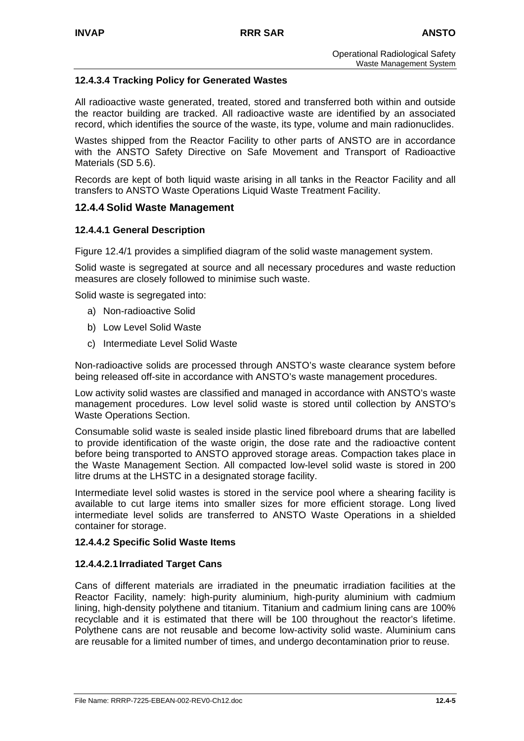### **12.4.3.4 Tracking Policy for Generated Wastes**

All radioactive waste generated, treated, stored and transferred both within and outside the reactor building are tracked. All radioactive waste are identified by an associated record, which identifies the source of the waste, its type, volume and main radionuclides.

Wastes shipped from the Reactor Facility to other parts of ANSTO are in accordance with the ANSTO Safety Directive on Safe Movement and Transport of Radioactive Materials (SD 5.6).

Records are kept of both liquid waste arising in all tanks in the Reactor Facility and all transfers to ANSTO Waste Operations Liquid Waste Treatment Facility.

### **12.4.4 Solid Waste Management**

### **12.4.4.1 General Description**

Figure 12.4/1 provides a simplified diagram of the solid waste management system.

Solid waste is segregated at source and all necessary procedures and waste reduction measures are closely followed to minimise such waste.

Solid waste is segregated into:

- a) Non-radioactive Solid
- b) Low Level Solid Waste
- c) Intermediate Level Solid Waste

Non-radioactive solids are processed through ANSTO's waste clearance system before being released off-site in accordance with ANSTO's waste management procedures.

Low activity solid wastes are classified and managed in accordance with ANSTO's waste management procedures. Low level solid waste is stored until collection by ANSTO's Waste Operations Section.

Consumable solid waste is sealed inside plastic lined fibreboard drums that are labelled to provide identification of the waste origin, the dose rate and the radioactive content before being transported to ANSTO approved storage areas. Compaction takes place in the Waste Management Section. All compacted low-level solid waste is stored in 200 litre drums at the LHSTC in a designated storage facility.

Intermediate level solid wastes is stored in the service pool where a shearing facility is available to cut large items into smaller sizes for more efficient storage. Long lived intermediate level solids are transferred to ANSTO Waste Operations in a shielded container for storage.

### **12.4.4.2 Specific Solid Waste Items**

### **12.4.4.2.1 Irradiated Target Cans**

Cans of different materials are irradiated in the pneumatic irradiation facilities at the Reactor Facility, namely: high-purity aluminium, high-purity aluminium with cadmium lining, high-density polythene and titanium. Titanium and cadmium lining cans are 100% recyclable and it is estimated that there will be 100 throughout the reactor's lifetime. Polythene cans are not reusable and become low-activity solid waste. Aluminium cans are reusable for a limited number of times, and undergo decontamination prior to reuse.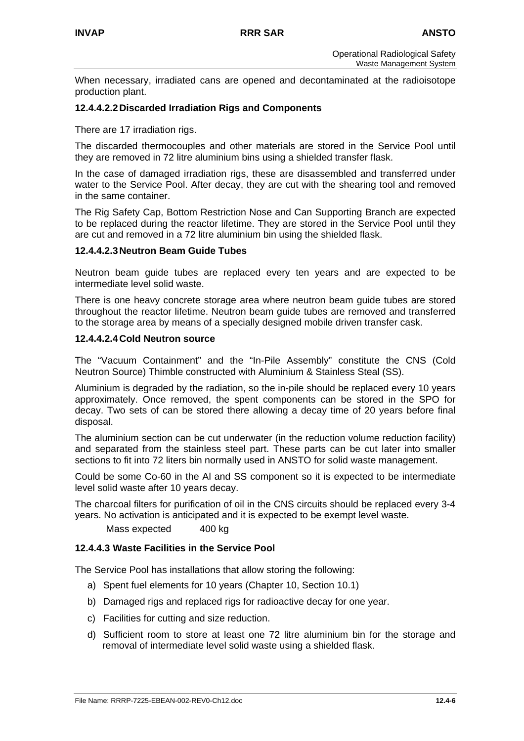When necessary, irradiated cans are opened and decontaminated at the radioisotope production plant.

### **12.4.4.2.2 Discarded Irradiation Rigs and Components**

There are 17 irradiation rigs.

The discarded thermocouples and other materials are stored in the Service Pool until they are removed in 72 litre aluminium bins using a shielded transfer flask.

In the case of damaged irradiation rigs, these are disassembled and transferred under water to the Service Pool. After decay, they are cut with the shearing tool and removed in the same container.

The Rig Safety Cap, Bottom Restriction Nose and Can Supporting Branch are expected to be replaced during the reactor lifetime. They are stored in the Service Pool until they are cut and removed in a 72 litre aluminium bin using the shielded flask.

### **12.4.4.2.3 Neutron Beam Guide Tubes**

Neutron beam guide tubes are replaced every ten years and are expected to be intermediate level solid waste.

There is one heavy concrete storage area where neutron beam guide tubes are stored throughout the reactor lifetime. Neutron beam guide tubes are removed and transferred to the storage area by means of a specially designed mobile driven transfer cask.

### **12.4.4.2.4 Cold Neutron source**

The "Vacuum Containment" and the "In-Pile Assembly" constitute the CNS (Cold Neutron Source) Thimble constructed with Aluminium & Stainless Steal (SS).

Aluminium is degraded by the radiation, so the in-pile should be replaced every 10 years approximately. Once removed, the spent components can be stored in the SPO for decay. Two sets of can be stored there allowing a decay time of 20 years before final disposal.

The aluminium section can be cut underwater (in the reduction volume reduction facility) and separated from the stainless steel part. These parts can be cut later into smaller sections to fit into 72 liters bin normally used in ANSTO for solid waste management.

Could be some Co-60 in the Al and SS component so it is expected to be intermediate level solid waste after 10 years decay.

The charcoal filters for purification of oil in the CNS circuits should be replaced every 3-4 years. No activation is anticipated and it is expected to be exempt level waste.

Mass expected 400 kg

### **12.4.4.3 Waste Facilities in the Service Pool**

The Service Pool has installations that allow storing the following:

- a) Spent fuel elements for 10 years (Chapter 10, Section 10.1)
- b) Damaged rigs and replaced rigs for radioactive decay for one year.
- c) Facilities for cutting and size reduction.
- d) Sufficient room to store at least one 72 litre aluminium bin for the storage and removal of intermediate level solid waste using a shielded flask.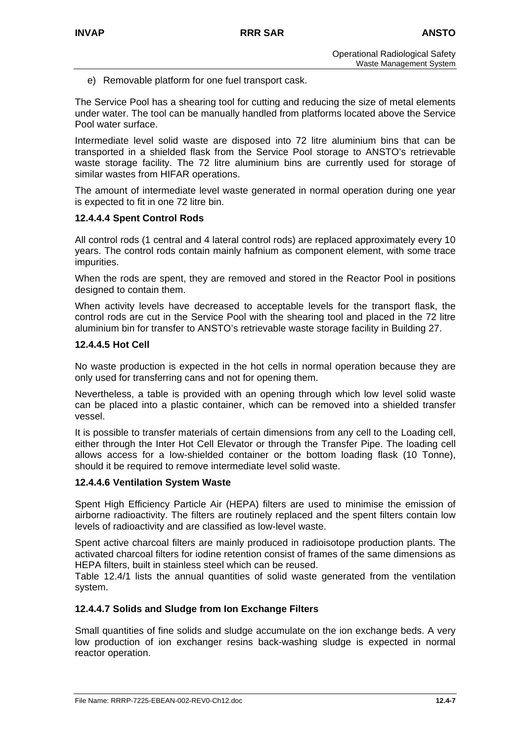e) Removable platform for one fuel transport cask.

The Service Pool has a shearing tool for cutting and reducing the size of metal elements under water. The tool can be manually handled from platforms located above the Service Pool water surface.

Intermediate level solid waste are disposed into 72 litre aluminium bins that can be transported in a shielded flask from the Service Pool storage to ANSTO's retrievable waste storage facility. The 72 litre aluminium bins are currently used for storage of similar wastes from HIFAR operations.

The amount of intermediate level waste generated in normal operation during one year is expected to fit in one 72 litre bin.

### **12.4.4.4 Spent Control Rods**

All control rods (1 central and 4 lateral control rods) are replaced approximately every 10 years. The control rods contain mainly hafnium as component element, with some trace impurities.

When the rods are spent, they are removed and stored in the Reactor Pool in positions designed to contain them.

When activity levels have decreased to acceptable levels for the transport flask, the control rods are cut in the Service Pool with the shearing tool and placed in the 72 litre aluminium bin for transfer to ANSTO's retrievable waste storage facility in Building 27.

### **12.4.4.5 Hot Cell**

No waste production is expected in the hot cells in normal operation because they are only used for transferring cans and not for opening them.

Nevertheless, a table is provided with an opening through which low level solid waste can be placed into a plastic container, which can be removed into a shielded transfer vessel.

It is possible to transfer materials of certain dimensions from any cell to the Loading cell, either through the Inter Hot Cell Elevator or through the Transfer Pipe. The loading cell allows access for a low-shielded container or the bottom loading flask (10 Tonne), should it be required to remove intermediate level solid waste.

# **12.4.4.6 Ventilation System Waste**

Spent High Efficiency Particle Air (HEPA) filters are used to minimise the emission of airborne radioactivity. The filters are routinely replaced and the spent filters contain low levels of radioactivity and are classified as low-level waste.

Spent active charcoal filters are mainly produced in radioisotope production plants. The activated charcoal filters for iodine retention consist of frames of the same dimensions as HEPA filters, built in stainless steel which can be reused.

Table 12.4/1 lists the annual quantities of solid waste generated from the ventilation system.

# **12.4.4.7 Solids and Sludge from Ion Exchange Filters**

Small quantities of fine solids and sludge accumulate on the ion exchange beds. A very low production of ion exchanger resins back-washing sludge is expected in normal reactor operation.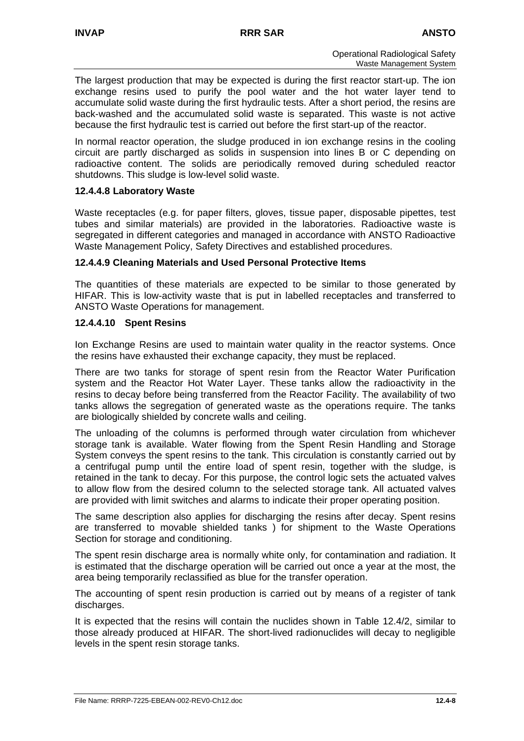The largest production that may be expected is during the first reactor start-up. The ion exchange resins used to purify the pool water and the hot water layer tend to accumulate solid waste during the first hydraulic tests. After a short period, the resins are back-washed and the accumulated solid waste is separated. This waste is not active because the first hydraulic test is carried out before the first start-up of the reactor.

In normal reactor operation, the sludge produced in ion exchange resins in the cooling circuit are partly discharged as solids in suspension into lines B or C depending on radioactive content. The solids are periodically removed during scheduled reactor shutdowns. This sludge is low-level solid waste.

### **12.4.4.8 Laboratory Waste**

Waste receptacles (e.g. for paper filters, gloves, tissue paper, disposable pipettes, test tubes and similar materials) are provided in the laboratories. Radioactive waste is segregated in different categories and managed in accordance with ANSTO Radioactive Waste Management Policy, Safety Directives and established procedures.

### **12.4.4.9 Cleaning Materials and Used Personal Protective Items**

The quantities of these materials are expected to be similar to those generated by HIFAR. This is low-activity waste that is put in labelled receptacles and transferred to ANSTO Waste Operations for management.

### **12.4.4.10 Spent Resins**

Ion Exchange Resins are used to maintain water quality in the reactor systems. Once the resins have exhausted their exchange capacity, they must be replaced.

There are two tanks for storage of spent resin from the Reactor Water Purification system and the Reactor Hot Water Layer. These tanks allow the radioactivity in the resins to decay before being transferred from the Reactor Facility. The availability of two tanks allows the segregation of generated waste as the operations require. The tanks are biologically shielded by concrete walls and ceiling.

The unloading of the columns is performed through water circulation from whichever storage tank is available. Water flowing from the Spent Resin Handling and Storage System conveys the spent resins to the tank. This circulation is constantly carried out by a centrifugal pump until the entire load of spent resin, together with the sludge, is retained in the tank to decay. For this purpose, the control logic sets the actuated valves to allow flow from the desired column to the selected storage tank. All actuated valves are provided with limit switches and alarms to indicate their proper operating position.

The same description also applies for discharging the resins after decay. Spent resins are transferred to movable shielded tanks ) for shipment to the Waste Operations Section for storage and conditioning.

The spent resin discharge area is normally white only, for contamination and radiation. It is estimated that the discharge operation will be carried out once a year at the most, the area being temporarily reclassified as blue for the transfer operation.

The accounting of spent resin production is carried out by means of a register of tank discharges.

It is expected that the resins will contain the nuclides shown in Table 12.4/2, similar to those already produced at HIFAR. The short-lived radionuclides will decay to negligible levels in the spent resin storage tanks.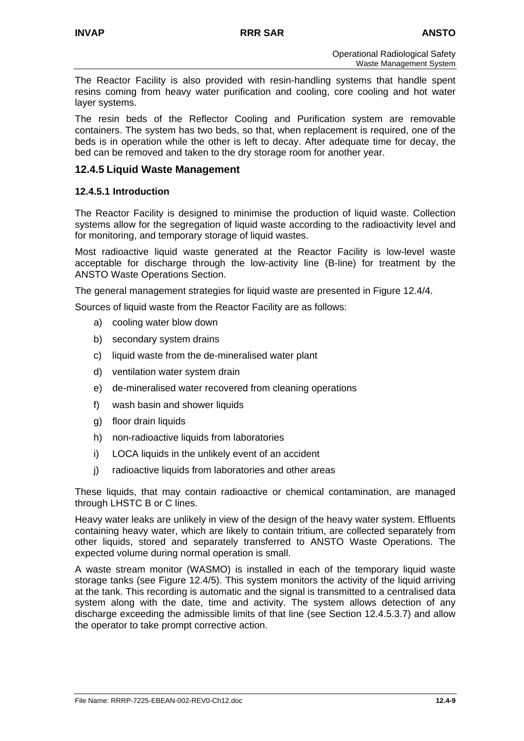The Reactor Facility is also provided with resin-handling systems that handle spent resins coming from heavy water purification and cooling, core cooling and hot water layer systems.

The resin beds of the Reflector Cooling and Purification system are removable containers. The system has two beds, so that, when replacement is required, one of the beds is in operation while the other is left to decay. After adequate time for decay, the bed can be removed and taken to the dry storage room for another year.

# **12.4.5 Liquid Waste Management**

### **12.4.5.1 Introduction**

The Reactor Facility is designed to minimise the production of liquid waste. Collection systems allow for the segregation of liquid waste according to the radioactivity level and for monitoring, and temporary storage of liquid wastes.

Most radioactive liquid waste generated at the Reactor Facility is low-level waste acceptable for discharge through the low-activity line (B-line) for treatment by the ANSTO Waste Operations Section.

The general management strategies for liquid waste are presented in Figure 12.4/4.

Sources of liquid waste from the Reactor Facility are as follows:

- a) cooling water blow down
- b) secondary system drains
- c) liquid waste from the de-mineralised water plant
- d) ventilation water system drain
- e) de-mineralised water recovered from cleaning operations
- f) wash basin and shower liquids
- g) floor drain liquids
- h) non-radioactive liquids from laboratories
- i) LOCA liquids in the unlikely event of an accident
- j) radioactive liquids from laboratories and other areas

These liquids, that may contain radioactive or chemical contamination, are managed through LHSTC B or C lines.

Heavy water leaks are unlikely in view of the design of the heavy water system. Effluents containing heavy water, which are likely to contain tritium, are collected separately from other liquids, stored and separately transferred to ANSTO Waste Operations. The expected volume during normal operation is small.

A waste stream monitor (WASMO) is installed in each of the temporary liquid waste storage tanks (see Figure 12.4/5). This system monitors the activity of the liquid arriving at the tank. This recording is automatic and the signal is transmitted to a centralised data system along with the date, time and activity. The system allows detection of any discharge exceeding the admissible limits of that line (see Section 12.4.5.3.7) and allow the operator to take prompt corrective action.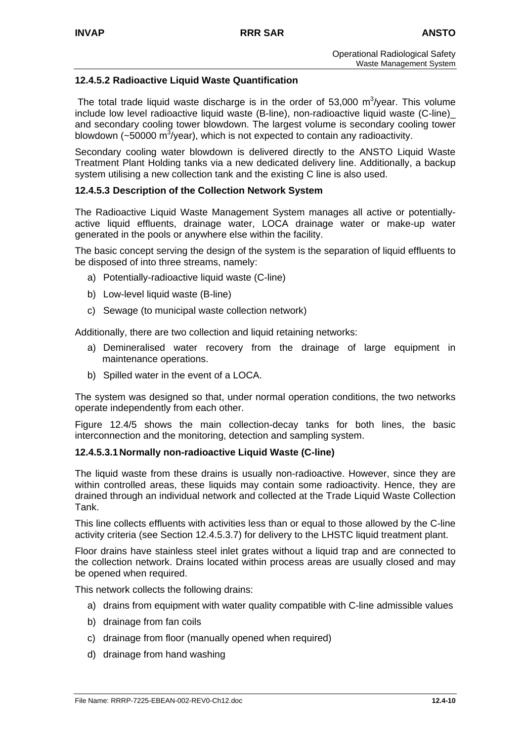### **12.4.5.2 Radioactive Liquid Waste Quantification**

The total trade liquid waste discharge is in the order of 53,000  $\text{m}^3\text{/year}$ . This volume include low level radioactive liquid waste (B-line), non-radioactive liquid waste (C-line)\_ and secondary cooling tower blowdown. The largest volume is secondary cooling tower blowdown ( $\sim$ 50000 m<sup>3</sup>/year), which is not expected to contain any radioactivity.

Secondary cooling water blowdown is delivered directly to the ANSTO Liquid Waste Treatment Plant Holding tanks via a new dedicated delivery line. Additionally, a backup system utilising a new collection tank and the existing C line is also used.

### **12.4.5.3 Description of the Collection Network System**

The Radioactive Liquid Waste Management System manages all active or potentiallyactive liquid effluents, drainage water, LOCA drainage water or make-up water generated in the pools or anywhere else within the facility.

The basic concept serving the design of the system is the separation of liquid effluents to be disposed of into three streams, namely:

- a) Potentially-radioactive liquid waste (C-line)
- b) Low-level liquid waste (B-line)
- c) Sewage (to municipal waste collection network)

Additionally, there are two collection and liquid retaining networks:

- a) Demineralised water recovery from the drainage of large equipment in maintenance operations.
- b) Spilled water in the event of a LOCA.

The system was designed so that, under normal operation conditions, the two networks operate independently from each other.

Figure 12.4/5 shows the main collection-decay tanks for both lines, the basic interconnection and the monitoring, detection and sampling system.

### **12.4.5.3.1 Normally non-radioactive Liquid Waste (C-line)**

The liquid waste from these drains is usually non-radioactive. However, since they are within controlled areas, these liquids may contain some radioactivity. Hence, they are drained through an individual network and collected at the Trade Liquid Waste Collection Tank.

This line collects effluents with activities less than or equal to those allowed by the C-line activity criteria (see Section 12.4.5.3.7) for delivery to the LHSTC liquid treatment plant.

Floor drains have stainless steel inlet grates without a liquid trap and are connected to the collection network. Drains located within process areas are usually closed and may be opened when required.

This network collects the following drains:

- a) drains from equipment with water quality compatible with C-line admissible values
- b) drainage from fan coils
- c) drainage from floor (manually opened when required)
- d) drainage from hand washing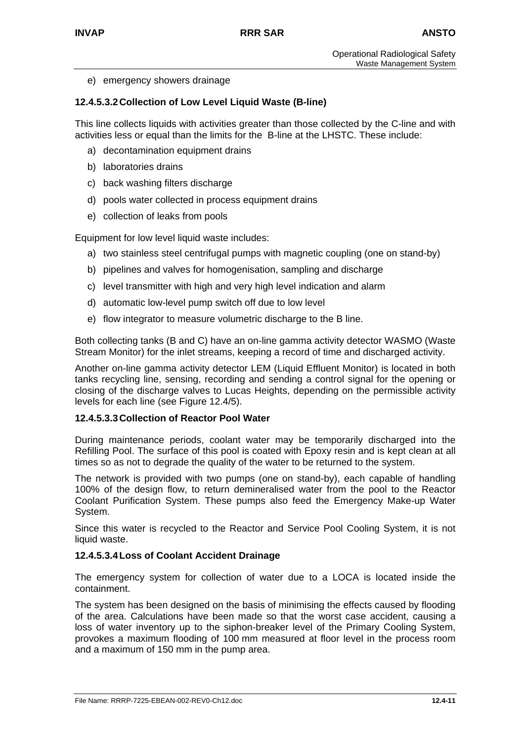e) emergency showers drainage

### **12.4.5.3.2 Collection of Low Level Liquid Waste (B-line)**

This line collects liquids with activities greater than those collected by the C-line and with activities less or equal than the limits for the B-line at the LHSTC. These include:

- a) decontamination equipment drains
- b) laboratories drains
- c) back washing filters discharge
- d) pools water collected in process equipment drains
- e) collection of leaks from pools

Equipment for low level liquid waste includes:

- a) two stainless steel centrifugal pumps with magnetic coupling (one on stand-by)
- b) pipelines and valves for homogenisation, sampling and discharge
- c) level transmitter with high and very high level indication and alarm
- d) automatic low-level pump switch off due to low level
- e) flow integrator to measure volumetric discharge to the B line.

Both collecting tanks (B and C) have an on-line gamma activity detector WASMO (Waste Stream Monitor) for the inlet streams, keeping a record of time and discharged activity.

Another on-line gamma activity detector LEM (Liquid Effluent Monitor) is located in both tanks recycling line, sensing, recording and sending a control signal for the opening or closing of the discharge valves to Lucas Heights, depending on the permissible activity levels for each line (see Figure 12.4/5).

### **12.4.5.3.3 Collection of Reactor Pool Water**

During maintenance periods, coolant water may be temporarily discharged into the Refilling Pool. The surface of this pool is coated with Epoxy resin and is kept clean at all times so as not to degrade the quality of the water to be returned to the system.

The network is provided with two pumps (one on stand-by), each capable of handling 100% of the design flow, to return demineralised water from the pool to the Reactor Coolant Purification System. These pumps also feed the Emergency Make-up Water System.

Since this water is recycled to the Reactor and Service Pool Cooling System, it is not liquid waste.

### **12.4.5.3.4 Loss of Coolant Accident Drainage**

The emergency system for collection of water due to a LOCA is located inside the containment.

The system has been designed on the basis of minimising the effects caused by flooding of the area. Calculations have been made so that the worst case accident, causing a loss of water inventory up to the siphon-breaker level of the Primary Cooling System, provokes a maximum flooding of 100 mm measured at floor level in the process room and a maximum of 150 mm in the pump area.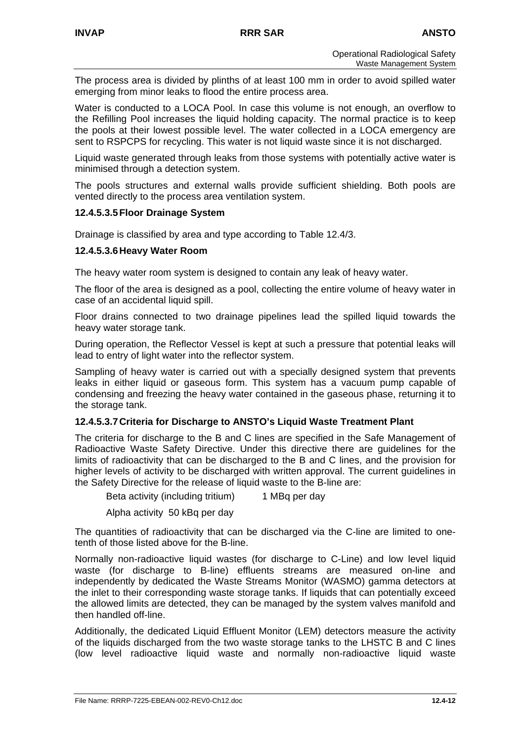The process area is divided by plinths of at least 100 mm in order to avoid spilled water emerging from minor leaks to flood the entire process area.

Water is conducted to a LOCA Pool. In case this volume is not enough, an overflow to the Refilling Pool increases the liquid holding capacity. The normal practice is to keep the pools at their lowest possible level. The water collected in a LOCA emergency are sent to RSPCPS for recycling. This water is not liquid waste since it is not discharged.

Liquid waste generated through leaks from those systems with potentially active water is minimised through a detection system.

The pools structures and external walls provide sufficient shielding. Both pools are vented directly to the process area ventilation system.

### **12.4.5.3.5 Floor Drainage System**

Drainage is classified by area and type according to Table 12.4/3.

### **12.4.5.3.6 Heavy Water Room**

The heavy water room system is designed to contain any leak of heavy water.

The floor of the area is designed as a pool, collecting the entire volume of heavy water in case of an accidental liquid spill.

Floor drains connected to two drainage pipelines lead the spilled liquid towards the heavy water storage tank.

During operation, the Reflector Vessel is kept at such a pressure that potential leaks will lead to entry of light water into the reflector system.

Sampling of heavy water is carried out with a specially designed system that prevents leaks in either liquid or gaseous form. This system has a vacuum pump capable of condensing and freezing the heavy water contained in the gaseous phase, returning it to the storage tank.

### **12.4.5.3.7 Criteria for Discharge to ANSTO's Liquid Waste Treatment Plant**

The criteria for discharge to the B and C lines are specified in the Safe Management of Radioactive Waste Safety Directive. Under this directive there are guidelines for the limits of radioactivity that can be discharged to the B and C lines, and the provision for higher levels of activity to be discharged with written approval. The current guidelines in the Safety Directive for the release of liquid waste to the B-line are:

Beta activity (including tritium) 1 MBq per day

Alpha activity 50 kBq per day

The quantities of radioactivity that can be discharged via the C-line are limited to onetenth of those listed above for the B-line.

Normally non-radioactive liquid wastes (for discharge to C-Line) and low level liquid waste (for discharge to B-line) effluents streams are measured on-line and independently by dedicated the Waste Streams Monitor (WASMO) gamma detectors at the inlet to their corresponding waste storage tanks. If liquids that can potentially exceed the allowed limits are detected, they can be managed by the system valves manifold and then handled off-line.

Additionally, the dedicated Liquid Effluent Monitor (LEM) detectors measure the activity of the liquids discharged from the two waste storage tanks to the LHSTC B and C lines (low level radioactive liquid waste and normally non-radioactive liquid waste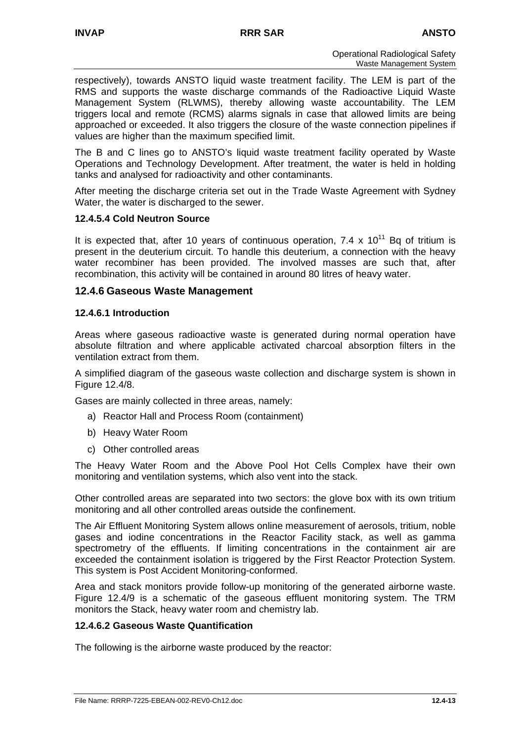respectively), towards ANSTO liquid waste treatment facility. The LEM is part of the RMS and supports the waste discharge commands of the Radioactive Liquid Waste Management System (RLWMS), thereby allowing waste accountability. The LEM triggers local and remote (RCMS) alarms signals in case that allowed limits are being approached or exceeded. It also triggers the closure of the waste connection pipelines if values are higher than the maximum specified limit.

The B and C lines go to ANSTO's liquid waste treatment facility operated by Waste Operations and Technology Development. After treatment, the water is held in holding tanks and analysed for radioactivity and other contaminants.

After meeting the discharge criteria set out in the Trade Waste Agreement with Sydney Water, the water is discharged to the sewer.

### **12.4.5.4 Cold Neutron Source**

It is expected that, after 10 years of continuous operation, 7.4 x  $10^{11}$  Bq of tritium is present in the deuterium circuit. To handle this deuterium, a connection with the heavy water recombiner has been provided. The involved masses are such that, after recombination, this activity will be contained in around 80 litres of heavy water.

#### **12.4.6 Gaseous Waste Management**

#### **12.4.6.1 Introduction**

Areas where gaseous radioactive waste is generated during normal operation have absolute filtration and where applicable activated charcoal absorption filters in the ventilation extract from them.

A simplified diagram of the gaseous waste collection and discharge system is shown in Figure 12.4/8.

Gases are mainly collected in three areas, namely:

- a) Reactor Hall and Process Room (containment)
- b) Heavy Water Room
- c) Other controlled areas

The Heavy Water Room and the Above Pool Hot Cells Complex have their own monitoring and ventilation systems, which also vent into the stack.

Other controlled areas are separated into two sectors: the glove box with its own tritium monitoring and all other controlled areas outside the confinement.

The Air Effluent Monitoring System allows online measurement of aerosols, tritium, noble gases and iodine concentrations in the Reactor Facility stack, as well as gamma spectrometry of the effluents. If limiting concentrations in the containment air are exceeded the containment isolation is triggered by the First Reactor Protection System. This system is Post Accident Monitoring-conformed.

Area and stack monitors provide follow-up monitoring of the generated airborne waste. Figure 12.4/9 is a schematic of the gaseous effluent monitoring system. The TRM monitors the Stack, heavy water room and chemistry lab.

### **12.4.6.2 Gaseous Waste Quantification**

The following is the airborne waste produced by the reactor: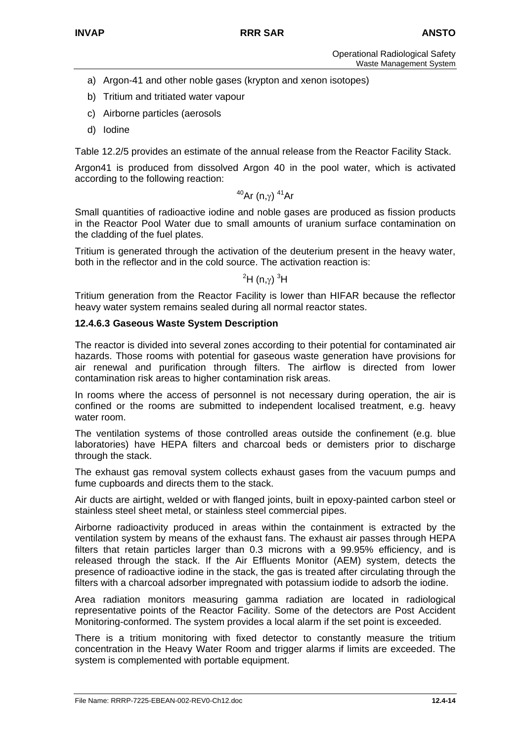- a) Argon-41 and other noble gases (krypton and xenon isotopes)
- b) Tritium and tritiated water vapour
- c) Airborne particles (aerosols
- d) Iodine

Table 12.2/5 provides an estimate of the annual release from the Reactor Facility Stack.

Argon41 is produced from dissolved Argon 40 in the pool water, which is activated according to the following reaction:

### <sup>40</sup>Ar (n,γ)<sup>41</sup>Ar

Small quantities of radioactive iodine and noble gases are produced as fission products in the Reactor Pool Water due to small amounts of uranium surface contamination on the cladding of the fuel plates.

Tritium is generated through the activation of the deuterium present in the heavy water, both in the reflector and in the cold source. The activation reaction is:

# $^2$ H (n, $\gamma)$   $^3$ H  $^2$

Tritium generation from the Reactor Facility is lower than HIFAR because the reflector heavy water system remains sealed during all normal reactor states.

### **12.4.6.3 Gaseous Waste System Description**

The reactor is divided into several zones according to their potential for contaminated air hazards. Those rooms with potential for gaseous waste generation have provisions for air renewal and purification through filters. The airflow is directed from lower contamination risk areas to higher contamination risk areas.

In rooms where the access of personnel is not necessary during operation, the air is confined or the rooms are submitted to independent localised treatment, e.g. heavy water room.

The ventilation systems of those controlled areas outside the confinement (e.g. blue laboratories) have HEPA filters and charcoal beds or demisters prior to discharge through the stack.

The exhaust gas removal system collects exhaust gases from the vacuum pumps and fume cupboards and directs them to the stack.

Air ducts are airtight, welded or with flanged joints, built in epoxy-painted carbon steel or stainless steel sheet metal, or stainless steel commercial pipes.

Airborne radioactivity produced in areas within the containment is extracted by the ventilation system by means of the exhaust fans. The exhaust air passes through HEPA filters that retain particles larger than 0.3 microns with a 99.95% efficiency, and is released through the stack. If the Air Effluents Monitor (AEM) system, detects the presence of radioactive iodine in the stack, the gas is treated after circulating through the filters with a charcoal adsorber impregnated with potassium iodide to adsorb the iodine.

Area radiation monitors measuring gamma radiation are located in radiological representative points of the Reactor Facility. Some of the detectors are Post Accident Monitoring-conformed. The system provides a local alarm if the set point is exceeded.

There is a tritium monitoring with fixed detector to constantly measure the tritium concentration in the Heavy Water Room and trigger alarms if limits are exceeded. The system is complemented with portable equipment.

File Name: RRRP-7225-EBEAN-002-REV0-Ch12.doc **12.4-14**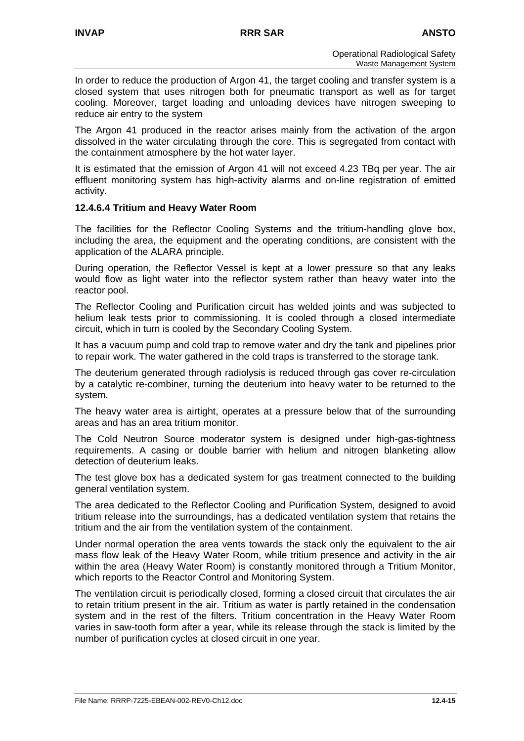In order to reduce the production of Argon 41, the target cooling and transfer system is a closed system that uses nitrogen both for pneumatic transport as well as for target cooling. Moreover, target loading and unloading devices have nitrogen sweeping to reduce air entry to the system

The Argon 41 produced in the reactor arises mainly from the activation of the argon dissolved in the water circulating through the core. This is segregated from contact with the containment atmosphere by the hot water layer.

It is estimated that the emission of Argon 41 will not exceed 4.23 TBq per year. The air effluent monitoring system has high-activity alarms and on-line registration of emitted activity.

### **12.4.6.4 Tritium and Heavy Water Room**

The facilities for the Reflector Cooling Systems and the tritium-handling glove box, including the area, the equipment and the operating conditions, are consistent with the application of the ALARA principle.

During operation, the Reflector Vessel is kept at a lower pressure so that any leaks would flow as light water into the reflector system rather than heavy water into the reactor pool.

The Reflector Cooling and Purification circuit has welded joints and was subjected to helium leak tests prior to commissioning. It is cooled through a closed intermediate circuit, which in turn is cooled by the Secondary Cooling System.

It has a vacuum pump and cold trap to remove water and dry the tank and pipelines prior to repair work. The water gathered in the cold traps is transferred to the storage tank.

The deuterium generated through radiolysis is reduced through gas cover re-circulation by a catalytic re-combiner, turning the deuterium into heavy water to be returned to the system.

The heavy water area is airtight, operates at a pressure below that of the surrounding areas and has an area tritium monitor.

The Cold Neutron Source moderator system is designed under high-gas-tightness requirements. A casing or double barrier with helium and nitrogen blanketing allow detection of deuterium leaks.

The test glove box has a dedicated system for gas treatment connected to the building general ventilation system.

The area dedicated to the Reflector Cooling and Purification System, designed to avoid tritium release into the surroundings, has a dedicated ventilation system that retains the tritium and the air from the ventilation system of the containment.

Under normal operation the area vents towards the stack only the equivalent to the air mass flow leak of the Heavy Water Room, while tritium presence and activity in the air within the area (Heavy Water Room) is constantly monitored through a Tritium Monitor, which reports to the Reactor Control and Monitoring System.

The ventilation circuit is periodically closed, forming a closed circuit that circulates the air to retain tritium present in the air. Tritium as water is partly retained in the condensation system and in the rest of the filters. Tritium concentration in the Heavy Water Room varies in saw-tooth form after a year, while its release through the stack is limited by the number of purification cycles at closed circuit in one year.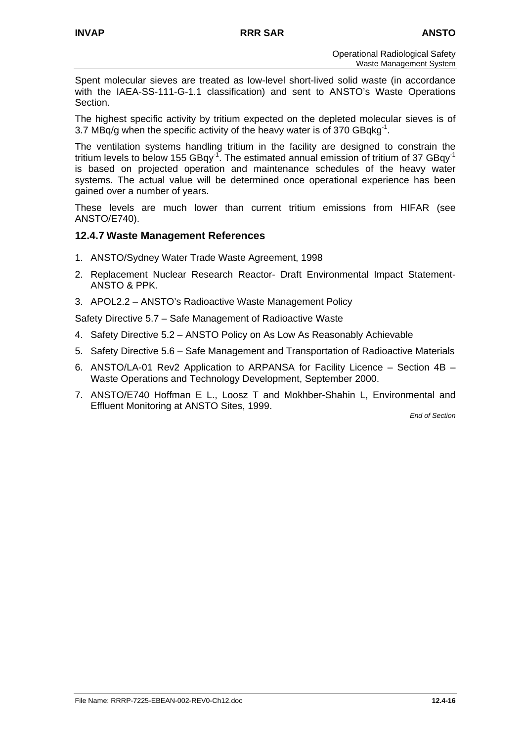Spent molecular sieves are treated as low-level short-lived solid waste (in accordance with the IAEA-SS-111-G-1.1 classification) and sent to ANSTO's Waste Operations Section.

The highest specific activity by tritium expected on the depleted molecular sieves is of 3.7 MBq/g when the specific activity of the heavy water is of 370  $GBqkq^{-1}$ .

The ventilation systems handling tritium in the facility are designed to constrain the tritium levels to below 155 GBqy<sup>-1</sup>. The estimated annual emission of tritium of 37 GBqy<sup>-1</sup> is based on projected operation and maintenance schedules of the heavy water systems. The actual value will be determined once operational experience has been gained over a number of years.

These levels are much lower than current tritium emissions from HIFAR (see ANSTO/E740).

# **12.4.7 Waste Management References**

- 1. ANSTO/Sydney Water Trade Waste Agreement, 1998
- 2. Replacement Nuclear Research Reactor- Draft Environmental Impact Statement-ANSTO & PPK.
- 3. APOL2.2 ANSTO's Radioactive Waste Management Policy

Safety Directive 5.7 – Safe Management of Radioactive Waste

- 4. Safety Directive 5.2 ANSTO Policy on As Low As Reasonably Achievable
- 5. Safety Directive 5.6 Safe Management and Transportation of Radioactive Materials
- 6. ANSTO/LA-01 Rev2 Application to ARPANSA for Facility Licence Section 4B Waste Operations and Technology Development, September 2000.
- 7. ANSTO/E740 Hoffman E L., Loosz T and Mokhber-Shahin L, Environmental and Effluent Monitoring at ANSTO Sites, 1999.

*End of Section*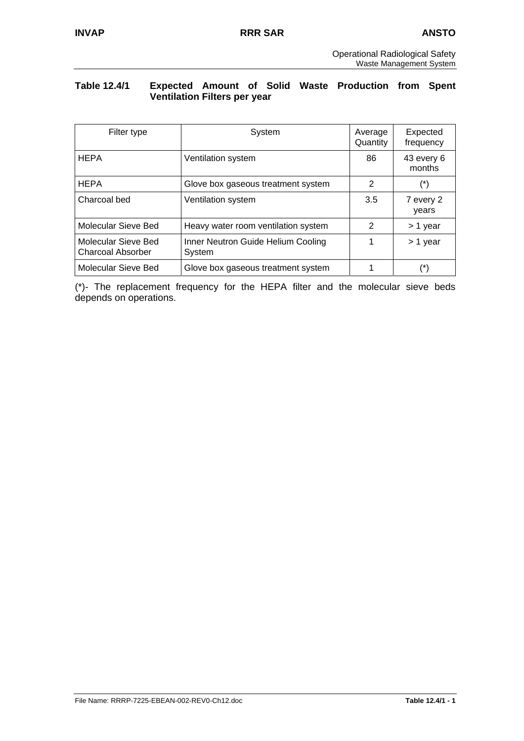### **Table 12.4/1 Expected Amount of Solid Waste Production from Spent Ventilation Filters per year**

| Filter type                                     | System                                       | Average<br>Quantity | Expected<br>frequency |
|-------------------------------------------------|----------------------------------------------|---------------------|-----------------------|
| <b>HEPA</b>                                     | Ventilation system                           | 86                  | 43 every 6<br>months  |
| <b>HEPA</b>                                     | Glove box gaseous treatment system           | 2                   | $(\dot{\phantom{a}})$ |
| Charcoal bed                                    | Ventilation system                           | 3.5                 | 7 every 2<br>years    |
| Molecular Sieve Bed                             | Heavy water room ventilation system          | 2                   | > 1 year              |
| Molecular Sieve Bed<br><b>Charcoal Absorber</b> | Inner Neutron Guide Helium Cooling<br>System |                     | > 1 year              |
| Molecular Sieve Bed                             | Glove box gaseous treatment system           |                     | (*)                   |

(\*)- The replacement frequency for the HEPA filter and the molecular sieve beds depends on operations.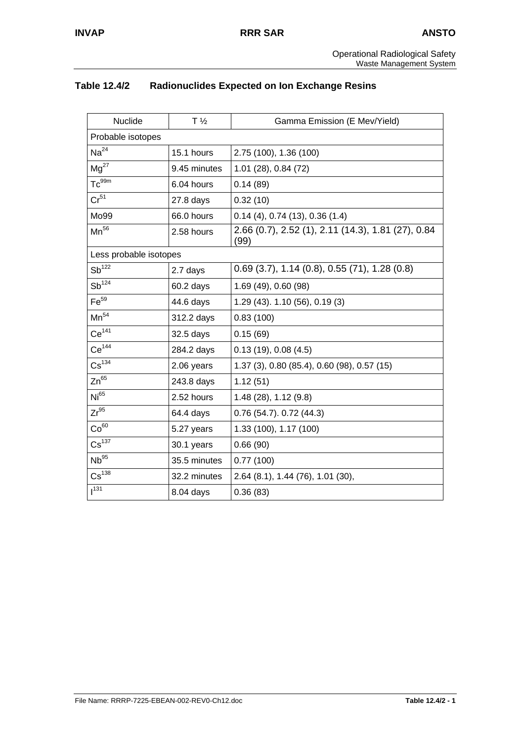# **Table 12.4/2 Radionuclides Expected on Ion Exchange Resins**

| Nuclide                | $T\frac{1}{2}$ | Gamma Emission (E Mev/Yield)                               |
|------------------------|----------------|------------------------------------------------------------|
| Probable isotopes      |                |                                                            |
| Na <sup>24</sup>       | 15.1 hours     | 2.75 (100), 1.36 (100)                                     |
| $Mg^{27}$              | 9.45 minutes   | 1.01 (28), 0.84 (72)                                       |
| $Tc^{99m}$             | 6.04 hours     | 0.14(89)                                                   |
| Cr <sup>51</sup>       | $27.8$ days    | 0.32(10)                                                   |
| Mo99                   | 66.0 hours     | $0.14(4)$ , 0.74 $(13)$ , 0.36 $(1.4)$                     |
| $Mn^{56}$              | 2.58 hours     | 2.66 (0.7), 2.52 (1), 2.11 (14.3), 1.81 (27), 0.84<br>(99) |
| Less probable isotopes |                |                                                            |
| $Sb^{122}$             | 2.7 days       | $0.69$ (3.7), 1.14 (0.8), 0.55 (71), 1.28 (0.8)            |
| $Sb^{124}$             | 60.2 days      | 1.69 (49), 0.60 (98)                                       |
| Fe <sup>59</sup>       | 44.6 days      | 1.29 (43). 1.10 (56), 0.19 (3)                             |
| $Mn^{54}$              | 312.2 days     | 0.83(100)                                                  |
| Ce <sup>141</sup>      | 32.5 days      | 0.15(69)                                                   |
| $Ce^{144}$             | 284.2 days     | 0.13(19), 0.08(4.5)                                        |
| $\text{Cs}^{134}$      | 2.06 years     | 1.37 (3), 0.80 (85.4), 0.60 (98), 0.57 (15)                |
| $Zn^{65}$              | 243.8 days     | 1.12(51)                                                   |
| Ni <sup>65</sup>       | 2.52 hours     | 1.48(28), 1.12(9.8)                                        |
| $Zr^{95}$              | 64.4 days      | $0.76$ (54.7). $0.72$ (44.3)                               |
| Co <sup>60</sup>       | 5.27 years     | 1.33 (100), 1.17 (100)                                     |
| $\text{Cs}^{137}$      | 30.1 years     | 0.66(90)                                                   |
| Nb <sup>95</sup>       | 35.5 minutes   | 0.77(100)                                                  |
| $\text{Cs}^{138}$      | 32.2 minutes   | 2.64 (8.1), 1.44 (76), 1.01 (30),                          |
| $1^{131}$              | 8.04 days      | 0.36(83)                                                   |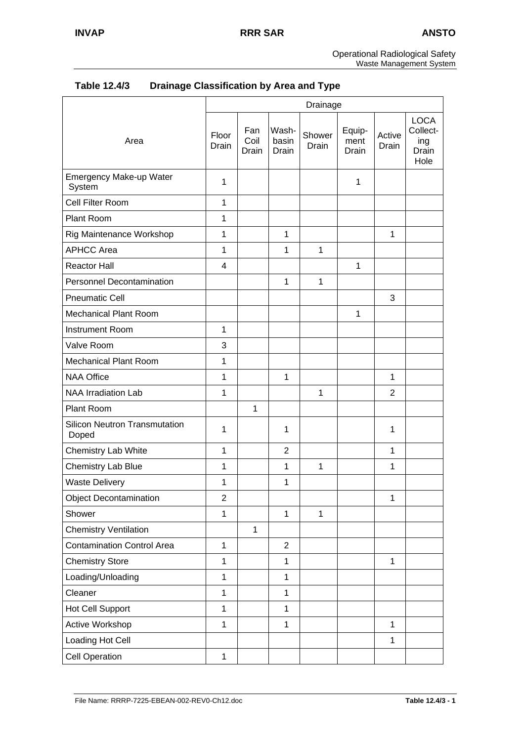Operational Radiological Safety Waste Management System

| Table 12.4/3 | <b>Drainage Classification by Area and Type</b> |
|--------------|-------------------------------------------------|
|--------------|-------------------------------------------------|

|                                               | Drainage       |                      |                         |                 |                         |                 |                                                 |
|-----------------------------------------------|----------------|----------------------|-------------------------|-----------------|-------------------------|-----------------|-------------------------------------------------|
| Area                                          | Floor<br>Drain | Fan<br>Coil<br>Drain | Wash-<br>basin<br>Drain | Shower<br>Drain | Equip-<br>ment<br>Drain | Active<br>Drain | <b>LOCA</b><br>Collect-<br>ing<br>Drain<br>Hole |
| Emergency Make-up Water<br>System             | 1              |                      |                         |                 | $\mathbf{1}$            |                 |                                                 |
| Cell Filter Room                              | $\mathbf{1}$   |                      |                         |                 |                         |                 |                                                 |
| Plant Room                                    | 1              |                      |                         |                 |                         |                 |                                                 |
| Rig Maintenance Workshop                      | 1              |                      | $\mathbf{1}$            |                 |                         | $\mathbf{1}$    |                                                 |
| <b>APHCC Area</b>                             | $\mathbf{1}$   |                      | $\mathbf{1}$            | $\mathbf 1$     |                         |                 |                                                 |
| <b>Reactor Hall</b>                           | 4              |                      |                         |                 | $\mathbf{1}$            |                 |                                                 |
| <b>Personnel Decontamination</b>              |                |                      | $\mathbf{1}$            | 1               |                         |                 |                                                 |
| <b>Pneumatic Cell</b>                         |                |                      |                         |                 |                         | 3               |                                                 |
| <b>Mechanical Plant Room</b>                  |                |                      |                         |                 | $\mathbf{1}$            |                 |                                                 |
| <b>Instrument Room</b>                        | 1              |                      |                         |                 |                         |                 |                                                 |
| Valve Room                                    | 3              |                      |                         |                 |                         |                 |                                                 |
| Mechanical Plant Room                         | 1              |                      |                         |                 |                         |                 |                                                 |
| <b>NAA Office</b>                             | 1              |                      | $\mathbf{1}$            |                 |                         | 1               |                                                 |
| <b>NAA Irradiation Lab</b>                    | 1              |                      |                         | 1               |                         | 2               |                                                 |
| Plant Room                                    |                | $\mathbf{1}$         |                         |                 |                         |                 |                                                 |
| <b>Silicon Neutron Transmutation</b><br>Doped | 1              |                      | 1                       |                 |                         | 1               |                                                 |
| Chemistry Lab White                           | 1              |                      | $\overline{2}$          |                 |                         | $\mathbf{1}$    |                                                 |
| Chemistry Lab Blue                            | 1              |                      | $\mathbf{1}$            | 1               |                         | 1               |                                                 |
| <b>Waste Delivery</b>                         | 1              |                      | $\mathbf 1$             |                 |                         |                 |                                                 |
| <b>Object Decontamination</b>                 | $\overline{2}$ |                      |                         |                 |                         | 1               |                                                 |
| Shower                                        | $\mathbf{1}$   |                      | $\mathbf{1}$            | $\mathbf{1}$    |                         |                 |                                                 |
| <b>Chemistry Ventilation</b>                  |                | $\mathbf{1}$         |                         |                 |                         |                 |                                                 |
| <b>Contamination Control Area</b>             | $\mathbf{1}$   |                      | $\overline{2}$          |                 |                         |                 |                                                 |
| <b>Chemistry Store</b>                        | $\mathbf{1}$   |                      | $\mathbf{1}$            |                 |                         | $\mathbf{1}$    |                                                 |
| Loading/Unloading                             | $\mathbf{1}$   |                      | $\mathbf{1}$            |                 |                         |                 |                                                 |
| Cleaner                                       | $\mathbf{1}$   |                      | $\mathbf{1}$            |                 |                         |                 |                                                 |
| <b>Hot Cell Support</b>                       | $\mathbf{1}$   |                      | $\mathbf{1}$            |                 |                         |                 |                                                 |
| Active Workshop                               | $\mathbf{1}$   |                      | $\mathbf 1$             |                 |                         | $\mathbf{1}$    |                                                 |
| Loading Hot Cell                              |                |                      |                         |                 |                         | $\mathbf{1}$    |                                                 |
| <b>Cell Operation</b>                         | $\mathbf 1$    |                      |                         |                 |                         |                 |                                                 |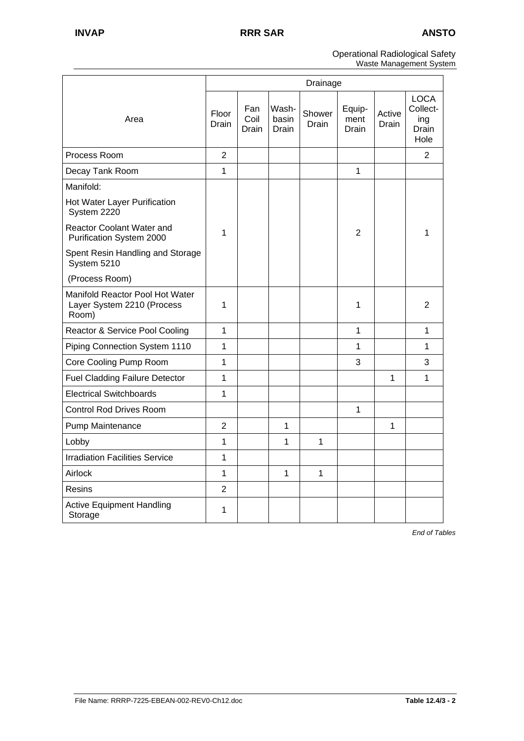#### Operational Radiological Safety Waste Management System

|                                                                        | Drainage       |                      |                         |                 |                         |                 |                                                 |
|------------------------------------------------------------------------|----------------|----------------------|-------------------------|-----------------|-------------------------|-----------------|-------------------------------------------------|
| Area                                                                   | Floor<br>Drain | Fan<br>Coil<br>Drain | Wash-<br>basin<br>Drain | Shower<br>Drain | Equip-<br>ment<br>Drain | Active<br>Drain | <b>LOCA</b><br>Collect-<br>ing<br>Drain<br>Hole |
| Process Room                                                           | $\overline{2}$ |                      |                         |                 |                         |                 | 2                                               |
| Decay Tank Room                                                        | 1              |                      |                         |                 | 1                       |                 |                                                 |
| Manifold:                                                              |                |                      |                         |                 |                         |                 |                                                 |
| Hot Water Layer Purification<br>System 2220                            |                |                      |                         |                 |                         |                 |                                                 |
| <b>Reactor Coolant Water and</b><br>Purification System 2000           | 1              |                      |                         |                 | 2                       |                 | 1                                               |
| Spent Resin Handling and Storage<br>System 5210                        |                |                      |                         |                 |                         |                 |                                                 |
| (Process Room)                                                         |                |                      |                         |                 |                         |                 |                                                 |
| Manifold Reactor Pool Hot Water<br>Layer System 2210 (Process<br>Room) | 1              |                      |                         |                 | 1                       |                 | 2                                               |
| Reactor & Service Pool Cooling                                         | $\mathbf{1}$   |                      |                         |                 | 1                       |                 | $\mathbf{1}$                                    |
| Piping Connection System 1110                                          | 1              |                      |                         |                 | 1                       |                 | $\mathbf{1}$                                    |
| Core Cooling Pump Room                                                 | $\overline{1}$ |                      |                         |                 | 3                       |                 | 3                                               |
| <b>Fuel Cladding Failure Detector</b>                                  | 1              |                      |                         |                 |                         | $\mathbf{1}$    | $\mathbf{1}$                                    |
| <b>Electrical Switchboards</b>                                         | $\mathbf{1}$   |                      |                         |                 |                         |                 |                                                 |
| <b>Control Rod Drives Room</b>                                         |                |                      |                         |                 | $\mathbf{1}$            |                 |                                                 |
| Pump Maintenance                                                       | $\overline{2}$ |                      | 1                       |                 |                         | 1               |                                                 |
| Lobby                                                                  | 1              |                      | 1                       | 1               |                         |                 |                                                 |
| <b>Irradiation Facilities Service</b>                                  | 1              |                      |                         |                 |                         |                 |                                                 |
| Airlock                                                                | $\mathbf 1$    |                      | 1                       | $\mathbf{1}$    |                         |                 |                                                 |
| Resins                                                                 | $\overline{2}$ |                      |                         |                 |                         |                 |                                                 |
| <b>Active Equipment Handling</b><br>Storage                            | 1              |                      |                         |                 |                         |                 |                                                 |

*End of Tables*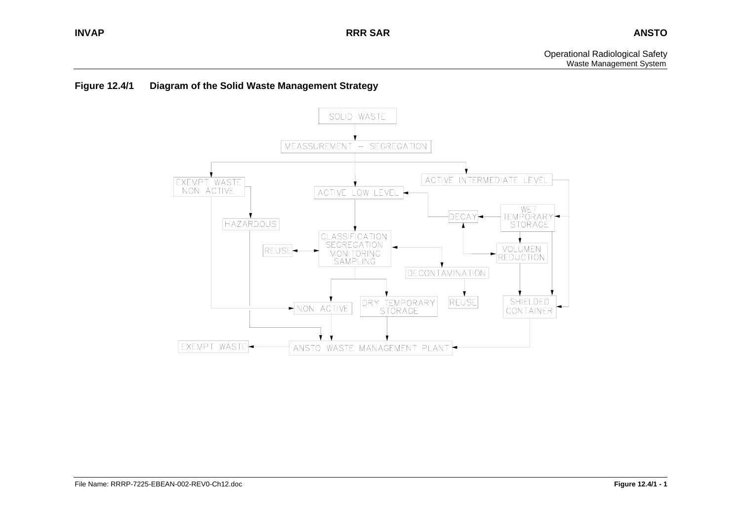### **Figure 12.4/1 Diagram of the Solid Waste Management Strategy**

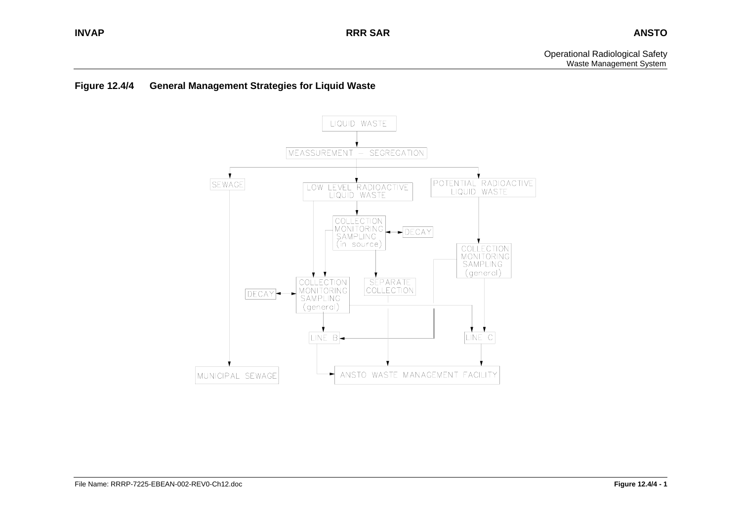### **Figure 12.4/4 General Management Strategies for Liquid Waste**

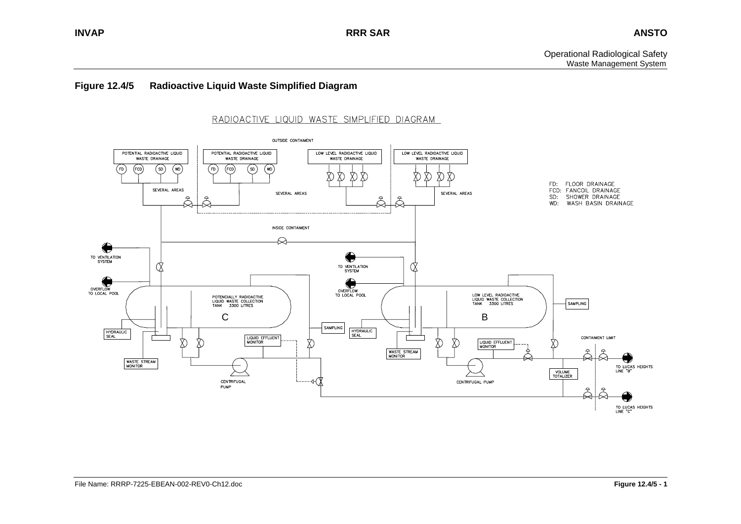#### **Figure 12.4/5 Radioactive Liquid Waste Simplified Diagram**

### RADIOACTIVE LIQUID WASTE SIMPLIFIED DIAGRAM

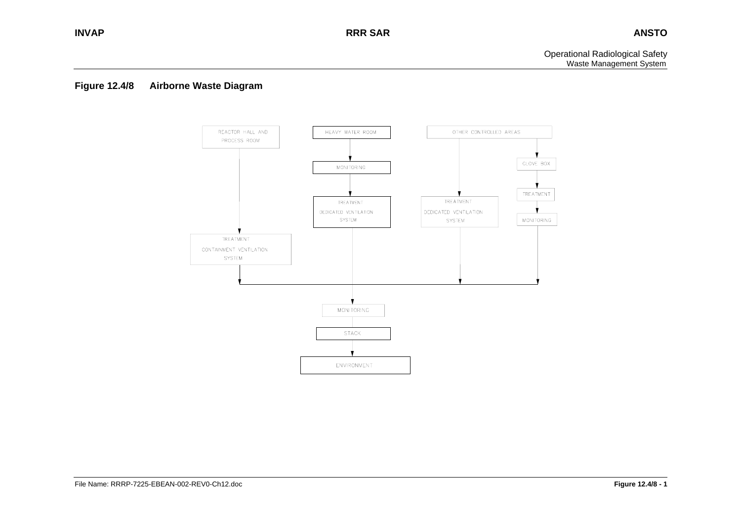### **Figure 12.4/8 Airborne Waste Diagram**

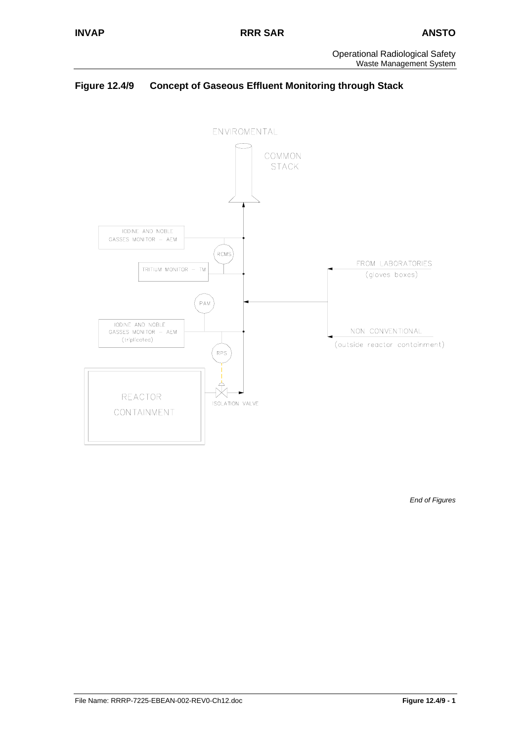# **Figure 12.4/9 Concept of Gaseous Effluent Monitoring through Stack**



*End of Figures*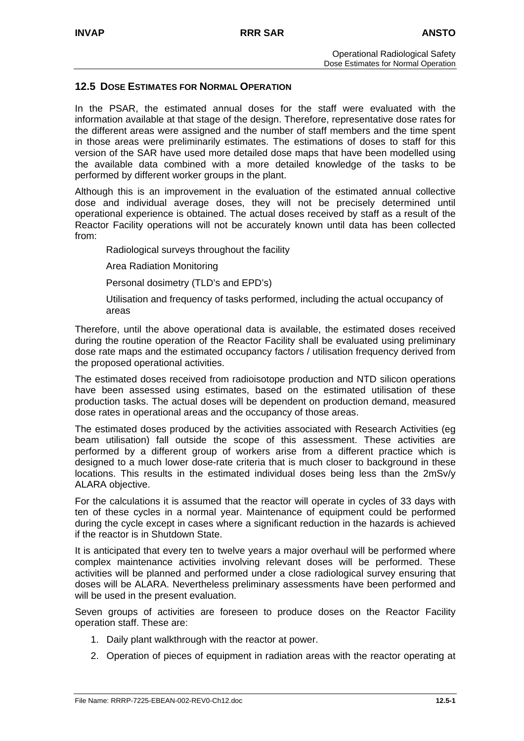### **12.5 DOSE ESTIMATES FOR NORMAL OPERATION**

In the PSAR, the estimated annual doses for the staff were evaluated with the information available at that stage of the design. Therefore, representative dose rates for the different areas were assigned and the number of staff members and the time spent in those areas were preliminarily estimates. The estimations of doses to staff for this version of the SAR have used more detailed dose maps that have been modelled using the available data combined with a more detailed knowledge of the tasks to be performed by different worker groups in the plant.

Although this is an improvement in the evaluation of the estimated annual collective dose and individual average doses, they will not be precisely determined until operational experience is obtained. The actual doses received by staff as a result of the Reactor Facility operations will not be accurately known until data has been collected from:

Radiological surveys throughout the facility

Area Radiation Monitoring

Personal dosimetry (TLD's and EPD's)

Utilisation and frequency of tasks performed, including the actual occupancy of areas

Therefore, until the above operational data is available, the estimated doses received during the routine operation of the Reactor Facility shall be evaluated using preliminary dose rate maps and the estimated occupancy factors / utilisation frequency derived from the proposed operational activities.

The estimated doses received from radioisotope production and NTD silicon operations have been assessed using estimates, based on the estimated utilisation of these production tasks. The actual doses will be dependent on production demand, measured dose rates in operational areas and the occupancy of those areas.

The estimated doses produced by the activities associated with Research Activities (eg beam utilisation) fall outside the scope of this assessment. These activities are performed by a different group of workers arise from a different practice which is designed to a much lower dose-rate criteria that is much closer to background in these locations. This results in the estimated individual doses being less than the 2mSv/y ALARA objective.

For the calculations it is assumed that the reactor will operate in cycles of 33 days with ten of these cycles in a normal year. Maintenance of equipment could be performed during the cycle except in cases where a significant reduction in the hazards is achieved if the reactor is in Shutdown State.

It is anticipated that every ten to twelve years a major overhaul will be performed where complex maintenance activities involving relevant doses will be performed. These activities will be planned and performed under a close radiological survey ensuring that doses will be ALARA. Nevertheless preliminary assessments have been performed and will be used in the present evaluation.

Seven groups of activities are foreseen to produce doses on the Reactor Facility operation staff. These are:

- 1. Daily plant walkthrough with the reactor at power.
- 2. Operation of pieces of equipment in radiation areas with the reactor operating at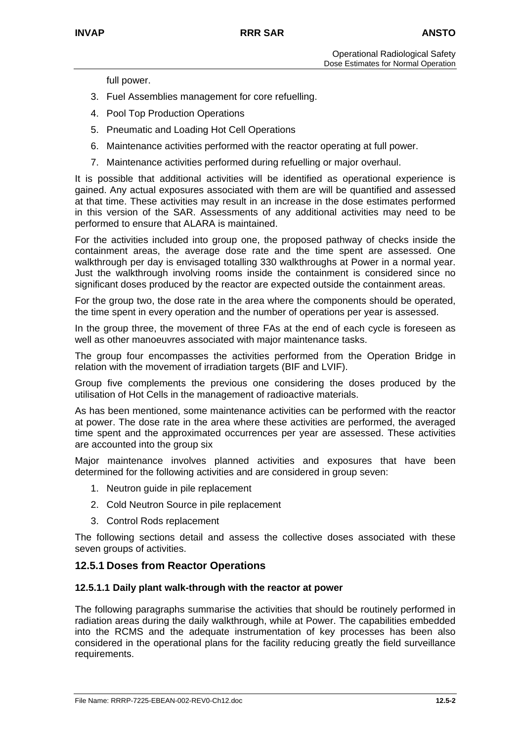full power.

- 3. Fuel Assemblies management for core refuelling.
- 4. Pool Top Production Operations
- 5. Pneumatic and Loading Hot Cell Operations
- 6. Maintenance activities performed with the reactor operating at full power.
- 7. Maintenance activities performed during refuelling or major overhaul.

It is possible that additional activities will be identified as operational experience is gained. Any actual exposures associated with them are will be quantified and assessed at that time. These activities may result in an increase in the dose estimates performed in this version of the SAR. Assessments of any additional activities may need to be performed to ensure that ALARA is maintained.

For the activities included into group one, the proposed pathway of checks inside the containment areas, the average dose rate and the time spent are assessed. One walkthrough per day is envisaged totalling 330 walkthroughs at Power in a normal year. Just the walkthrough involving rooms inside the containment is considered since no significant doses produced by the reactor are expected outside the containment areas.

For the group two, the dose rate in the area where the components should be operated, the time spent in every operation and the number of operations per year is assessed.

In the group three, the movement of three FAs at the end of each cycle is foreseen as well as other manoeuvres associated with major maintenance tasks.

The group four encompasses the activities performed from the Operation Bridge in relation with the movement of irradiation targets (BIF and LVIF).

Group five complements the previous one considering the doses produced by the utilisation of Hot Cells in the management of radioactive materials.

As has been mentioned, some maintenance activities can be performed with the reactor at power. The dose rate in the area where these activities are performed, the averaged time spent and the approximated occurrences per year are assessed. These activities are accounted into the group six

Major maintenance involves planned activities and exposures that have been determined for the following activities and are considered in group seven:

- 1. Neutron guide in pile replacement
- 2. Cold Neutron Source in pile replacement
- 3. Control Rods replacement

The following sections detail and assess the collective doses associated with these seven groups of activities.

# **12.5.1 Doses from Reactor Operations**

#### **12.5.1.1 Daily plant walk-through with the reactor at power**

The following paragraphs summarise the activities that should be routinely performed in radiation areas during the daily walkthrough, while at Power. The capabilities embedded into the RCMS and the adequate instrumentation of key processes has been also considered in the operational plans for the facility reducing greatly the field surveillance requirements.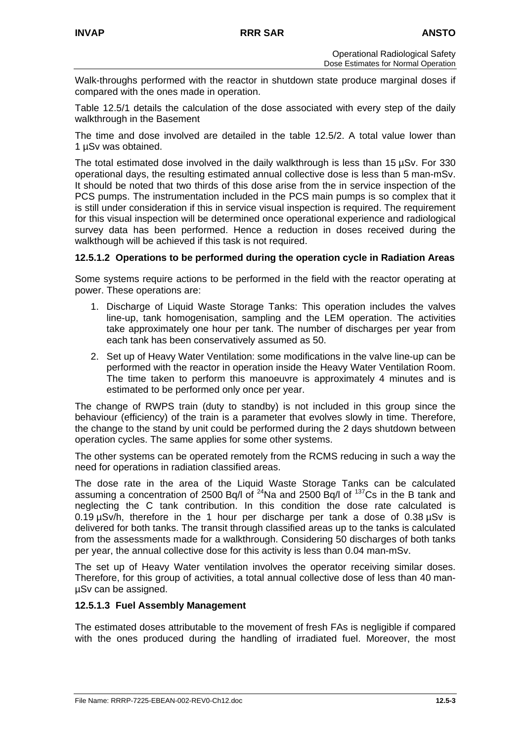Walk-throughs performed with the reactor in shutdown state produce marginal doses if compared with the ones made in operation.

Table 12.5/1 details the calculation of the dose associated with every step of the daily walkthrough in the Basement

The time and dose involved are detailed in the table 12.5/2. A total value lower than 1 µSv was obtained.

The total estimated dose involved in the daily walkthrough is less than 15 µSv. For 330 operational days, the resulting estimated annual collective dose is less than 5 man-mSv. It should be noted that two thirds of this dose arise from the in service inspection of the PCS pumps. The instrumentation included in the PCS main pumps is so complex that it is still under consideration if this in service visual inspection is required. The requirement for this visual inspection will be determined once operational experience and radiological survey data has been performed. Hence a reduction in doses received during the walkthough will be achieved if this task is not required.

### **12.5.1.2 Operations to be performed during the operation cycle in Radiation Areas**

Some systems require actions to be performed in the field with the reactor operating at power. These operations are:

- 1. Discharge of Liquid Waste Storage Tanks: This operation includes the valves line-up, tank homogenisation, sampling and the LEM operation. The activities take approximately one hour per tank. The number of discharges per year from each tank has been conservatively assumed as 50.
- 2. Set up of Heavy Water Ventilation: some modifications in the valve line-up can be performed with the reactor in operation inside the Heavy Water Ventilation Room. The time taken to perform this manoeuvre is approximately 4 minutes and is estimated to be performed only once per year.

The change of RWPS train (duty to standby) is not included in this group since the behaviour (efficiency) of the train is a parameter that evolves slowly in time. Therefore, the change to the stand by unit could be performed during the 2 days shutdown between operation cycles. The same applies for some other systems.

The other systems can be operated remotely from the RCMS reducing in such a way the need for operations in radiation classified areas.

The dose rate in the area of the Liquid Waste Storage Tanks can be calculated assuming a concentration of 2500 Bq/l of 24Na and 2500 Bq/l of 137Cs in the B tank and neglecting the C tank contribution. In this condition the dose rate calculated is 0.19  $\mu$ Sv/h, therefore in the 1 hour per discharge per tank a dose of 0.38  $\mu$ Sv is delivered for both tanks. The transit through classified areas up to the tanks is calculated from the assessments made for a walkthrough. Considering 50 discharges of both tanks per year, the annual collective dose for this activity is less than 0.04 man-mSv.

The set up of Heavy Water ventilation involves the operator receiving similar doses. Therefore, for this group of activities, a total annual collective dose of less than 40 manµSv can be assigned.

### **12.5.1.3 Fuel Assembly Management**

The estimated doses attributable to the movement of fresh FAs is negligible if compared with the ones produced during the handling of irradiated fuel. Moreover, the most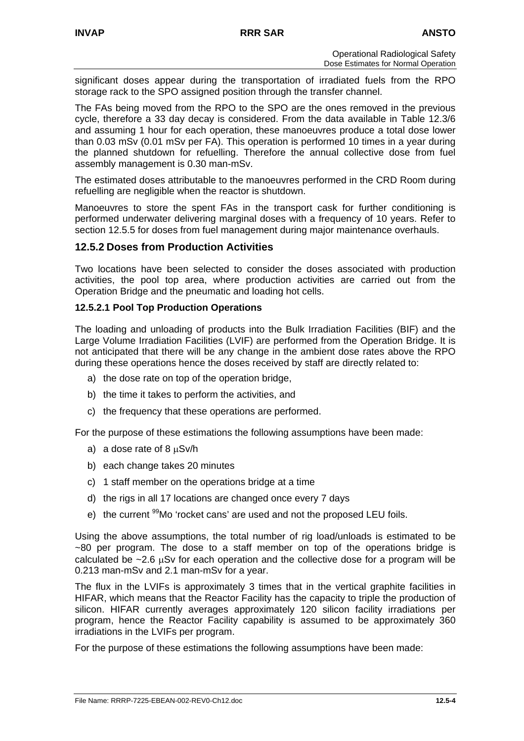significant doses appear during the transportation of irradiated fuels from the RPO storage rack to the SPO assigned position through the transfer channel.

The FAs being moved from the RPO to the SPO are the ones removed in the previous cycle, therefore a 33 day decay is considered. From the data available in Table 12.3/6 and assuming 1 hour for each operation, these manoeuvres produce a total dose lower than 0.03 mSv (0.01 mSv per FA). This operation is performed 10 times in a year during the planned shutdown for refuelling. Therefore the annual collective dose from fuel assembly management is 0.30 man-mSv.

The estimated doses attributable to the manoeuvres performed in the CRD Room during refuelling are negligible when the reactor is shutdown.

Manoeuvres to store the spent FAs in the transport cask for further conditioning is performed underwater delivering marginal doses with a frequency of 10 years. Refer to section 12.5.5 for doses from fuel management during major maintenance overhauls.

# **12.5.2 Doses from Production Activities**

Two locations have been selected to consider the doses associated with production activities, the pool top area, where production activities are carried out from the Operation Bridge and the pneumatic and loading hot cells.

### **12.5.2.1 Pool Top Production Operations**

The loading and unloading of products into the Bulk Irradiation Facilities (BIF) and the Large Volume Irradiation Facilities (LVIF) are performed from the Operation Bridge. It is not anticipated that there will be any change in the ambient dose rates above the RPO during these operations hence the doses received by staff are directly related to:

- a) the dose rate on top of the operation bridge,
- b) the time it takes to perform the activities, and
- c) the frequency that these operations are performed.

For the purpose of these estimations the following assumptions have been made:

- a) a dose rate of 8 µSv/h
- b) each change takes 20 minutes
- c) 1 staff member on the operations bridge at a time
- d) the rigs in all 17 locations are changed once every 7 days
- e) the current <sup>99</sup>Mo 'rocket cans' are used and not the proposed LEU foils.

Using the above assumptions, the total number of rig load/unloads is estimated to be ~80 per program. The dose to a staff member on top of the operations bridge is calculated be  $\sim$ 2.6  $\mu$ Sv for each operation and the collective dose for a program will be 0.213 man-mSv and 2.1 man-mSv for a year.

The flux in the LVIFs is approximately 3 times that in the vertical graphite facilities in HIFAR, which means that the Reactor Facility has the capacity to triple the production of silicon. HIFAR currently averages approximately 120 silicon facility irradiations per program, hence the Reactor Facility capability is assumed to be approximately 360 irradiations in the LVIFs per program.

For the purpose of these estimations the following assumptions have been made: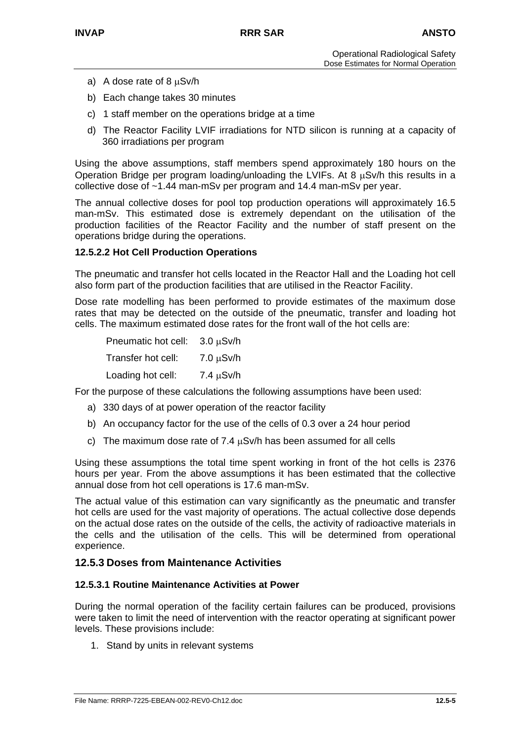- a) A dose rate of 8  $\mu$ Sv/h
- b) Each change takes 30 minutes
- c) 1 staff member on the operations bridge at a time
- d) The Reactor Facility LVIF irradiations for NTD silicon is running at a capacity of 360 irradiations per program

Using the above assumptions, staff members spend approximately 180 hours on the Operation Bridge per program loading/unloading the LVIFs. At 8 µSv/h this results in a collective dose of ~1.44 man-mSv per program and 14.4 man-mSv per year.

The annual collective doses for pool top production operations will approximately 16.5 man-mSv. This estimated dose is extremely dependant on the utilisation of the production facilities of the Reactor Facility and the number of staff present on the operations bridge during the operations.

#### **12.5.2.2 Hot Cell Production Operations**

The pneumatic and transfer hot cells located in the Reactor Hall and the Loading hot cell also form part of the production facilities that are utilised in the Reactor Facility.

Dose rate modelling has been performed to provide estimates of the maximum dose rates that may be detected on the outside of the pneumatic, transfer and loading hot cells. The maximum estimated dose rates for the front wall of the hot cells are:

| Pneumatic hot cell: | $3.0 \mu Sv/h$ |
|---------------------|----------------|
| Transfer hot cell:  | $7.0 \mu Sv/h$ |
| Loading hot cell:   | $7.4 \mu Sv/h$ |

For the purpose of these calculations the following assumptions have been used:

- a) 330 days of at power operation of the reactor facility
- b) An occupancy factor for the use of the cells of 0.3 over a 24 hour period
- c) The maximum dose rate of 7.4  $\mu$ Sv/h has been assumed for all cells

Using these assumptions the total time spent working in front of the hot cells is 2376 hours per year. From the above assumptions it has been estimated that the collective annual dose from hot cell operations is 17.6 man-mSv.

The actual value of this estimation can vary significantly as the pneumatic and transfer hot cells are used for the vast majority of operations. The actual collective dose depends on the actual dose rates on the outside of the cells, the activity of radioactive materials in the cells and the utilisation of the cells. This will be determined from operational experience.

### **12.5.3 Doses from Maintenance Activities**

### **12.5.3.1 Routine Maintenance Activities at Power**

During the normal operation of the facility certain failures can be produced, provisions were taken to limit the need of intervention with the reactor operating at significant power levels. These provisions include:

1. Stand by units in relevant systems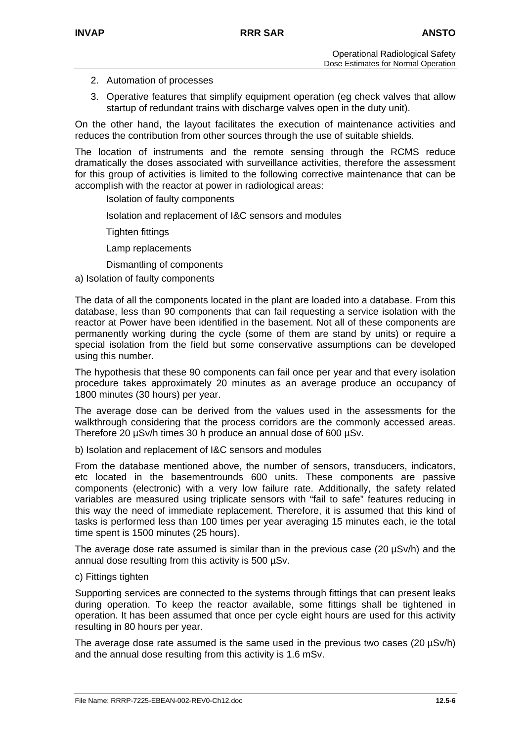- 2. Automation of processes
- 3. Operative features that simplify equipment operation (eg check valves that allow startup of redundant trains with discharge valves open in the duty unit).

On the other hand, the layout facilitates the execution of maintenance activities and reduces the contribution from other sources through the use of suitable shields.

The location of instruments and the remote sensing through the RCMS reduce dramatically the doses associated with surveillance activities, therefore the assessment for this group of activities is limited to the following corrective maintenance that can be accomplish with the reactor at power in radiological areas:

Isolation of faulty components

Isolation and replacement of I&C sensors and modules

Tighten fittings

Lamp replacements

Dismantling of components

a) Isolation of faulty components

The data of all the components located in the plant are loaded into a database. From this database, less than 90 components that can fail requesting a service isolation with the reactor at Power have been identified in the basement. Not all of these components are permanently working during the cycle (some of them are stand by units) or require a special isolation from the field but some conservative assumptions can be developed using this number.

The hypothesis that these 90 components can fail once per year and that every isolation procedure takes approximately 20 minutes as an average produce an occupancy of 1800 minutes (30 hours) per year.

The average dose can be derived from the values used in the assessments for the walkthrough considering that the process corridors are the commonly accessed areas. Therefore 20 µSv/h times 30 h produce an annual dose of 600 µSv.

b) Isolation and replacement of I&C sensors and modules

From the database mentioned above, the number of sensors, transducers, indicators, etc located in the basementrounds 600 units. These components are passive components (electronic) with a very low failure rate. Additionally, the safety related variables are measured using triplicate sensors with "fail to safe" features reducing in this way the need of immediate replacement. Therefore, it is assumed that this kind of tasks is performed less than 100 times per year averaging 15 minutes each, ie the total time spent is 1500 minutes (25 hours).

The average dose rate assumed is similar than in the previous case (20 µSv/h) and the annual dose resulting from this activity is 500 µSv.

### c) Fittings tighten

Supporting services are connected to the systems through fittings that can present leaks during operation. To keep the reactor available, some fittings shall be tightened in operation. It has been assumed that once per cycle eight hours are used for this activity resulting in 80 hours per year.

The average dose rate assumed is the same used in the previous two cases  $(20 \mu Sv/h)$ and the annual dose resulting from this activity is 1.6 mSv.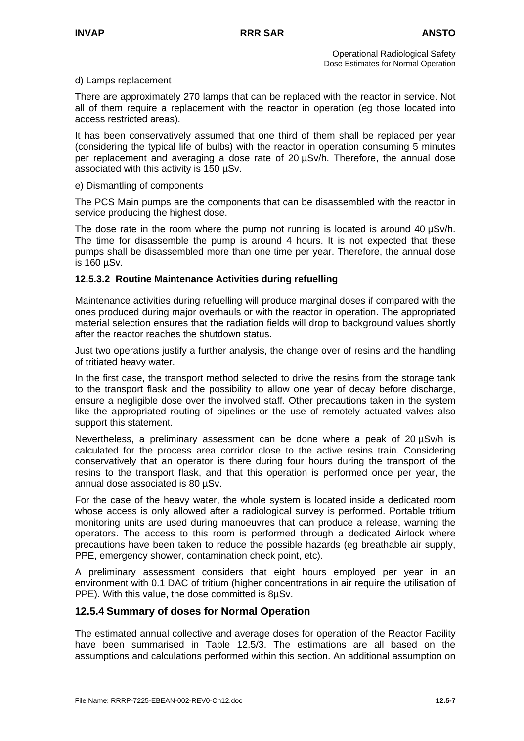#### d) Lamps replacement

There are approximately 270 lamps that can be replaced with the reactor in service. Not all of them require a replacement with the reactor in operation (eg those located into access restricted areas).

It has been conservatively assumed that one third of them shall be replaced per year (considering the typical life of bulbs) with the reactor in operation consuming 5 minutes per replacement and averaging a dose rate of 20 µSv/h. Therefore, the annual dose associated with this activity is 150 µSv.

#### e) Dismantling of components

The PCS Main pumps are the components that can be disassembled with the reactor in service producing the highest dose.

The dose rate in the room where the pump not running is located is around 40 µSv/h. The time for disassemble the pump is around 4 hours. It is not expected that these pumps shall be disassembled more than one time per year. Therefore, the annual dose is 160 µSv.

### **12.5.3.2 Routine Maintenance Activities during refuelling**

Maintenance activities during refuelling will produce marginal doses if compared with the ones produced during major overhauls or with the reactor in operation. The appropriated material selection ensures that the radiation fields will drop to background values shortly after the reactor reaches the shutdown status.

Just two operations justify a further analysis, the change over of resins and the handling of tritiated heavy water.

In the first case, the transport method selected to drive the resins from the storage tank to the transport flask and the possibility to allow one year of decay before discharge, ensure a negligible dose over the involved staff. Other precautions taken in the system like the appropriated routing of pipelines or the use of remotely actuated valves also support this statement.

Nevertheless, a preliminary assessment can be done where a peak of 20 µSv/h is calculated for the process area corridor close to the active resins train. Considering conservatively that an operator is there during four hours during the transport of the resins to the transport flask, and that this operation is performed once per year, the annual dose associated is 80 µSv.

For the case of the heavy water, the whole system is located inside a dedicated room whose access is only allowed after a radiological survey is performed. Portable tritium monitoring units are used during manoeuvres that can produce a release, warning the operators. The access to this room is performed through a dedicated Airlock where precautions have been taken to reduce the possible hazards (eg breathable air supply, PPE, emergency shower, contamination check point, etc).

A preliminary assessment considers that eight hours employed per year in an environment with 0.1 DAC of tritium (higher concentrations in air require the utilisation of PPE). With this value, the dose committed is 8µSv.

# **12.5.4 Summary of doses for Normal Operation**

The estimated annual collective and average doses for operation of the Reactor Facility have been summarised in Table 12.5/3. The estimations are all based on the assumptions and calculations performed within this section. An additional assumption on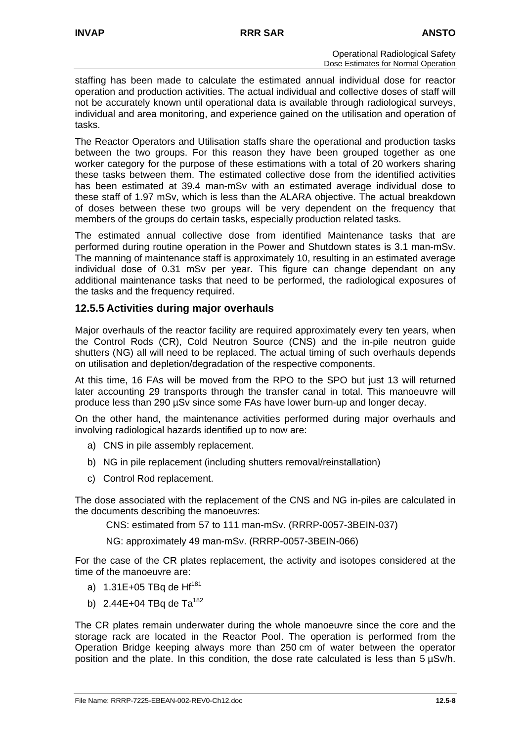staffing has been made to calculate the estimated annual individual dose for reactor operation and production activities. The actual individual and collective doses of staff will not be accurately known until operational data is available through radiological surveys, individual and area monitoring, and experience gained on the utilisation and operation of tasks.

The Reactor Operators and Utilisation staffs share the operational and production tasks between the two groups. For this reason they have been grouped together as one worker category for the purpose of these estimations with a total of 20 workers sharing these tasks between them. The estimated collective dose from the identified activities has been estimated at 39.4 man-mSv with an estimated average individual dose to these staff of 1.97 mSv, which is less than the ALARA objective. The actual breakdown of doses between these two groups will be very dependent on the frequency that members of the groups do certain tasks, especially production related tasks.

The estimated annual collective dose from identified Maintenance tasks that are performed during routine operation in the Power and Shutdown states is 3.1 man-mSv. The manning of maintenance staff is approximately 10, resulting in an estimated average individual dose of 0.31 mSv per year. This figure can change dependant on any additional maintenance tasks that need to be performed, the radiological exposures of the tasks and the frequency required.

## **12.5.5 Activities during major overhauls**

Major overhauls of the reactor facility are required approximately every ten years, when the Control Rods (CR), Cold Neutron Source (CNS) and the in-pile neutron guide shutters (NG) all will need to be replaced. The actual timing of such overhauls depends on utilisation and depletion/degradation of the respective components.

At this time, 16 FAs will be moved from the RPO to the SPO but just 13 will returned later accounting 29 transports through the transfer canal in total. This manoeuvre will produce less than 290 µSv since some FAs have lower burn-up and longer decay.

On the other hand, the maintenance activities performed during major overhauls and involving radiological hazards identified up to now are:

- a) CNS in pile assembly replacement.
- b) NG in pile replacement (including shutters removal/reinstallation)
- c) Control Rod replacement.

The dose associated with the replacement of the CNS and NG in-piles are calculated in the documents describing the manoeuvres:

CNS: estimated from 57 to 111 man-mSv. (RRRP-0057-3BEIN-037)

NG: approximately 49 man-mSv. (RRRP-0057-3BEIN-066)

For the case of the CR plates replacement, the activity and isotopes considered at the time of the manoeuvre are:

- a)  $1.31E+05$  TBq de Hf<sup>181</sup>
- b) 2.44E+04 TBq de Ta<sup>182</sup>

The CR plates remain underwater during the whole manoeuvre since the core and the storage rack are located in the Reactor Pool. The operation is performed from the Operation Bridge keeping always more than 250 cm of water between the operator position and the plate. In this condition, the dose rate calculated is less than 5 µSv/h.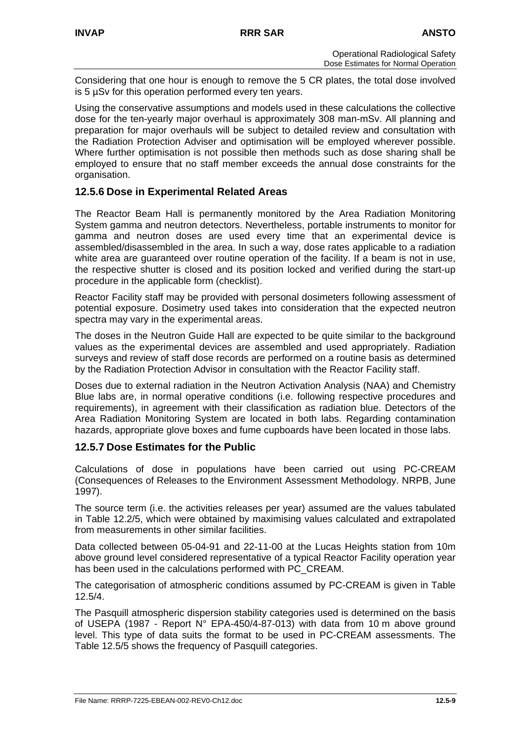Considering that one hour is enough to remove the 5 CR plates, the total dose involved is 5 µSv for this operation performed every ten years.

Using the conservative assumptions and models used in these calculations the collective dose for the ten-yearly major overhaul is approximately 308 man-mSv. All planning and preparation for major overhauls will be subject to detailed review and consultation with the Radiation Protection Adviser and optimisation will be employed wherever possible. Where further optimisation is not possible then methods such as dose sharing shall be employed to ensure that no staff member exceeds the annual dose constraints for the organisation.

## **12.5.6 Dose in Experimental Related Areas**

The Reactor Beam Hall is permanently monitored by the Area Radiation Monitoring System gamma and neutron detectors. Nevertheless, portable instruments to monitor for gamma and neutron doses are used every time that an experimental device is assembled/disassembled in the area. In such a way, dose rates applicable to a radiation white area are guaranteed over routine operation of the facility. If a beam is not in use, the respective shutter is closed and its position locked and verified during the start-up procedure in the applicable form (checklist).

Reactor Facility staff may be provided with personal dosimeters following assessment of potential exposure. Dosimetry used takes into consideration that the expected neutron spectra may vary in the experimental areas.

The doses in the Neutron Guide Hall are expected to be quite similar to the background values as the experimental devices are assembled and used appropriately. Radiation surveys and review of staff dose records are performed on a routine basis as determined by the Radiation Protection Advisor in consultation with the Reactor Facility staff.

Doses due to external radiation in the Neutron Activation Analysis (NAA) and Chemistry Blue labs are, in normal operative conditions (i.e. following respective procedures and requirements), in agreement with their classification as radiation blue. Detectors of the Area Radiation Monitoring System are located in both labs. Regarding contamination hazards, appropriate glove boxes and fume cupboards have been located in those labs.

### **12.5.7 Dose Estimates for the Public**

Calculations of dose in populations have been carried out using PC-CREAM (Consequences of Releases to the Environment Assessment Methodology. NRPB, June 1997).

The source term (i.e. the activities releases per year) assumed are the values tabulated in Table 12.2/5, which were obtained by maximising values calculated and extrapolated from measurements in other similar facilities.

Data collected between 05-04-91 and 22-11-00 at the Lucas Heights station from 10m above ground level considered representative of a typical Reactor Facility operation year has been used in the calculations performed with PC\_CREAM.

The categorisation of atmospheric conditions assumed by PC-CREAM is given in Table 12.5/4.

The Pasquill atmospheric dispersion stability categories used is determined on the basis of USEPA (1987 - Report N° EPA-450/4-87-013) with data from 10 m above ground level. This type of data suits the format to be used in PC-CREAM assessments. The Table 12.5/5 shows the frequency of Pasquill categories.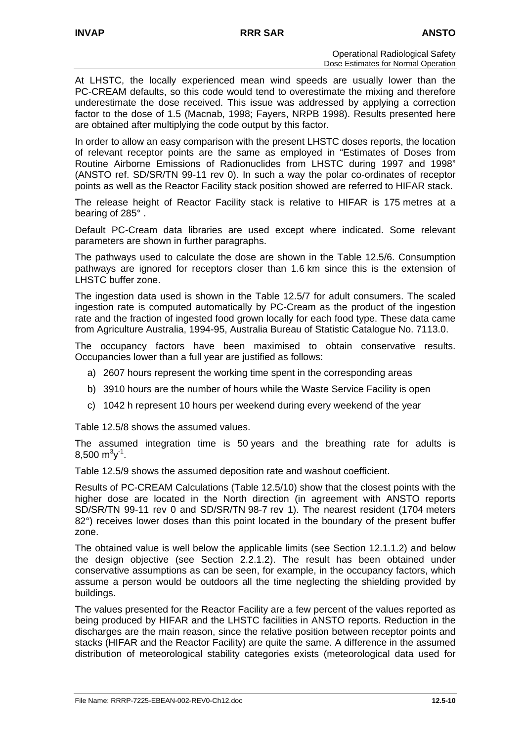At LHSTC, the locally experienced mean wind speeds are usually lower than the PC-CREAM defaults, so this code would tend to overestimate the mixing and therefore underestimate the dose received. This issue was addressed by applying a correction factor to the dose of 1.5 (Macnab, 1998; Fayers, NRPB 1998). Results presented here are obtained after multiplying the code output by this factor.

In order to allow an easy comparison with the present LHSTC doses reports, the location of relevant receptor points are the same as employed in "Estimates of Doses from Routine Airborne Emissions of Radionuclides from LHSTC during 1997 and 1998" (ANSTO ref. SD/SR/TN 99-11 rev 0). In such a way the polar co-ordinates of receptor points as well as the Reactor Facility stack position showed are referred to HIFAR stack.

The release height of Reactor Facility stack is relative to HIFAR is 175 metres at a bearing of 285° .

Default PC-Cream data libraries are used except where indicated. Some relevant parameters are shown in further paragraphs.

The pathways used to calculate the dose are shown in the Table 12.5/6. Consumption pathways are ignored for receptors closer than 1.6 km since this is the extension of LHSTC buffer zone.

The ingestion data used is shown in the Table 12.5/7 for adult consumers. The scaled ingestion rate is computed automatically by PC-Cream as the product of the ingestion rate and the fraction of ingested food grown locally for each food type. These data came from Agriculture Australia, 1994-95, Australia Bureau of Statistic Catalogue No. 7113.0.

The occupancy factors have been maximised to obtain conservative results. Occupancies lower than a full year are justified as follows:

- a) 2607 hours represent the working time spent in the corresponding areas
- b) 3910 hours are the number of hours while the Waste Service Facility is open
- c) 1042 h represent 10 hours per weekend during every weekend of the year

Table 12.5/8 shows the assumed values.

The assumed integration time is 50 years and the breathing rate for adults is  $8,500 \text{ m}^3\text{y}^1$ .

Table 12.5/9 shows the assumed deposition rate and washout coefficient.

Results of PC-CREAM Calculations (Table 12.5/10) show that the closest points with the higher dose are located in the North direction (in agreement with ANSTO reports SD/SR/TN 99-11 rev 0 and SD/SR/TN 98-7 rev 1). The nearest resident (1704 meters 82°) receives lower doses than this point located in the boundary of the present buffer zone.

The obtained value is well below the applicable limits (see Section 12.1.1.2) and below the design objective (see Section 2.2.1.2). The result has been obtained under conservative assumptions as can be seen, for example, in the occupancy factors, which assume a person would be outdoors all the time neglecting the shielding provided by buildings.

The values presented for the Reactor Facility are a few percent of the values reported as being produced by HIFAR and the LHSTC facilities in ANSTO reports. Reduction in the discharges are the main reason, since the relative position between receptor points and stacks (HIFAR and the Reactor Facility) are quite the same. A difference in the assumed distribution of meteorological stability categories exists (meteorological data used for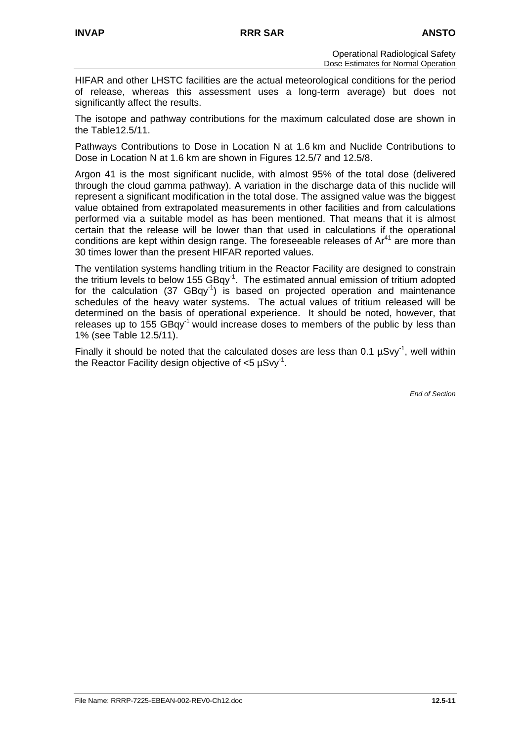HIFAR and other LHSTC facilities are the actual meteorological conditions for the period of release, whereas this assessment uses a long-term average) but does not significantly affect the results.

The isotope and pathway contributions for the maximum calculated dose are shown in the Table12.5/11.

Pathways Contributions to Dose in Location N at 1.6 km and Nuclide Contributions to Dose in Location N at 1.6 km are shown in Figures 12.5/7 and 12.5/8.

Argon 41 is the most significant nuclide, with almost 95% of the total dose (delivered through the cloud gamma pathway). A variation in the discharge data of this nuclide will represent a significant modification in the total dose. The assigned value was the biggest value obtained from extrapolated measurements in other facilities and from calculations performed via a suitable model as has been mentioned. That means that it is almost certain that the release will be lower than that used in calculations if the operational conditions are kept within design range. The foreseeable releases of  $Ar<sup>41</sup>$  are more than 30 times lower than the present HIFAR reported values.

The ventilation systems handling tritium in the Reactor Facility are designed to constrain the tritium levels to below 155  $GBqy^{-1}$ . The estimated annual emission of tritium adopted for the calculation (37 GBqy-1) is based on projected operation and maintenance schedules of the heavy water systems. The actual values of tritium released will be determined on the basis of operational experience. It should be noted, however, that releases up to 155  $GBqy^{-1}$  would increase doses to members of the public by less than 1% (see Table 12.5/11).

Finally it should be noted that the calculated doses are less than 0.1  $\mu$ Svy<sup>-1</sup>, well within the Reactor Facility design objective of <5 µSvy-1.

*End of Section*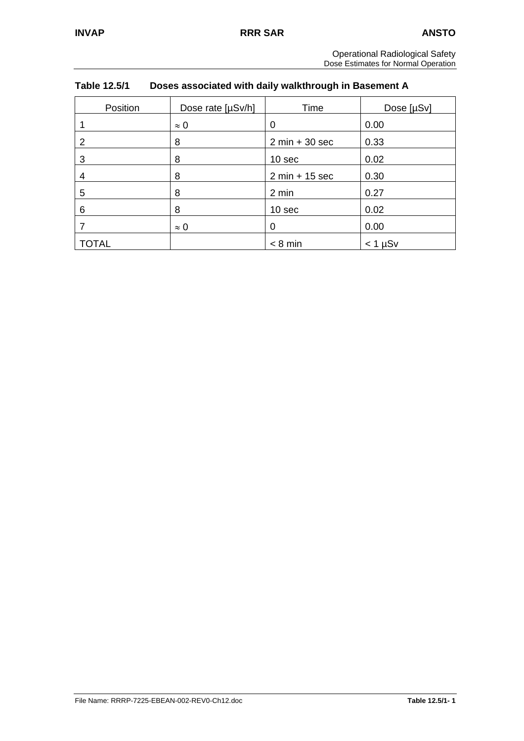| <b>Operational Radiological Safety</b> |
|----------------------------------------|
| Dose Estimates for Normal Operation    |

| Table 12.5/1 | Doses associated with daily walkthrough in Basement A |
|--------------|-------------------------------------------------------|
|              |                                                       |

| Position | Dose rate [µSv/h] | Time             | Dose [µSv] |
|----------|-------------------|------------------|------------|
|          | $\approx 0$       | 0                | 0.00       |
| 2        | 8                 | $2 min + 30 sec$ | 0.33       |
| 3        | 8                 | 10 sec           | 0.02       |
| 4        | 8                 | $2 min + 15 sec$ | 0.30       |
| 5        | 8                 | 2 min            | 0.27       |
| 6        | 8                 | 10 sec           | 0.02       |
|          | $\approx 0$       | 0                | 0.00       |
| TOTAL    |                   | $< 8$ min        | $<$ 1 µSv  |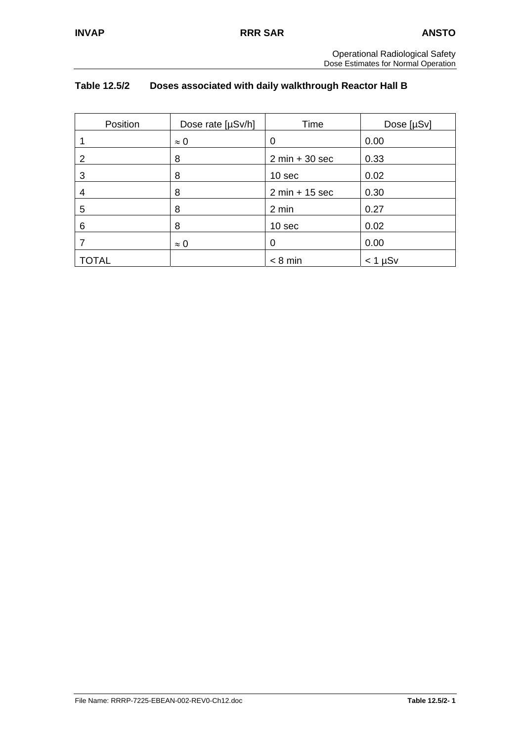## **Table 12.5/2 Doses associated with daily walkthrough Reactor Hall B**

| Position     | Dose rate [µSv/h] | Time             | Dose [µSv]     |
|--------------|-------------------|------------------|----------------|
|              | $\approx 0$       | 0                | 0.00           |
| 2            | 8                 | $2 min + 30 sec$ | 0.33           |
| 3            | 8                 | 10 sec           | 0.02           |
| 4            | 8                 | $2 min + 15 sec$ | 0.30           |
| 5            | 8                 | 2 min            | 0.27           |
| 6            | 8                 | 10 sec           | 0.02           |
|              | $\approx 0$       | 0                | 0.00           |
| <b>TOTAL</b> |                   | $< 8$ min        | $<$ 1 $\mu$ Sv |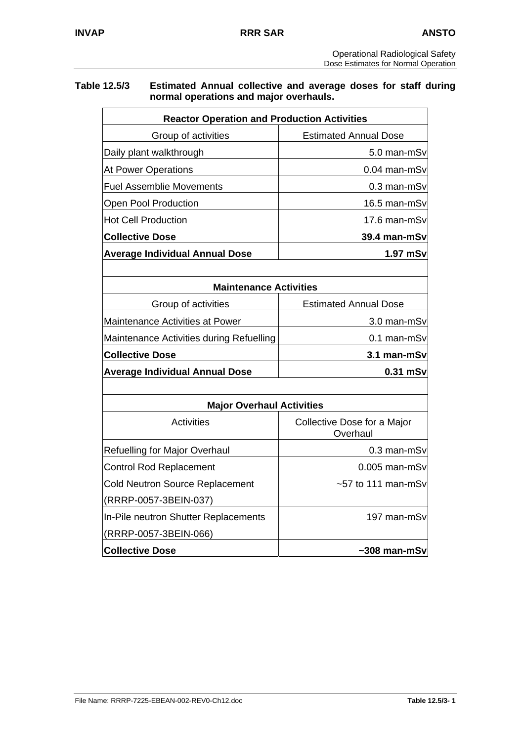### **Table 12.5/3 Estimated Annual collective and average doses for staff during normal operations and major overhauls.**

| <b>Reactor Operation and Production Activities</b>      |                                         |  |  |  |
|---------------------------------------------------------|-----------------------------------------|--|--|--|
| Group of activities                                     | <b>Estimated Annual Dose</b>            |  |  |  |
| Daily plant walkthrough                                 | 5.0 man-mSv                             |  |  |  |
| <b>At Power Operations</b>                              | 0.04 man-mSv                            |  |  |  |
| <b>Fuel Assemblie Movements</b>                         | 0.3 man-mSv                             |  |  |  |
| Open Pool Production                                    | 16.5 man-mSv                            |  |  |  |
| <b>Hot Cell Production</b>                              | 17.6 man-mSv                            |  |  |  |
| <b>Collective Dose</b>                                  | 39.4 man-mSv                            |  |  |  |
| <b>Average Individual Annual Dose</b>                   | 1.97 mSv                                |  |  |  |
|                                                         |                                         |  |  |  |
| <b>Maintenance Activities</b>                           |                                         |  |  |  |
| Group of activities                                     | <b>Estimated Annual Dose</b>            |  |  |  |
| Maintenance Activities at Power                         | 3.0 man-mSv                             |  |  |  |
| Maintenance Activities during Refuelling<br>0.1 man-mSv |                                         |  |  |  |
| <b>Collective Dose</b>                                  | 3.1 man-mSv                             |  |  |  |
| <b>Average Individual Annual Dose</b>                   | 0.31 mSv                                |  |  |  |
|                                                         |                                         |  |  |  |
| <b>Major Overhaul Activities</b>                        |                                         |  |  |  |
| <b>Activities</b>                                       | Collective Dose for a Major<br>Overhaul |  |  |  |
| Refuelling for Major Overhaul                           | 0.3 man-mSv                             |  |  |  |
| <b>Control Rod Replacement</b>                          | $0.005$ man-mSv                         |  |  |  |
| <b>Cold Neutron Source Replacement</b>                  | $~57$ to 111 man-mSv                    |  |  |  |
| (RRRP-0057-3BEIN-037)                                   |                                         |  |  |  |
| In-Pile neutron Shutter Replacements                    | 197 man-mSv                             |  |  |  |
| (RRRP-0057-3BEIN-066)                                   |                                         |  |  |  |
| <b>Collective Dose</b>                                  | $~1$ -308 man-mSv                       |  |  |  |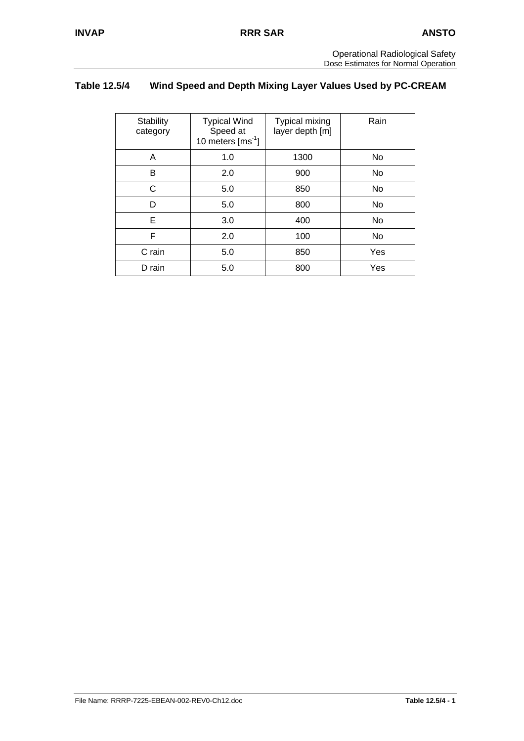## **Table 12.5/4 Wind Speed and Depth Mixing Layer Values Used by PC-CREAM**

| Stability<br>category | <b>Typical Wind</b><br>Speed at<br>10 meters $\text{[ms}^1]$ | <b>Typical mixing</b><br>layer depth [m] | Rain |
|-----------------------|--------------------------------------------------------------|------------------------------------------|------|
| A                     | 1.0                                                          | 1300                                     | No   |
| B                     | 2.0                                                          | 900                                      | No   |
| C                     | 5.0                                                          | 850                                      | No   |
| D                     | 5.0                                                          | 800                                      | No   |
| Е                     | 3.0                                                          | 400                                      | No   |
| F                     | 2.0                                                          | 100                                      | No   |
| C rain                | 5.0                                                          | 850                                      | Yes  |
| D rain                | 5.0                                                          | 800                                      | Yes  |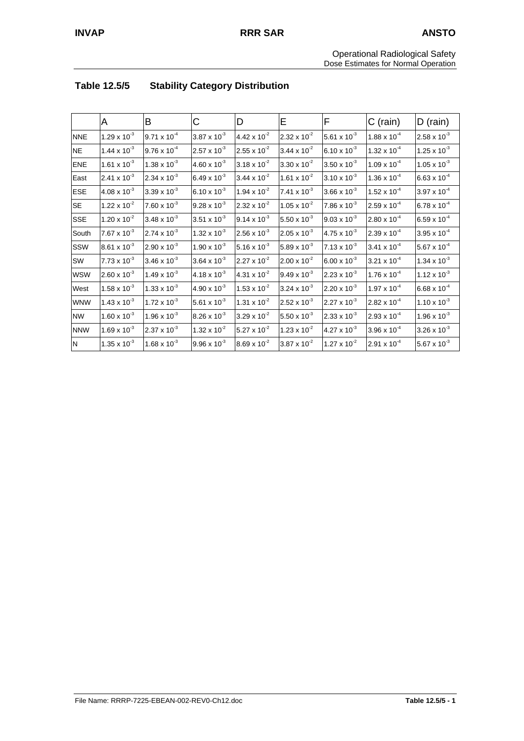|            | A                     | В                     | C                     | D                     | E                     | F                     | C (rain)              | $D$ (rain)            |
|------------|-----------------------|-----------------------|-----------------------|-----------------------|-----------------------|-----------------------|-----------------------|-----------------------|
| <b>NNE</b> | $1.29 \times 10^{-3}$ | $9.71 \times 10^{-4}$ | $3.87 \times 10^{-3}$ | 4.42 x $10^{-2}$      | $2.32 \times 10^{-2}$ | 5.61 x $10^{-3}$      | $1.88 \times 10^{-4}$ | $2.58 \times 10^{-3}$ |
| <b>NE</b>  | $1.44 \times 10^{-3}$ | $9.76 \times 10^{-4}$ | $2.57 \times 10^{-3}$ | $2.55 \times 10^{-2}$ | $3.44 \times 10^{-2}$ | $6.10 \times 10^{-3}$ | $1.32 \times 10^{-4}$ | $1.25 \times 10^{-3}$ |
| <b>ENE</b> | $1.61 \times 10^{-3}$ | $1.38 \times 10^{-3}$ | $4.60 \times 10^{-3}$ | $3.18 \times 10^{-2}$ | $3.30 \times 10^{-2}$ | $3.50 \times 10^{-3}$ | $1.09 \times 10^{-4}$ | $1.05 \times 10^{-3}$ |
| East       | $2.41 \times 10^{-3}$ | $2.34 \times 10^{-3}$ | 6.49 x $10^{-3}$      | $3.44 \times 10^{-2}$ | $1.61 \times 10^{-2}$ | $3.10 \times 10^{-3}$ | $1.36 \times 10^{-4}$ | $6.63 \times 10^{-4}$ |
| <b>ESE</b> | $4.08 \times 10^{-3}$ | $3.39 \times 10^{-3}$ | 6.10 x $10^{-3}$      | $1.94 \times 10^{-2}$ | $7.41 \times 10^{-3}$ | $3.66 \times 10^{-3}$ | $1.52 \times 10^{-4}$ | $3.97 \times 10^{-4}$ |
| <b>SE</b>  | $1.22 \times 10^{-2}$ | $7.60 \times 10^{-3}$ | $9.28 \times 10^{-3}$ | $2.32 \times 10^{-2}$ | $1.05 \times 10^{-2}$ | $7.86 \times 10^{-3}$ | $2.59 \times 10^{-4}$ | $6.78 \times 10^{-4}$ |
| <b>SSE</b> | $1.20 \times 10^{-2}$ | $3.48 \times 10^{-3}$ | $3.51 \times 10^{-3}$ | $9.14 \times 10^{-3}$ | 5.50 x $10^{-3}$      | $9.03 \times 10^{-3}$ | $2.80 \times 10^{-4}$ | $6.59 \times 10^{-4}$ |
| South      | $7.67 \times 10^{-3}$ | $2.74 \times 10^{-3}$ | $1.32 \times 10^{-3}$ | $2.56 \times 10^{-3}$ | $2.05 \times 10^{-3}$ | $4.75 \times 10^{-3}$ | $2.39 \times 10^{-4}$ | $3.95 \times 10^{-4}$ |
| SSW        | $8.61 \times 10^{-3}$ | $2.90 \times 10^{-3}$ | $1.90 \times 10^{-3}$ | 5.16 x $10^{-3}$      | 5.89 x $10^{-3}$      | $7.13 \times 10^{-3}$ | $3.41 \times 10^{-4}$ | $5.67 \times 10^{-4}$ |
| SW         | $7.73 \times 10^{-3}$ | $3.46 \times 10^{-3}$ | $3.64 \times 10^{-3}$ | $2.27 \times 10^{-2}$ | $2.00 \times 10^{-2}$ | $6.00 \times 10^{-3}$ | $3.21 \times 10^{-4}$ | $1.34 \times 10^{-3}$ |
| <b>WSW</b> | $2.60 \times 10^{-3}$ | $1.49 \times 10^{-3}$ | $4.18 \times 10^{-3}$ | 4.31 x $10^{-2}$      | $9.49 \times 10^{-3}$ | $2.23 \times 10^{-3}$ | $1.76 \times 10^{-4}$ | $1.12 \times 10^{-3}$ |
| West       | $1.58 \times 10^{-3}$ | $1.33 \times 10^{-3}$ | $4.90 \times 10^{-3}$ | $1.53 \times 10^{-2}$ | $3.24 \times 10^{-3}$ | $2.20 \times 10^{-3}$ | $1.97 \times 10^{-4}$ | $6.68 \times 10^{-4}$ |
| <b>WNW</b> | $1.43 \times 10^{-3}$ | $1.72 \times 10^{-3}$ | 5.61 x $10^{-3}$      | $1.31 \times 10^{-2}$ | $2.52 \times 10^{-3}$ | $2.27 \times 10^{-3}$ | $2.82 \times 10^{-4}$ | $1.10 \times 10^{-3}$ |
| <b>NW</b>  | $1.60 \times 10^{-3}$ | $1.96 \times 10^{-3}$ | $8.26 \times 10^{-3}$ | $3.29 \times 10^{-2}$ | 5.50 x $10^{-3}$      | $2.33 \times 10^{-3}$ | $2.93 \times 10^{-4}$ | $1.96 \times 10^{-3}$ |
| <b>NNW</b> | $1.69 \times 10^{-3}$ | $2.37 \times 10^{-3}$ | $1.32 \times 10^{-2}$ | $5.27 \times 10^{-2}$ | $1.23 \times 10^{-2}$ | $4.27 \times 10^{-3}$ | $3.96 \times 10^{-4}$ | $3.26 \times 10^{-3}$ |
| N          | $1.35 \times 10^{-3}$ | $1.68 \times 10^{-3}$ | $9.96 \times 10^{-3}$ | $8.69 \times 10^{-2}$ | $3.87 \times 10^{-2}$ | $1.27 \times 10^{-2}$ | $2.91 \times 10^{-4}$ | 5.67 x $10^{-3}$      |

# **Table 12.5/5 Stability Category Distribution**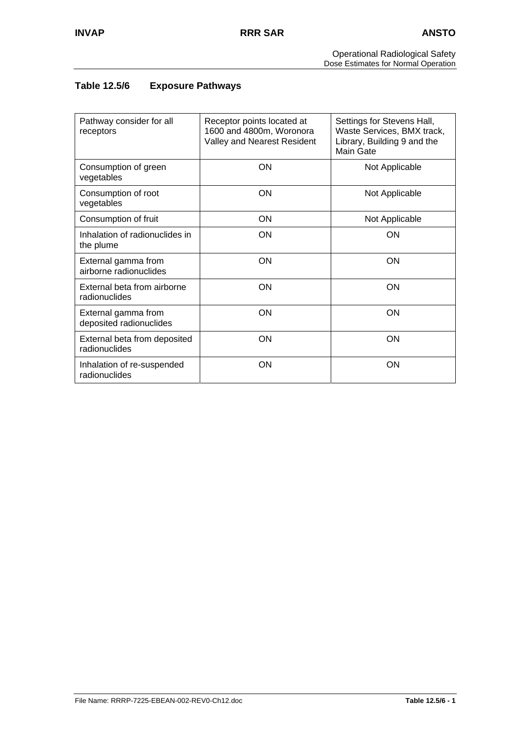## **Table 12.5/6 Exposure Pathways**

| Pathway consider for all<br>receptors          | Receptor points located at<br>1600 and 4800m, Woronora<br>Valley and Nearest Resident | Settings for Stevens Hall,<br>Waste Services, BMX track,<br>Library, Building 9 and the<br><b>Main Gate</b> |
|------------------------------------------------|---------------------------------------------------------------------------------------|-------------------------------------------------------------------------------------------------------------|
| Consumption of green<br>vegetables             | ON                                                                                    | Not Applicable                                                                                              |
| Consumption of root<br>vegetables              | <b>ON</b>                                                                             | Not Applicable                                                                                              |
| Consumption of fruit                           | ON                                                                                    | Not Applicable                                                                                              |
| Inhalation of radionuclides in<br>the plume    | <b>ON</b>                                                                             | ON                                                                                                          |
| External gamma from<br>airborne radionuclides  | ON                                                                                    | ON                                                                                                          |
| External beta from airborne<br>radionuclides   | ON                                                                                    | ON                                                                                                          |
| External gamma from<br>deposited radionuclides | ON                                                                                    | ON                                                                                                          |
| External beta from deposited<br>radionuclides  | <b>ON</b>                                                                             | ON                                                                                                          |
| Inhalation of re-suspended<br>radionuclides    | ON                                                                                    | ON                                                                                                          |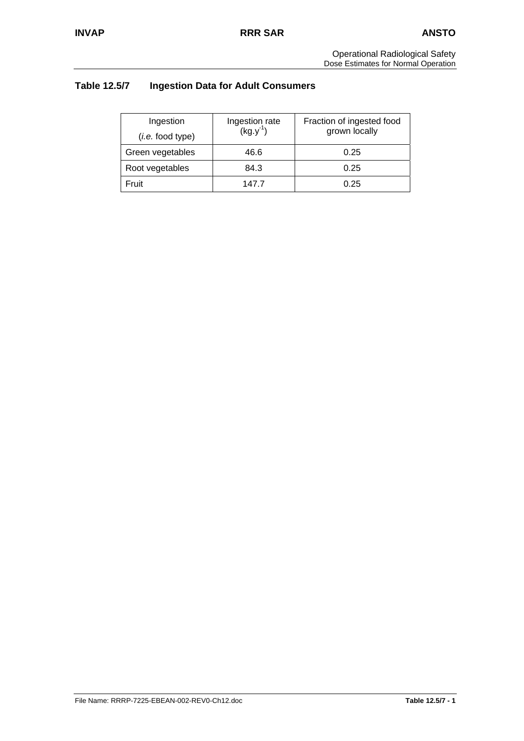# **Table 12.5/7 Ingestion Data for Adult Consumers**

| Ingestion<br>( <i>i.e.</i> food type) | Ingestion rate<br>$(kg.y^{-1})$ | Fraction of ingested food<br>grown locally |
|---------------------------------------|---------------------------------|--------------------------------------------|
| Green vegetables                      | 46.6                            | 0.25                                       |
| Root vegetables                       | 84.3                            | 0.25                                       |
| Fruit                                 | 147 7                           | 0.25                                       |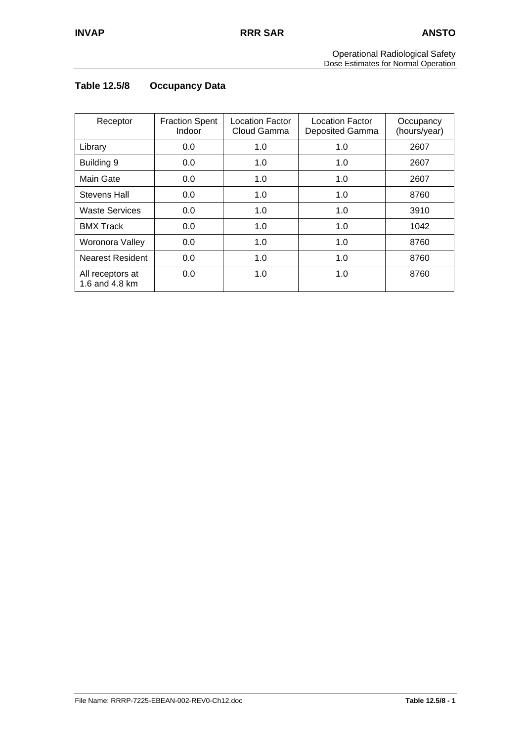# **Table 12.5/8 Occupancy Data**

| Receptor                           | <b>Fraction Spent</b><br>Indoor | Location Factor<br>Cloud Gamma | <b>Location Factor</b><br>Deposited Gamma | Occupancy<br>(hours/year) |
|------------------------------------|---------------------------------|--------------------------------|-------------------------------------------|---------------------------|
| Library                            | 0.0                             | 1.0                            | 1.0                                       | 2607                      |
| Building 9                         | 0.0                             | 1.0                            | 1.0                                       | 2607                      |
| Main Gate                          | 0.0                             | 1.0                            | 1.0                                       | 2607                      |
| Stevens Hall                       | 0.0                             | 1.0                            | 1.0                                       | 8760                      |
| <b>Waste Services</b>              | 0.0                             | 1.0                            | 1.0                                       | 3910                      |
| <b>BMX Track</b>                   | 0.0                             | 1.0                            | 1.0                                       | 1042                      |
| Woronora Valley                    | 0.0                             | 1.0                            | 1.0                                       | 8760                      |
| <b>Nearest Resident</b>            | 0.0                             | 1.0                            | 1.0                                       | 8760                      |
| All receptors at<br>1.6 and 4.8 km | 0.0                             | 1.0                            | 1.0                                       | 8760                      |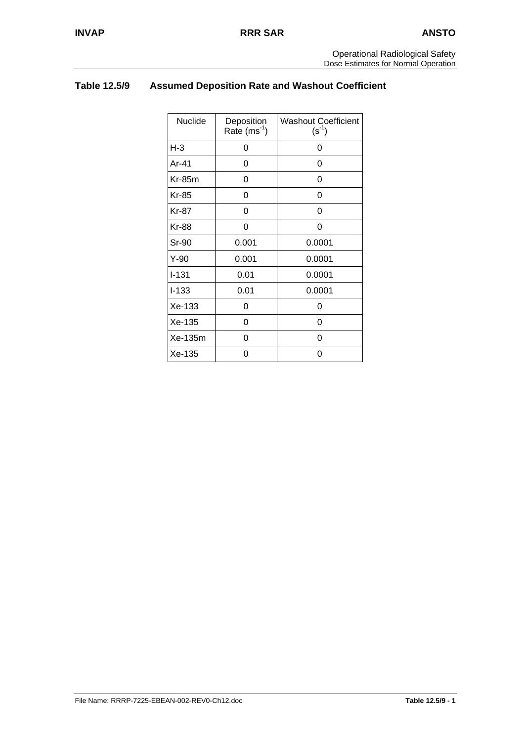# **Table 12.5/9 Assumed Deposition Rate and Washout Coefficient**

| Nuclide      | Deposition<br>Rate $(ms^{-1})$ | <b>Washout Coefficient</b><br>$(s^{-1})$ |
|--------------|--------------------------------|------------------------------------------|
| $H-3$        | 0                              | 0                                        |
| Ar-41        | 0                              | 0                                        |
| $Kr-85m$     | 0                              | 0                                        |
| <b>Kr-85</b> | 0                              | 0                                        |
| <b>Kr-87</b> | 0                              | 0                                        |
| <b>Kr-88</b> | 0                              | 0                                        |
| Sr-90        | 0.001                          | 0.0001                                   |
| $Y-90$       | 0.001                          | 0.0001                                   |
| $I-131$      | 0.01                           | 0.0001                                   |
| $I-133$      | 0.01                           | 0.0001                                   |
| Xe-133       | 0                              | 0                                        |
| Xe-135       | 0                              | 0                                        |
| Xe-135m      | 0                              | 0                                        |
| Xe-135       | 0                              | 0                                        |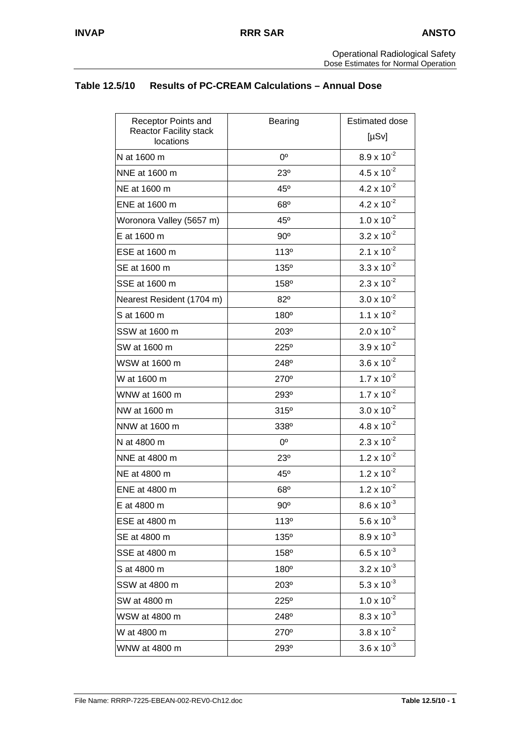## **Table 12.5/10 Results of PC-CREAM Calculations – Annual Dose**

| Receptor Points and                        | <b>Bearing</b>   | <b>Estimated dose</b>         |
|--------------------------------------------|------------------|-------------------------------|
| <b>Reactor Facility stack</b><br>locations |                  | $[\mu Sv]$                    |
| N at 1600 m                                | $0^{\circ}$      | $8.9 \times 10^{-2}$          |
| NNE at 1600 m                              | 23 <sup>o</sup>  | $4.5 \times 10^{-2}$          |
| NE at 1600 m                               | $45^\circ$       | $4.2 \times 10^{-2}$          |
| ENE at 1600 m                              | 68°              | $4.2 \times 10^{-2}$          |
| Woronora Valley (5657 m)                   | $45^{\circ}$     | $1.0 \times 10^{-2}$          |
| E at 1600 m                                | $90^{\circ}$     | $3.2 \times 10^{-2}$          |
| ESE at 1600 m                              | 113°             | $2.1 \times 10^{-2}$          |
| SE at 1600 m                               | 135°             | $3.3 \times 10^{-2}$          |
| SSE at 1600 m                              | 158 <sup>°</sup> | $2.3 \times 10^{-2}$          |
| Nearest Resident (1704 m)                  | 82°              | $3.0 \times 10^{-2}$          |
| S at 1600 m                                | $180^\circ$      | 1.1 $\times$ 10 <sup>-2</sup> |
| SSW at 1600 m                              | 203°             | $2.0 \times 10^{-2}$          |
| SW at 1600 m                               | 225°             | $3.9 \times 10^{-2}$          |
| WSW at 1600 m                              | 248°             | $3.6 \times 10^{-2}$          |
| W at 1600 m                                | $270^\circ$      | $1.7 \times 10^{-2}$          |
| WNW at 1600 m                              | 293°             | $1.7 \times 10^{-2}$          |
| NW at 1600 m                               | 315°             | $3.0 \times 10^{-2}$          |
| NNW at 1600 m                              | 338°             | $4.8 \times 10^{-2}$          |
| N at 4800 m                                | $0^{\circ}$      | $2.3 \times 10^{-2}$          |
| NNE at 4800 m                              | 23°              | $1.2 \times 10^{-2}$          |
| NE at 4800 m                               | $45^\circ$       | $1.2 \times 10^{-2}$          |
| ENE at 4800 m                              | 68°              | $1.2 \times 10^{-2}$          |
| E at 4800 m                                | $90^{\circ}$     | $8.6 \times 10^{-3}$          |
| ESE at 4800 m                              | 113°             | 5.6 x $10^{-3}$               |
| SE at 4800 m                               | 135°             | $8.9 \times 10^{-3}$          |
| SSE at 4800 m                              | 158°             | $6.5 \times 10^{-3}$          |
| S at 4800 m                                | 180°             | $3.2 \times 10^{-3}$          |
| SSW at 4800 m                              | $203^\circ$      | 5.3 x $10^{-3}$               |
| SW at 4800 m                               | 225°             | $1.0 \times 10^{-2}$          |
| WSW at 4800 m                              | 248°             | $8.3 \times 10^{-3}$          |
| W at 4800 m                                | 270°             | $3.8 \times 10^{-2}$          |
| WNW at 4800 m                              | 293°             | $3.6 \times 10^{-3}$          |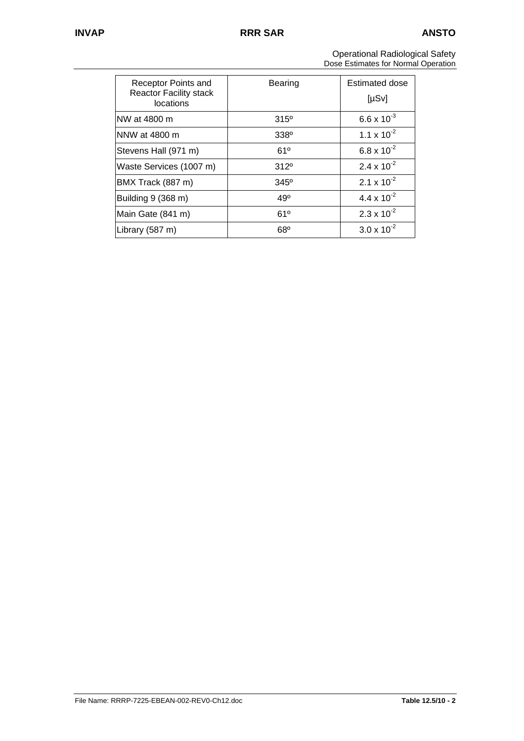| Receptor Points and<br><b>Reactor Facility stack</b><br>locations | Bearing          | Estimated dose<br>[µSv] |
|-------------------------------------------------------------------|------------------|-------------------------|
| NW at 4800 m                                                      | $315^{\circ}$    | $6.6 \times 10^{-3}$    |
| NNW at 4800 m                                                     | 338 <sup>°</sup> | $1.1 \times 10^{-2}$    |
| Stevens Hall (971 m)                                              | 61°              | 6.8 x $10^{-2}$         |
| Waste Services (1007 m)                                           | 312 <sup>°</sup> | 2.4 x $10^{-2}$         |
| BMX Track (887 m)                                                 | $345^{\circ}$    | $2.1 \times 10^{-2}$    |
| Building 9 (368 m)                                                | 49°              | $4.4 \times 10^{-2}$    |
| Main Gate (841 m)                                                 | 61°              | $2.3 \times 10^{-2}$    |
| Library (587 m)                                                   | 68 <sup>o</sup>  | $3.0 \times 10^{-2}$    |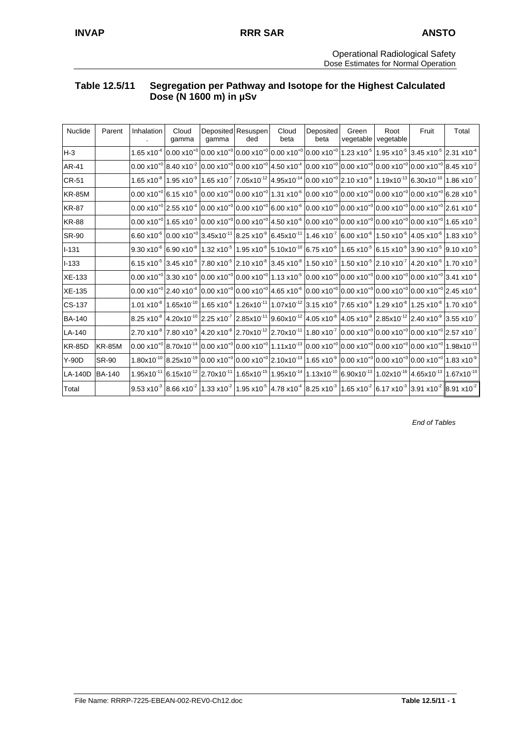### **Table 12.5/11 Segregation per Pathway and Isotope for the Highest Calculated Dose (N 1600 m) in µSv**

| <b>Nuclide</b> | Parent        | <b>Inhalation</b> | Cloud<br>qamma                                | qamma | Deposited Resuspen<br>ded | Cloud<br>beta | Deposited<br>beta                                                                                                                                                                                                                                                                                                                                       | Green<br>vegetable | Root<br>vegetable | Fruit | Total |
|----------------|---------------|-------------------|-----------------------------------------------|-------|---------------------------|---------------|---------------------------------------------------------------------------------------------------------------------------------------------------------------------------------------------------------------------------------------------------------------------------------------------------------------------------------------------------------|--------------------|-------------------|-------|-------|
| $H-3$          |               |                   |                                               |       |                           |               | $1.65 \times 10^{-4}$ $\left[0.00 \times 10^{+0}\right]$ $\left[0.00 \times 10^{+0}\right]$ $\left[0.00 \times 10^{+0}\right]$ $\left[0.00 \times 10^{+0}\right]$ $\left[1.23 \times 10^{-5}\right]$ $\left[1.95 \times 10^{-5}\right]$ $\left[3.45 \times 10^{-5}\right]$ $\left[2.31 \times 10^{-4}\right]$                                           |                    |                   |       |       |
| AR-41          |               |                   |                                               |       |                           |               | $\sim$ 0.00 x10 <sup>+0</sup> 8.40 x10 <sup>-2</sup> $\sim$ 0.00 x10 <sup>+0</sup> $\sim$ 0.00 x10 <sup>+0</sup> 4.50 x10 <sup>-4</sup> $\sim$ 0.00 x10 <sup>+0</sup> $\sim$ 0.00 x10 <sup>+0</sup> $\sim$ 0.00 x10 <sup>+0</sup> 8.45 x10 <sup>-2</sup>                                                                                                |                    |                   |       |       |
| <b>CR-51</b>   |               |                   |                                               |       |                           |               | $1.65\times10^{-8}$   $1.95\times10^{-9}$   $1.65\times10^{-7}$   $7.05\times10^{-12}$   $4.95\times10^{-14}$   $0.00\times10^{40}$   $2.10\times10^{-9}$   $1.19\times10^{-13}$   $6.30\times10^{-10}$   $1.86\times10^{-7}$                                                                                                                           |                    |                   |       |       |
| <b>KR-85M</b>  |               |                   | $0.00 \times 10^{+0}$ 6.15 x10 <sup>-5</sup>  |       |                           |               | $[0.00 \times 10^{+0} 0.00 \times 10^{+0} 1.31 \times 10^{6} 0.00 \times 10^{+0} 0.00 \times 10^{+0} 0.00 \times 10^{+0} 0.00 \times 10^{+0} 6.28 \times 10^{5}$                                                                                                                                                                                        |                    |                   |       |       |
| <b>KR-87</b>   |               |                   | $0.00 \times 10^{+0}$ 2.55 x10 <sup>-4</sup>  |       |                           |               | $[0.00 \times 10^{+0} 0.00 \times 10^{+0} 6.00 \times 10^{6} 0.00 \times 10^{+0} 0.00 \times 10^{+0} 0.00 \times 10^{+0} 0.00 \times 10^{+0} 2.61 \times 10^{4} 0.00 \times 10^{4} 0.00 \times 10^{4} 0.00 \times 10^{4} 0.00 \times 10^{4} 0.00 \times 10^{4} 0.00 \times 10^{4} 0.00 \times 10^{4} 0.00 \times 10^{4} 0.00 \$                         |                    |                   |       |       |
| <b>KR-88</b>   |               |                   |                                               |       |                           |               | $(0.00 \times 10^{+0}   1.65 \times 10^{3}   0.00 \times 10^{+0}   0.00 \times 10^{+0}   4.50 \times 10^{6}   0.00 \times 10^{+0}   0.00 \times 10^{+0}   0.00 \times 10^{+0}   0.00 \times 10^{+0}   1.65 \times 10^{3}   0.00 \times 10^{3}   0.00 \times 10^{3}   0.00 \times 10^{4}   1.65 \times 10^{3}   0.00 \times 10^{4}   0.$                 |                    |                   |       |       |
| <b>SR-90</b>   |               |                   |                                               |       |                           |               | $6.60$ x10 <sup>-6</sup> $\big 0.00$ x10 <sup>-0</sup> $\big 3.45$ x10 <sup>-11</sup> $\big 8.25$ x10 <sup>-9</sup> $\big 6.45$ x10 <sup>-11</sup> $\big 1.46$ x10 <sup>-7</sup> $\big 6.00$ x10 <sup>-6</sup> $\big 1.50$ x10 <sup>-6</sup> $\big 4.05$ x10 <sup>-6</sup> $\big 1.83$ x10 <sup>-5</sup>                                                |                    |                   |       |       |
| $I - 131$      |               |                   |                                               |       |                           |               | $ 9.30\times10^6\, 6.90\times10^8\, 1.32\times10^5\, 1.95\times10^8\, 5.10\times10^{10}\, 6.75\times10^6\, 1.65\times10^5\, 6.15\times10^6\, 3.90\times10^5\, 9.10\times10^5\, 0.10\times10^5\, 0.10\times10^5\, 0.10\times10^5\, 0.10\times10^5\, 0.10\times10^5\, 0.10\times10^5\, 0.10\times10^5$                                                    |                    |                   |       |       |
| $I - 133$      |               |                   |                                               |       |                           |               | $6.15$ x10 <sup>-5</sup> 3.45 x10 <sup>-6</sup> 7.80 x10 <sup>-5</sup> 2.10 x10 <sup>-8</sup> 3.45 x10 <sup>-8</sup> 1.50 x10 <sup>-3</sup> 1.50 x10 <sup>-5</sup> 2.10 x10 <sup>-7</sup> 4.20 x10 <sup>-5</sup> 1.70 x10 <sup>-3</sup>                                                                                                                 |                    |                   |       |       |
| <b>XE-133</b>  |               |                   |                                               |       |                           |               | $(0.00 \times 10^{+0}   3.30 \times 10^{-4}   0.00 \times 10^{+0}   0.00 \times 10^{+0}   1.13 \times 10^{-5}   0.00 \times 10^{+0}   0.00 \times 10^{+0}   0.00 \times 10^{+0}   0.00 \times 10^{+0}   3.41 \times 10^{-4}   0.00 \times 10^{+0}   0.00 \times 10^{+0}   0.00 \times 10^{+0}   0.00 \times 10^{+0}   0.00 \times 10^{+0$               |                    |                   |       |       |
| <b>XE-135</b>  |               |                   |                                               |       |                           |               | $(0.00 \times 10^{+0} )$ 2.40 $\times 10^{-4}$ $(0.00 \times 10^{+0} )$ 0.00 $\times 10^{+0}$ $(4.65 \times 10^{-6} )$ 0.00 $\times 10^{+0}$ $(0.00 \times 10^{+0} )$ 0.00 $\times 10^{+0}$ $(0.00 \times 10^{+0} )$ 2.45 $\times 10^{-4}$                                                                                                              |                    |                   |       |       |
| CS-137         |               |                   | 1.01 x10 <sup>-8</sup> 1.65x10 <sup>-10</sup> |       |                           |               | $1.65$ x10 <sup>-6</sup> $1.26$ x10 <sup>-11</sup> $1.07$ x10 <sup>-12</sup> 3.15 x10 <sup>-9</sup> 7.65 x10 <sup>-9</sup> 1.29 x10 <sup>-8</sup> 1.25 x10 <sup>-8</sup> 1.70 x10 <sup>-6</sup>                                                                                                                                                         |                    |                   |       |       |
| <b>BA-140</b>  |               |                   |                                               |       |                           |               | $18.25 \times 10^{-8}$ $4.20 \times 10^{-10}$ $2.25 \times 10^{-7}$ $2.85 \times 10^{-11}$ $9.60 \times 10^{-12}$ $4.05 \times 10^{-8}$ $4.05 \times 10^{-9}$ $2.85 \times 10^{-12}$ $2.40 \times 10^{-9}$ $3.55 \times 10^{-7}$                                                                                                                        |                    |                   |       |       |
| LA-140         |               |                   | $2.70 \times 10^{-8}$ 7.80 $\times 10^{-9}$   |       |                           |               | $(4.20 \times 10^{-8} \,   2.70 \times 10^{-12} \,   2.70 \times 10^{-11} \,   1.80 \times 10^{-7} \,   0.00 \times 10^{+0} \,   0.00 \times 10^{-6} \,   0.00 \times 10^{-6} \,   2.57 \times 10^{-7} \,   0.00 \times 10^{-7} \,   0.00 \times 10^{-7} \,   0.00 \times 10^{-7} \,   0.00 \times 10^{-7} \,   0.00 \times 10^{-7} \,   0.00 \times 1$ |                    |                   |       |       |
| <b>KR-85D</b>  | <b>KR-85M</b> |                   |                                               |       |                           |               | $0.00\times10^{+0} 8.70\times10^{-14} 0.00\times10^{+0} 0.00\times10^{+0} 1.11\times10^{-13} 0.00\times10^{+0} 0.00\times10^{+0} 0.00\times10^{+0} 0.00\times10^{+0} 1.98\times10^{-13} 0.00\times10^{+0} 0.00\times10^{+0} 1.00\times10^{-13} 0.00\times10^{+0} 1.00\times10^{+0} 1.00\times10^{+0} 1.00\times10^{+0} 1.00\times10^{+0} 1.00$          |                    |                   |       |       |
| $Y-90D$        | SR-90         |                   |                                               |       |                           |               | $1.80 \times 10^{-10}$ 8.25x10 <sup>-19</sup> 0.00 x10 <sup>+0</sup> 0.00 x10 <sup>+0</sup> 2.10x10 <sup>-13</sup> 1.65 x10 <sup>-9</sup> 0.00 x10 <sup>+0</sup> 0.00 x10 <sup>+0</sup> 0.00 x10 <sup>+0</sup> 1.83 x10 <sup>-9</sup>                                                                                                                   |                    |                   |       |       |
| <b>LA-140D</b> | <b>BA-140</b> | $1.95x10^{-11}$   |                                               |       |                           |               | $6.15 \times 10^{-12}$ 2.70x10 <sup>-11</sup>   1.65x10 <sup>-15</sup>   1.95x10 <sup>-14</sup>   1.13x10 <sup>-10</sup>   6.90x10 <sup>-13</sup>   1.02x10 <sup>-16</sup>   4.65x10 <sup>-13</sup>   1.67x10 <sup>-10</sup>                                                                                                                            |                    |                   |       |       |
| Total          |               |                   |                                               |       |                           |               | $9.53\times10^3$ $8.66\times10^2$ $1.33\times10^2$ $1.95\times10^5$ $4.78\times10^4$ $8.25\times10^3$ $1.65\times10^2$ $6.17\times10^3$ $3.91\times10^2$ $8.91\times10^2$                                                                                                                                                                               |                    |                   |       |       |

*End of Tables*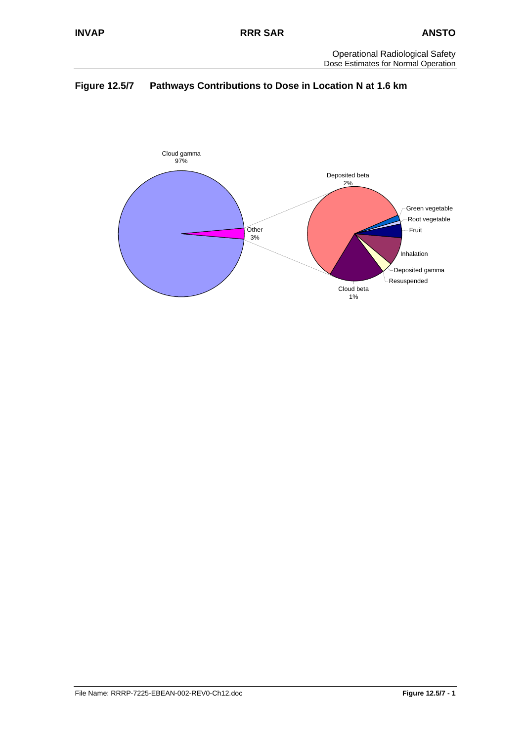

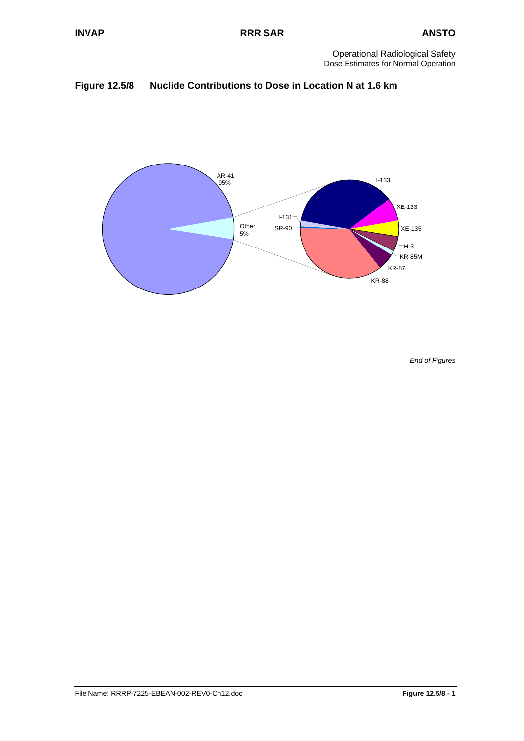



*End of Figures*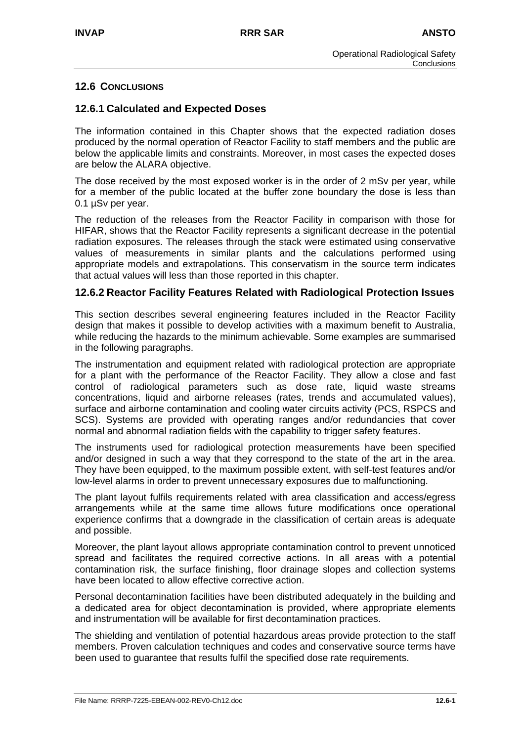### **12.6 CONCLUSIONS**

### **12.6.1 Calculated and Expected Doses**

The information contained in this Chapter shows that the expected radiation doses produced by the normal operation of Reactor Facility to staff members and the public are below the applicable limits and constraints. Moreover, in most cases the expected doses are below the ALARA objective.

The dose received by the most exposed worker is in the order of 2 mSv per year, while for a member of the public located at the buffer zone boundary the dose is less than 0.1 µSv per year.

The reduction of the releases from the Reactor Facility in comparison with those for HIFAR, shows that the Reactor Facility represents a significant decrease in the potential radiation exposures. The releases through the stack were estimated using conservative values of measurements in similar plants and the calculations performed using appropriate models and extrapolations. This conservatism in the source term indicates that actual values will less than those reported in this chapter.

### **12.6.2 Reactor Facility Features Related with Radiological Protection Issues**

This section describes several engineering features included in the Reactor Facility design that makes it possible to develop activities with a maximum benefit to Australia, while reducing the hazards to the minimum achievable. Some examples are summarised in the following paragraphs.

The instrumentation and equipment related with radiological protection are appropriate for a plant with the performance of the Reactor Facility. They allow a close and fast control of radiological parameters such as dose rate, liquid waste streams concentrations, liquid and airborne releases (rates, trends and accumulated values), surface and airborne contamination and cooling water circuits activity (PCS, RSPCS and SCS). Systems are provided with operating ranges and/or redundancies that cover normal and abnormal radiation fields with the capability to trigger safety features.

The instruments used for radiological protection measurements have been specified and/or designed in such a way that they correspond to the state of the art in the area. They have been equipped, to the maximum possible extent, with self-test features and/or low-level alarms in order to prevent unnecessary exposures due to malfunctioning.

The plant layout fulfils requirements related with area classification and access/egress arrangements while at the same time allows future modifications once operational experience confirms that a downgrade in the classification of certain areas is adequate and possible.

Moreover, the plant layout allows appropriate contamination control to prevent unnoticed spread and facilitates the required corrective actions. In all areas with a potential contamination risk, the surface finishing, floor drainage slopes and collection systems have been located to allow effective corrective action.

Personal decontamination facilities have been distributed adequately in the building and a dedicated area for object decontamination is provided, where appropriate elements and instrumentation will be available for first decontamination practices.

The shielding and ventilation of potential hazardous areas provide protection to the staff members. Proven calculation techniques and codes and conservative source terms have been used to guarantee that results fulfil the specified dose rate requirements.